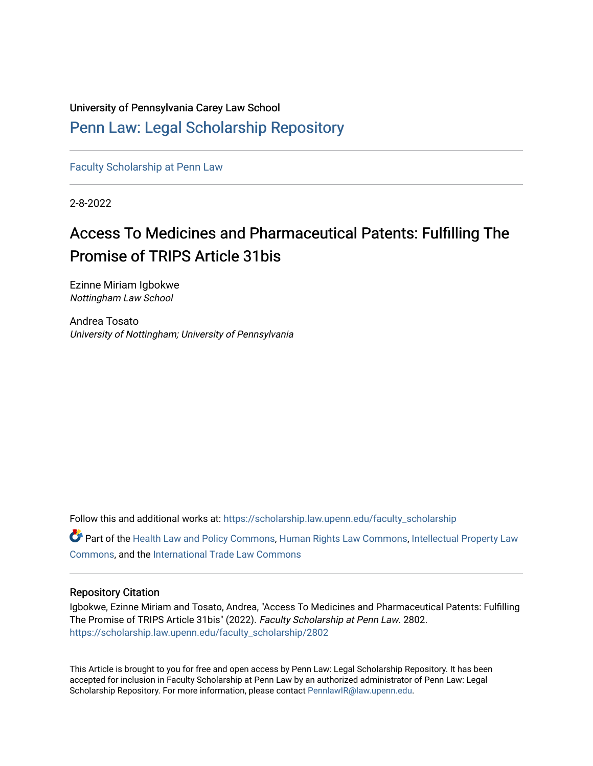University of Pennsylvania Carey Law School

# [Penn Law: Legal Scholarship Repository](https://scholarship.law.upenn.edu/)

[Faculty Scholarship at Penn Law](https://scholarship.law.upenn.edu/faculty_scholarship)

2-8-2022

# Access To Medicines and Pharmaceutical Patents: Fulfilling The Promise of TRIPS Article 31bis

Ezinne Miriam Igbokwe Nottingham Law School

Andrea Tosato University of Nottingham; University of Pennsylvania

Follow this and additional works at: [https://scholarship.law.upenn.edu/faculty\\_scholarship](https://scholarship.law.upenn.edu/faculty_scholarship?utm_source=scholarship.law.upenn.edu%2Ffaculty_scholarship%2F2802&utm_medium=PDF&utm_campaign=PDFCoverPages) 

Part of the [Health Law and Policy Commons](http://network.bepress.com/hgg/discipline/901?utm_source=scholarship.law.upenn.edu%2Ffaculty_scholarship%2F2802&utm_medium=PDF&utm_campaign=PDFCoverPages), [Human Rights Law Commons,](http://network.bepress.com/hgg/discipline/847?utm_source=scholarship.law.upenn.edu%2Ffaculty_scholarship%2F2802&utm_medium=PDF&utm_campaign=PDFCoverPages) [Intellectual Property Law](http://network.bepress.com/hgg/discipline/896?utm_source=scholarship.law.upenn.edu%2Ffaculty_scholarship%2F2802&utm_medium=PDF&utm_campaign=PDFCoverPages) [Commons](http://network.bepress.com/hgg/discipline/896?utm_source=scholarship.law.upenn.edu%2Ffaculty_scholarship%2F2802&utm_medium=PDF&utm_campaign=PDFCoverPages), and the [International Trade Law Commons](http://network.bepress.com/hgg/discipline/848?utm_source=scholarship.law.upenn.edu%2Ffaculty_scholarship%2F2802&utm_medium=PDF&utm_campaign=PDFCoverPages)

# Repository Citation

Igbokwe, Ezinne Miriam and Tosato, Andrea, "Access To Medicines and Pharmaceutical Patents: Fulfilling The Promise of TRIPS Article 31bis" (2022). Faculty Scholarship at Penn Law. 2802. [https://scholarship.law.upenn.edu/faculty\\_scholarship/2802](https://scholarship.law.upenn.edu/faculty_scholarship/2802?utm_source=scholarship.law.upenn.edu%2Ffaculty_scholarship%2F2802&utm_medium=PDF&utm_campaign=PDFCoverPages)

This Article is brought to you for free and open access by Penn Law: Legal Scholarship Repository. It has been accepted for inclusion in Faculty Scholarship at Penn Law by an authorized administrator of Penn Law: Legal Scholarship Repository. For more information, please contact [PennlawIR@law.upenn.edu.](mailto:PennlawIR@law.upenn.edu)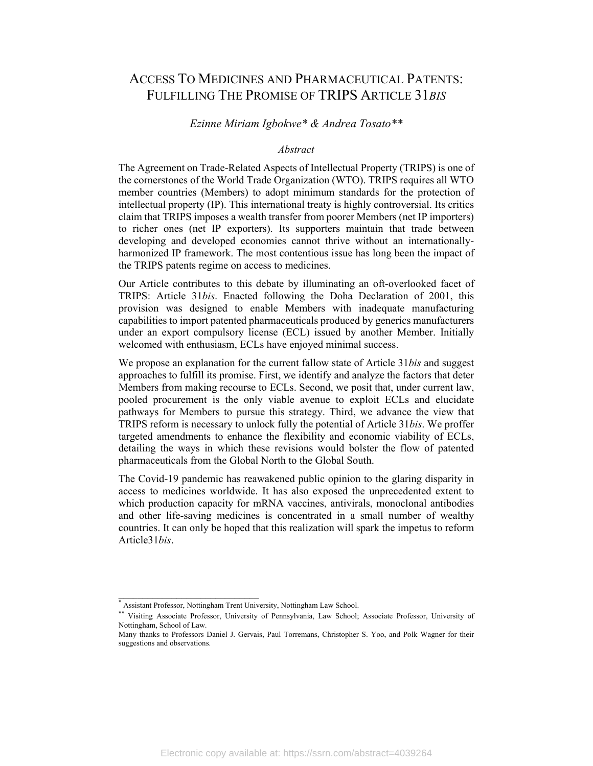# ACCESS TO MEDICINES AND PHARMACEUTICAL PATENTS: FULFILLING THE PROMISE OF TRIPS ARTICLE 31*BIS*

# *Ezinne Miriam Igbokwe\* & Andrea Tosato\*\**

# *Abstract*

The Agreement on Trade-Related Aspects of Intellectual Property (TRIPS) is one of the cornerstones of the World Trade Organization (WTO). TRIPS requires all WTO member countries (Members) to adopt minimum standards for the protection of intellectual property (IP). This international treaty is highly controversial. Its critics claim that TRIPS imposes a wealth transfer from poorer Members (net IP importers) to richer ones (net IP exporters). Its supporters maintain that trade between developing and developed economies cannot thrive without an internationallyharmonized IP framework. The most contentious issue has long been the impact of the TRIPS patents regime on access to medicines.

Our Article contributes to this debate by illuminating an oft-overlooked facet of TRIPS: Article 31*bis*. Enacted following the Doha Declaration of 2001, this provision was designed to enable Members with inadequate manufacturing capabilities to import patented pharmaceuticals produced by generics manufacturers under an export compulsory license (ECL) issued by another Member. Initially welcomed with enthusiasm, ECLs have enjoyed minimal success.

We propose an explanation for the current fallow state of Article 31*bis* and suggest approaches to fulfill its promise. First, we identify and analyze the factors that deter Members from making recourse to ECLs. Second, we posit that, under current law, pooled procurement is the only viable avenue to exploit ECLs and elucidate pathways for Members to pursue this strategy. Third, we advance the view that TRIPS reform is necessary to unlock fully the potential of Article 31*bis*. We proffer targeted amendments to enhance the flexibility and economic viability of ECLs, detailing the ways in which these revisions would bolster the flow of patented pharmaceuticals from the Global North to the Global South.

The Covid-19 pandemic has reawakened public opinion to the glaring disparity in access to medicines worldwide. It has also exposed the unprecedented extent to which production capacity for mRNA vaccines, antivirals, monoclonal antibodies and other life-saving medicines is concentrated in a small number of wealthy countries. It can only be hoped that this realization will spark the impetus to reform Article31*bis*.

\_\_\_\_\_\_\_\_\_\_\_\_\_\_\_\_\_\_\_\_\_\_\_\_\_\_\_\_\_

<sup>\*</sup> Assistant Professor, Nottingham Trent University, Nottingham Law School.

<sup>\*\*</sup> Visiting Associate Professor, University of Pennsylvania, Law School; Associate Professor, University of Nottingham, School of Law.

Many thanks to Professors Daniel J. Gervais, Paul Torremans, Christopher S. Yoo, and Polk Wagner for their suggestions and observations.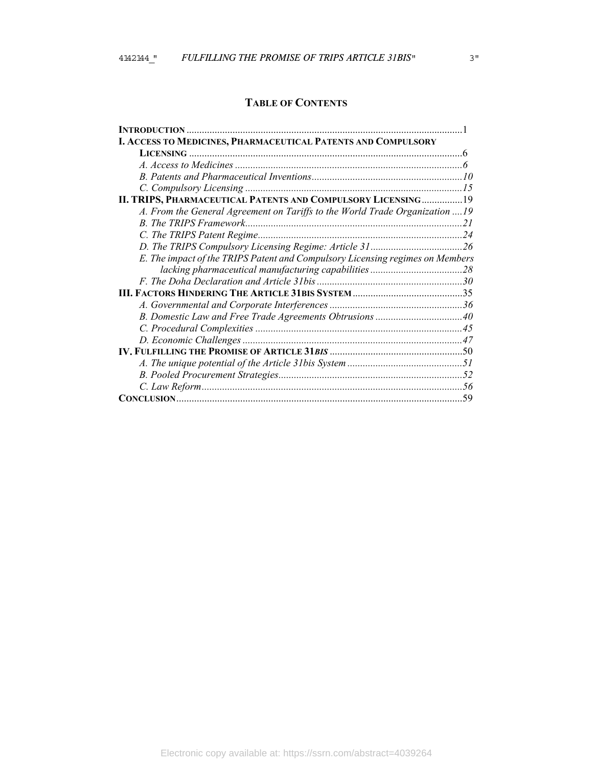# **TABLE OF CONTENTS**

| I. ACCESS TO MEDICINES, PHARMACEUTICAL PATENTS AND COMPULSORY                 |    |
|-------------------------------------------------------------------------------|----|
|                                                                               |    |
|                                                                               |    |
|                                                                               |    |
|                                                                               |    |
| II. TRIPS, PHARMACEUTICAL PATENTS AND COMPULSORY LICENSING19                  |    |
| A. From the General Agreement on Tariffs to the World Trade Organization  19  |    |
|                                                                               | 21 |
|                                                                               |    |
|                                                                               |    |
| E. The impact of the TRIPS Patent and Compulsory Licensing regimes on Members |    |
|                                                                               |    |
|                                                                               |    |
|                                                                               |    |
|                                                                               |    |
|                                                                               |    |
|                                                                               |    |
|                                                                               |    |
|                                                                               |    |
|                                                                               |    |
|                                                                               |    |
|                                                                               |    |
|                                                                               |    |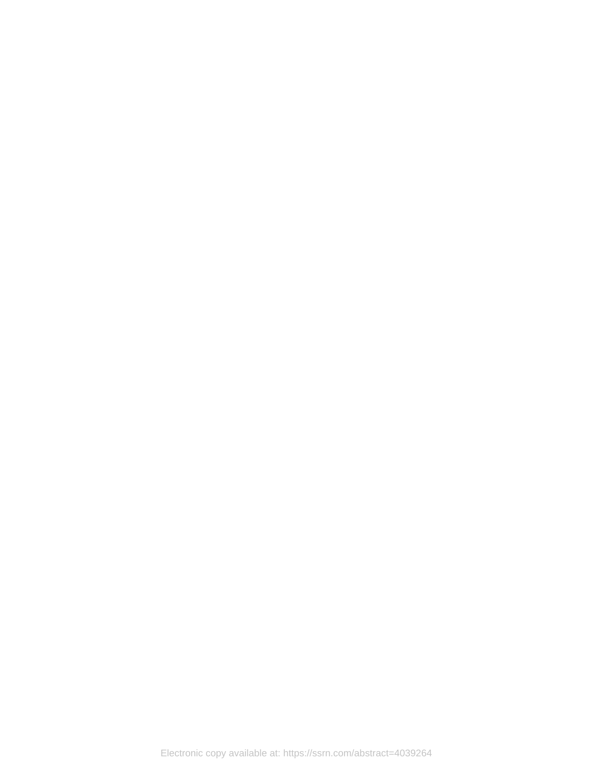Electronic copy available at: https://ssrn.com/abstract=4039264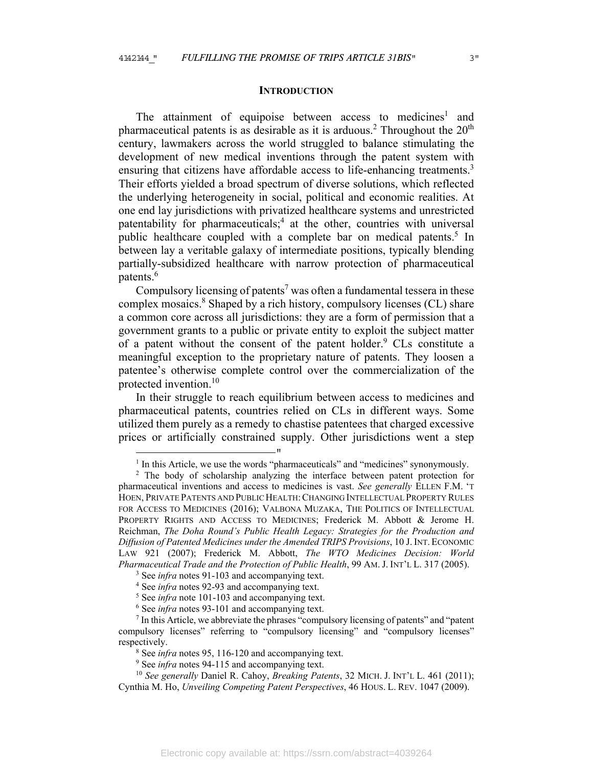#### **INTRODUCTION**

The attainment of equipoise between access to medicines<sup>1</sup> and pharmaceutical patents is as desirable as it is arduous.<sup>2</sup> Throughout the  $20<sup>th</sup>$ century, lawmakers across the world struggled to balance stimulating the development of new medical inventions through the patent system with ensuring that citizens have affordable access to life-enhancing treatments.<sup>3</sup> Their efforts yielded a broad spectrum of diverse solutions, which reflected the underlying heterogeneity in social, political and economic realities. At one end lay jurisdictions with privatized healthcare systems and unrestricted patentability for pharmaceuticals;<sup>4</sup> at the other, countries with universal public healthcare coupled with a complete bar on medical patents.<sup>5</sup> In between lay a veritable galaxy of intermediate positions, typically blending partially-subsidized healthcare with narrow protection of pharmaceutical patents.<sup>6</sup>

Compulsory licensing of patents<sup>7</sup> was often a fundamental tessera in these complex mosaics.<sup>8</sup> Shaped by a rich history, compulsory licenses (CL) share a common core across all jurisdictions: they are a form of permission that a government grants to a public or private entity to exploit the subject matter of a patent without the consent of the patent holder.<sup>9</sup> CLs constitute a meaningful exception to the proprietary nature of patents. They loosen a patentee's otherwise complete control over the commercialization of the protected invention.<sup>10</sup>

In their struggle to reach equilibrium between access to medicines and pharmaceutical patents, countries relied on CLs in different ways. Some utilized them purely as a remedy to chastise patentees that charged excessive prices or artificially constrained supply. Other jurisdictions went a step

<sup>&</sup>lt;sup>1</sup> In this Article, we use the words "pharmaceuticals" and "medicines" synonymously.<br><sup>2</sup> The body of scholarship analyzing the interface between patent protection for

 $2$  The body of scholarship analyzing the interface between patent protection for pharmaceutical inventions and access to medicines is vast. *See generally* ELLEN F.M. 'T HOEN, PRIVATE PATENTS AND PUBLIC HEALTH:CHANGING INTELLECTUAL PROPERTY RULES FOR ACCESS TO MEDICINES (2016); VALBONA MUZAKA, THE POLITICS OF INTELLECTUAL PROPERTY RIGHTS AND ACCESS TO MEDICINES; Frederick M. Abbott & Jerome H. Reichman, *The Doha Round's Public Health Legacy: Strategies for the Production and Diffusion of Patented Medicines under the Amended TRIPS Provisions*, 10 J. INT. ECONOMIC LAW 921 (2007); Frederick M. Abbott, *The WTO Medicines Decision: World Pharmaceutical Trade and the Protection of Public Health*, 99 AM. J. INT'L L. 317 (2005).

<sup>&</sup>lt;sup>3</sup> See *infra* notes  $91-103$  and accompanying text.

<sup>&</sup>lt;sup>4</sup> See *infra* notes 92-93 and accompanying text.

 $\frac{5}{5}$  See *infra* note 101-103 and accompanying text.

 $<sup>6</sup>$  See *infra* notes 93-101 and accompanying text.</sup>

 $\frac{7}{1}$  In this Article, we abbreviate the phrases "compulsory licensing of patents" and "patent" compulsory licenses" referring to "compulsory licensing" and "compulsory licenses" respectively.

<sup>&</sup>lt;sup>8</sup> See *infra* notes 95, 116-120 and accompanying text.<br><sup>9</sup> See *infra* notes 94-115 and accompanying text.

<sup>&</sup>lt;sup>10</sup> See generally Daniel R. Cahoy, *Breaking Patents*, 32 MICH. J. INT'L L. 461 (2011); Cynthia M. Ho, *Unveiling Competing Patent Perspectives*, 46 HOUS. L. REV. 1047 (2009).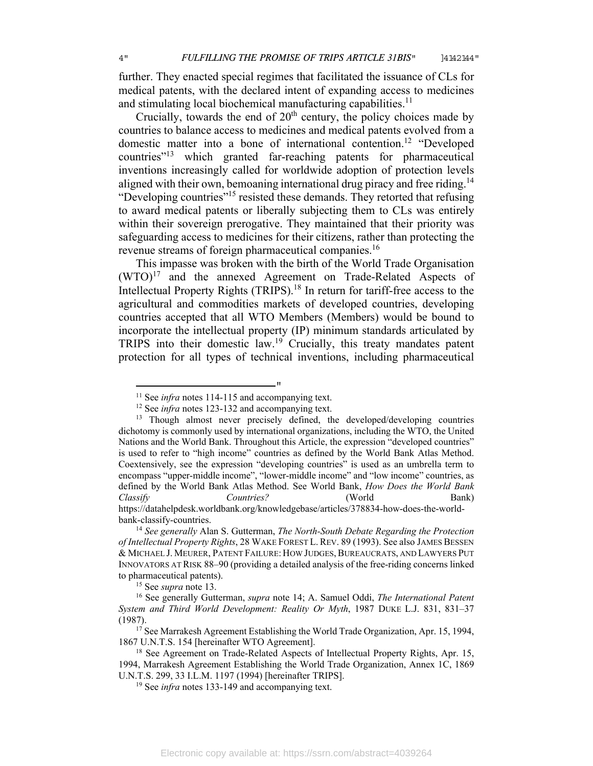further. They enacted special regimes that facilitated the issuance of CLs for medical patents, with the declared intent of expanding access to medicines and stimulating local biochemical manufacturing capabilities.<sup>11</sup>

Crucially, towards the end of  $20<sup>th</sup>$  century, the policy choices made by countries to balance access to medicines and medical patents evolved from a domestic matter into a bone of international contention.<sup>12</sup> "Developed countries"13 which granted far-reaching patents for pharmaceutical inventions increasingly called for worldwide adoption of protection levels aligned with their own, bemoaning international drug piracy and free riding.<sup>14</sup> "Developing countries"<sup>15</sup> resisted these demands. They retorted that refusing to award medical patents or liberally subjecting them to CLs was entirely within their sovereign prerogative. They maintained that their priority was safeguarding access to medicines for their citizens, rather than protecting the revenue streams of foreign pharmaceutical companies.<sup>16</sup>

This impasse was broken with the birth of the World Trade Organisation  $(WTO)^{17}$  and the annexed Agreement on Trade-Related Aspects of Intellectual Property Rights  $(TRIPS)$ .<sup>18</sup> In return for tariff-free access to the agricultural and commodities markets of developed countries, developing countries accepted that all WTO Members (Members) would be bound to incorporate the intellectual property (IP) minimum standards articulated by TRIPS into their domestic law.19 Crucially, this treaty mandates patent protection for all types of technical inventions, including pharmaceutical

<sup>&</sup>lt;sup>11</sup> See *infra* notes 114-115 and accompanying text.<br><sup>12</sup> See *infra* notes 123-132 and accompanying text.<br><sup>13</sup> Though almost never precisely defined, the developed/developing countries dichotomy is commonly used by international organizations, including the WTO, the United Nations and the World Bank. Throughout this Article, the expression "developed countries" is used to refer to "high income" countries as defined by the World Bank Atlas Method. Coextensively, see the expression "developing countries" is used as an umbrella term to encompass "upper-middle income", "lower-middle income" and "low income" countries, as defined by the World Bank Atlas Method. See World Bank, *How Does the World Bank Classify Countries?* (World Bank) https://datahelpdesk.worldbank.org/knowledgebase/articles/378834-how-does-the-world-

bank-classify-countries. 14 *See generally* Alan S. Gutterman, *The North-South Debate Regarding the Protection of Intellectual Property Rights*, 28 WAKE FOREST L. REV. 89 (1993). See also JAMES BESSEN & MICHAEL J. MEURER, PATENT FAILURE: HOW JUDGES,BUREAUCRATS, AND LAWYERS PUT INNOVATORS AT RISK 88–90 (providing a detailed analysis of the free-riding concerns linked to pharmaceutical patents). 15 See *supra* note 13. 16 See generally Gutterman, *supra* note 14; A. Samuel Oddi, *The International Patent* 

*System and Third World Development: Reality Or Myth*, 1987 DUKE L.J. 831, 831–37 (1987).<br><sup>17</sup> See Marrakesh Agreement Establishing the World Trade Organization, Apr. 15, 1994,

<sup>1867</sup> U.N.T.S. 154 [hereinafter WTO Agreement]. 18 See Agreement on Trade-Related Aspects of Intellectual Property Rights, Apr. 15,

<sup>1994,</sup> Marrakesh Agreement Establishing the World Trade Organization, Annex 1C, 1869 U.N.T.S. 299, 33 I.L.M. 1197 (1994) [hereinafter TRIPS].<br><sup>19</sup> See *infra* notes 133-149 and accompanying text.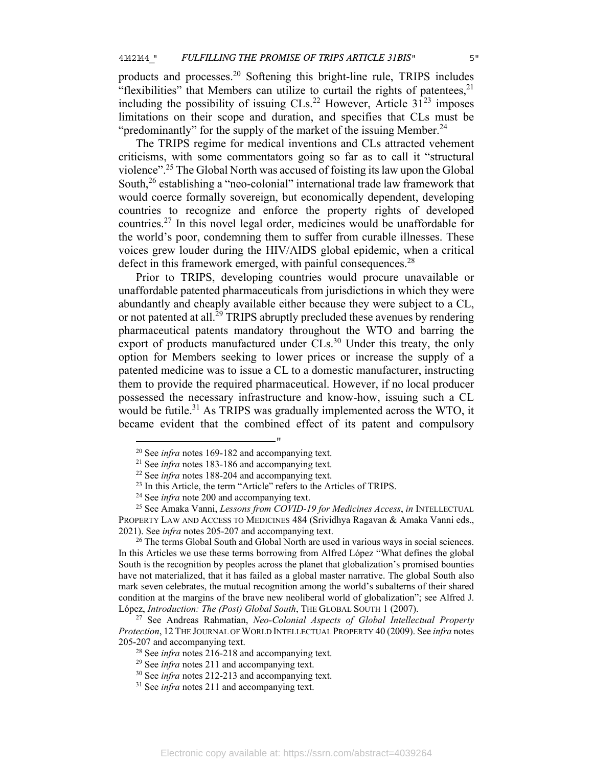products and processes.<sup>20</sup> Softening this bright-line rule, TRIPS includes "flexibilities" that Members can utilize to curtail the rights of patentees,  $2<sup>1</sup>$ including the possibility of issuing  $CLs<sup>22</sup>$  However, Article  $31<sup>23</sup>$  imposes limitations on their scope and duration, and specifies that CLs must be "predominantly" for the supply of the market of the issuing Member.<sup>24</sup>

The TRIPS regime for medical inventions and CLs attracted vehement criticisms, with some commentators going so far as to call it "structural violence".25 The Global North was accused of foisting its law upon the Global South,<sup>26</sup> establishing a "neo-colonial" international trade law framework that would coerce formally sovereign, but economically dependent, developing countries to recognize and enforce the property rights of developed countries.27 In this novel legal order, medicines would be unaffordable for the world's poor, condemning them to suffer from curable illnesses. These voices grew louder during the HIV/AIDS global epidemic, when a critical defect in this framework emerged, with painful consequences. $^{28}$ 

Prior to TRIPS, developing countries would procure unavailable or unaffordable patented pharmaceuticals from jurisdictions in which they were abundantly and cheaply available either because they were subject to a CL, or not patented at all.<sup>29</sup> TRIPS abruptly precluded these avenues by rendering pharmaceutical patents mandatory throughout the WTO and barring the export of products manufactured under  $CLs<sup>30</sup>$  Under this treaty, the only option for Members seeking to lower prices or increase the supply of a patented medicine was to issue a CL to a domestic manufacturer, instructing them to provide the required pharmaceutical. However, if no local producer possessed the necessary infrastructure and know-how, issuing such a CL would be futile.<sup>31</sup> As TRIPS was gradually implemented across the WTO, it became evident that the combined effect of its patent and compulsory

<sup>&</sup>lt;sup>20</sup> See *infra* notes 169-182 and accompanying text.<br>
<sup>21</sup> See *infra* notes 183-186 and accompanying text.<br>
<sup>22</sup> See *infra* notes 188-204 and accompanying text.<br>
<sup>23</sup> In this Article, the term "Article" refers to the A PROPERTY LAW AND ACCESS TO MEDICINES 484 (Srividhya Ragavan & Amaka Vanni eds., 2021). See *infra* notes 205-207 and accompanying text.<br><sup>26</sup> The terms Global South and Global North are used in various ways in social sciences.

In this Articles we use these terms borrowing from Alfred López "What defines the global South is the recognition by peoples across the planet that globalization's promised bounties have not materialized, that it has failed as a global master narrative. The global South also mark seven celebrates, the mutual recognition among the world's subalterns of their shared condition at the margins of the brave new neoliberal world of globalization"; see Alfred J. López, *Introduction: The (Post) Global South*, THE GLOBAL SOUTH 1 (2007). 27 See Andreas Rahmatian, *Neo-Colonial Aspects of Global Intellectual Property* 

*Protection*, 12 THE JOURNAL OF WORLD INTELLECTUAL PROPERTY 40 (2009). See *infra* notes 205-207 and accompanying text.<br><sup>28</sup> See *infra* notes 216-218 and accompanying text.<br><sup>29</sup> See *infra* notes 211 and accompanying text.<br><sup>30</sup> See *infra* notes 212-213 and accompanying text.<br><sup>31</sup> See *infra* notes 211 and a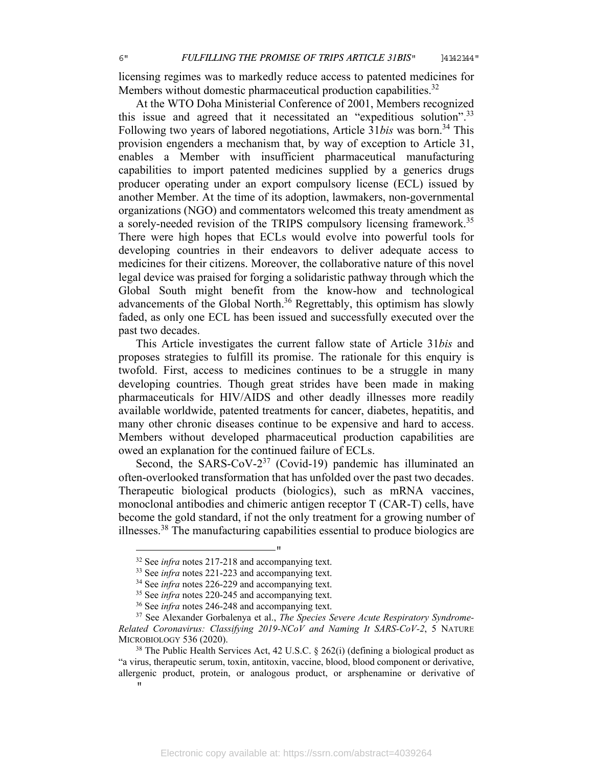licensing regimes was to markedly reduce access to patented medicines for Members without domestic pharmaceutical production capabilities.<sup>32</sup>

At the WTO Doha Ministerial Conference of 2001, Members recognized this issue and agreed that it necessitated an "expeditious solution".<sup>33</sup> Following two years of labored negotiations, Article 31*bis* was born.<sup>34</sup> This provision engenders a mechanism that, by way of exception to Article 31, enables a Member with insufficient pharmaceutical manufacturing capabilities to import patented medicines supplied by a generics drugs producer operating under an export compulsory license (ECL) issued by another Member. At the time of its adoption, lawmakers, non-governmental organizations (NGO) and commentators welcomed this treaty amendment as a sorely-needed revision of the TRIPS compulsory licensing framework.<sup>35</sup> There were high hopes that ECLs would evolve into powerful tools for developing countries in their endeavors to deliver adequate access to medicines for their citizens. Moreover, the collaborative nature of this novel legal device was praised for forging a solidaristic pathway through which the Global South might benefit from the know-how and technological advancements of the Global North.<sup>36</sup> Regrettably, this optimism has slowly faded, as only one ECL has been issued and successfully executed over the past two decades.

This Article investigates the current fallow state of Article 31*bis* and proposes strategies to fulfill its promise. The rationale for this enquiry is twofold. First, access to medicines continues to be a struggle in many developing countries. Though great strides have been made in making pharmaceuticals for HIV/AIDS and other deadly illnesses more readily available worldwide, patented treatments for cancer, diabetes, hepatitis, and many other chronic diseases continue to be expensive and hard to access. Members without developed pharmaceutical production capabilities are owed an explanation for the continued failure of ECLs.

Second, the SARS-CoV- $2^{37}$  (Covid-19) pandemic has illuminated an often-overlooked transformation that has unfolded over the past two decades. Therapeutic biological products (biologics), such as mRNA vaccines, monoclonal antibodies and chimeric antigen receptor T (CAR-T) cells, have become the gold standard, if not the only treatment for a growing number of illnesses.38 The manufacturing capabilities essential to produce biologics are

<sup>&</sup>lt;sup>32</sup> See *infra* notes 217-218 and accompanying text.<br><sup>33</sup> See *infra* notes 221-223 and accompanying text.<br><sup>34</sup> See *infra* notes 226-229 and accompanying text.<br><sup>35</sup> See *infra* notes 220-245 and accompanying text.<br><sup>36</sup> *Related Coronavirus: Classifying 2019-NCoV and Naming It SARS-CoV-2*, 5 NATURE MICROBIOLOGY 536 (2020).<br><sup>38</sup> The Public Health Services Act, 42 U.S.C. § 262(i) (defining a biological product as

<sup>&</sup>quot;a virus, therapeutic serum, toxin, antitoxin, vaccine, blood, blood component or derivative, allergenic product, protein, or analogous product, or arsphenamine or derivative of  $\mathbf{u}$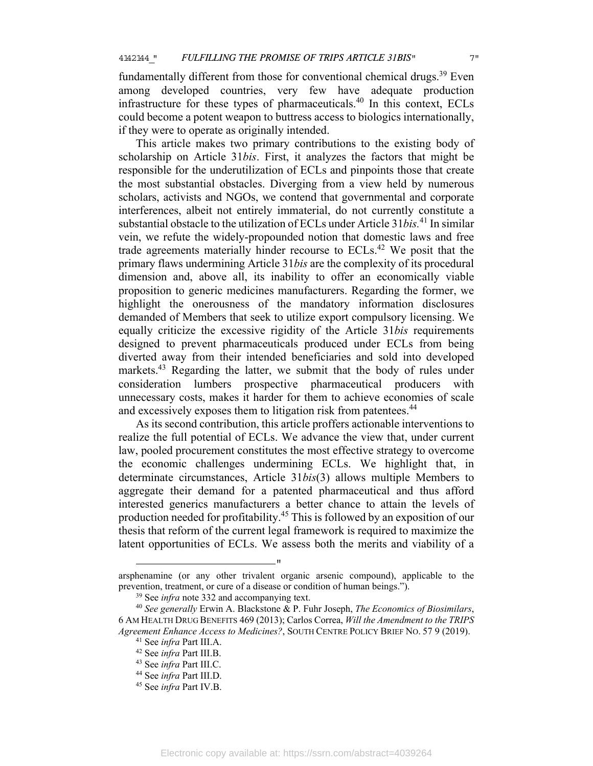fundamentally different from those for conventional chemical drugs.<sup>39</sup> Even among developed countries, very few have adequate production infrastructure for these types of pharmaceuticals.<sup>40</sup> In this context, ECLs could become a potent weapon to buttress access to biologics internationally, if they were to operate as originally intended.

This article makes two primary contributions to the existing body of scholarship on Article 31*bis*. First, it analyzes the factors that might be responsible for the underutilization of ECLs and pinpoints those that create the most substantial obstacles. Diverging from a view held by numerous scholars, activists and NGOs, we contend that governmental and corporate interferences, albeit not entirely immaterial, do not currently constitute a substantial obstacle to the utilization of ECLs under Article 31*bis.*<sup>41</sup> In similar vein, we refute the widely-propounded notion that domestic laws and free trade agreements materially hinder recourse to  $ECLs<sup>42</sup>$  We posit that the primary flaws undermining Article 31*bis* are the complexity of its procedural dimension and, above all, its inability to offer an economically viable proposition to generic medicines manufacturers. Regarding the former, we highlight the onerousness of the mandatory information disclosures demanded of Members that seek to utilize export compulsory licensing. We equally criticize the excessive rigidity of the Article 31*bis* requirements designed to prevent pharmaceuticals produced under ECLs from being diverted away from their intended beneficiaries and sold into developed markets.<sup>43</sup> Regarding the latter, we submit that the body of rules under consideration lumbers prospective pharmaceutical producers with unnecessary costs, makes it harder for them to achieve economies of scale and excessively exposes them to litigation risk from patentees.<sup>44</sup>

As its second contribution, this article proffers actionable interventions to realize the full potential of ECLs. We advance the view that, under current law, pooled procurement constitutes the most effective strategy to overcome the economic challenges undermining ECLs. We highlight that, in determinate circumstances, Article 31*bis*(3) allows multiple Members to aggregate their demand for a patented pharmaceutical and thus afford interested generics manufacturers a better chance to attain the levels of production needed for profitability.45 This is followed by an exposition of our thesis that reform of the current legal framework is required to maximize the latent opportunities of ECLs. We assess both the merits and viability of a

arsphenamine (or any other trivalent organic arsenic compound), applicable to the prevention, treatment, or cure of a disease or condition of human beings.").<br><sup>39</sup> See *infra* note 332 and accompanying text.<br><sup>40</sup> See generally Erwin A. Blackstone & P. Fuhr Joseph, *The Economics of Biosimilars*,

<sup>6</sup> AM HEALTH DRUG BENEFITS 469 (2013); Carlos Correa, *Will the Amendment to the TRIPS Agreement Enhance Access to Medicines?*, SOUTH CENTRE POLICY BRIEF No. 57 9 (2019).<br>
<sup>41</sup> See *infra* Part III.A.<br>
<sup>42</sup> See *infra* Part III.B.<br>
<sup>43</sup> See *infra* Part III.C.<br>
<sup>43</sup> See *infra* Part III.D.<br>
<sup>45</sup> See *infra*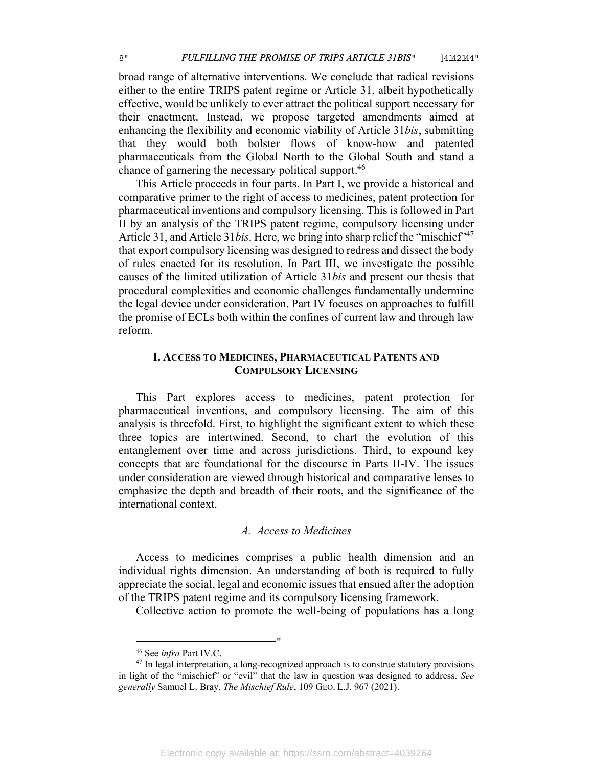broad range of alternative interventions. We conclude that radical revisions either to the entire TRIPS patent regime or Article 31, albeit hypothetically effective, would be unlikely to ever attract the political support necessary for their enactment. Instead, we propose targeted amendments aimed at enhancing the flexibility and economic viability of Article 31*bis*, submitting that they would both bolster flows of know-how and patented pharmaceuticals from the Global North to the Global South and stand a chance of garnering the necessary political support.<sup>46</sup>

This Article proceeds in four parts. In Part I, we provide a historical and comparative primer to the right of access to medicines, patent protection for pharmaceutical inventions and compulsory licensing. This is followed in Part II by an analysis of the TRIPS patent regime, compulsory licensing under Article 31, and Article 31*bis*. Here, we bring into sharp relief the "mischief"47 that export compulsory licensing was designed to redress and dissect the body of rules enacted for its resolution. In Part III, we investigate the possible causes of the limited utilization of Article 31*bis* and present our thesis that procedural complexities and economic challenges fundamentally undermine the legal device under consideration. Part IV focuses on approaches to fulfill the promise of ECLs both within the confines of current law and through law reform.

# **I. ACCESS TO MEDICINES, PHARMACEUTICAL PATENTS AND COMPULSORY LICENSING**

This Part explores access to medicines, patent protection for pharmaceutical inventions, and compulsory licensing. The aim of this analysis is threefold. First, to highlight the significant extent to which these three topics are intertwined. Second, to chart the evolution of this entanglement over time and across jurisdictions. Third, to expound key concepts that are foundational for the discourse in Parts II-IV. The issues under consideration are viewed through historical and comparative lenses to emphasize the depth and breadth of their roots, and the significance of the international context.

# *A. Access to Medicines*

Access to medicines comprises a public health dimension and an individual rights dimension. An understanding of both is required to fully appreciate the social, legal and economic issues that ensued after the adoption of the TRIPS patent regime and its compulsory licensing framework.

Collective action to promote the well-being of populations has a long

J)

<sup>&</sup>lt;sup>46</sup> See *infra* Part IV.C.<br><sup>47</sup> In legal interpretation, a long-recognized approach is to construe statutory provisions in light of the "mischief" or "evil" that the law in question was designed to address. *See generally* Samuel L. Bray, *The Mischief Rule*, 109 GEO. L.J. 967 (2021).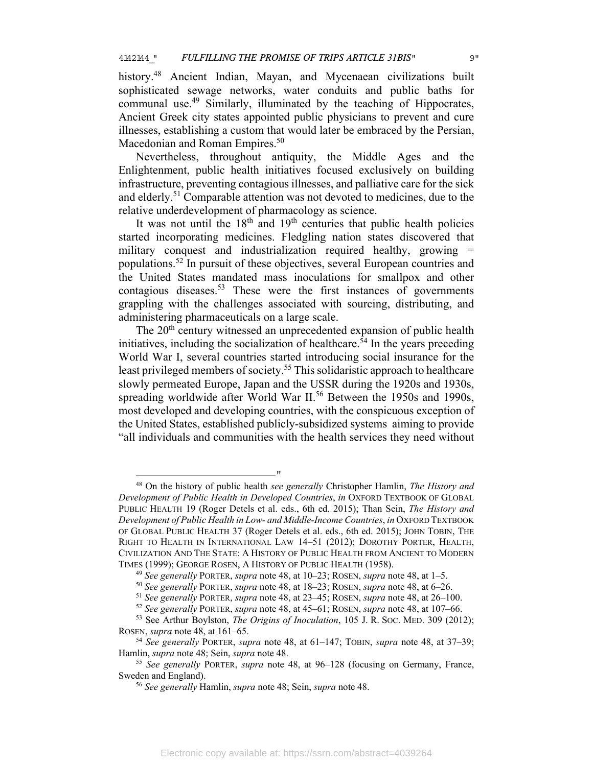history.<sup>48</sup> Ancient Indian, Mayan, and Mycenaean civilizations built sophisticated sewage networks, water conduits and public baths for communal use.49 Similarly, illuminated by the teaching of Hippocrates, Ancient Greek city states appointed public physicians to prevent and cure illnesses, establishing a custom that would later be embraced by the Persian, Macedonian and Roman Empires.<sup>50</sup>

Nevertheless, throughout antiquity, the Middle Ages and the Enlightenment, public health initiatives focused exclusively on building infrastructure, preventing contagious illnesses, and palliative care for the sick and elderly.<sup>51</sup> Comparable attention was not devoted to medicines, due to the relative underdevelopment of pharmacology as science.

It was not until the  $18<sup>th</sup>$  and  $19<sup>th</sup>$  centuries that public health policies started incorporating medicines. Fledgling nation states discovered that military conquest and industrialization required healthy, growing = populations.52 In pursuit of these objectives, several European countries and the United States mandated mass inoculations for smallpox and other contagious diseases.<sup>53</sup> These were the first instances of governments grappling with the challenges associated with sourcing, distributing, and administering pharmaceuticals on a large scale.

The 20<sup>th</sup> century witnessed an unprecedented expansion of public health initiatives, including the socialization of healthcare.<sup>54</sup> In the years preceding World War I, several countries started introducing social insurance for the least privileged members of society.<sup>55</sup> This solidaristic approach to healthcare slowly permeated Europe, Japan and the USSR during the 1920s and 1930s, spreading worldwide after World War  $II^{56}$  Between the 1950s and 1990s, most developed and developing countries, with the conspicuous exception of the United States, established publicly-subsidized systems aiming to provide "all individuals and communities with the health services they need without

<sup>48</sup> On the history of public health *see generally* Christopher Hamlin, *The History and Development of Public Health in Developed Countries*, *in* OXFORD TEXTBOOK OF GLOBAL PUBLIC HEALTH 19 (Roger Detels et al. eds., 6th ed. 2015); Than Sein, *The History and Development of Public Health in Low- and Middle-Income Countries*, *in* OXFORD TEXTBOOK OF GLOBAL PUBLIC HEALTH 37 (Roger Detels et al. eds., 6th ed. 2015); JOHN TOBIN, THE RIGHT TO HEALTH IN INTERNATIONAL LAW 14–51 (2012); DOROTHY PORTER, HEALTH, CIVILIZATION AND THE STATE: A HISTORY OF PUBLIC HEALTH FROM ANCIENT TO MODERN TIMES (1999); GEORGE ROSEN, A HISTORY OF PUBLIC HEALTH (1958).<br><sup>49</sup> See generally PORTER, *supra* note 48, at 10–23; ROSEN, *supra* note 48, at 1–5.<br><sup>50</sup> See generally PORTER, *supra* note 48, at 18–23; ROSEN, *supra* not

ROSEN, *supra* note 48, at 161–65.<br><sup>54</sup> *See generally PORTER, <i>supra* note 48, at 61–147; TOBIN, *supra* note 48, at 37–39;

Hamlin, *supra* note 48; Sein, *supra* note 48.<br><sup>55</sup> *See generally PORTER, supra* note 48, at 96–128 (focusing on Germany, France,

Sweden and England). 56 *See generally* Hamlin, *supra* note 48; Sein, *supra* note 48.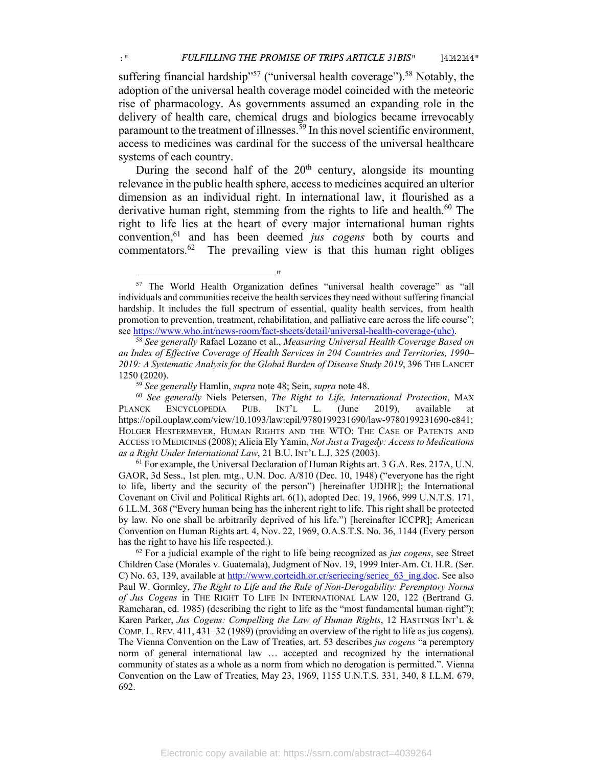suffering financial hardship"<sup>57</sup> ("universal health coverage").<sup>58</sup> Notably, the adoption of the universal health coverage model coincided with the meteoric rise of pharmacology. As governments assumed an expanding role in the delivery of health care, chemical drugs and biologics became irrevocably paramount to the treatment of illnesses.<sup>59</sup> In this novel scientific environment, access to medicines was cardinal for the success of the universal healthcare systems of each country.

During the second half of the  $20<sup>th</sup>$  century, alongside its mounting relevance in the public health sphere, access to medicines acquired an ulterior dimension as an individual right. In international law, it flourished as a derivative human right, stemming from the rights to life and health.<sup>60</sup> The right to life lies at the heart of every major international human rights convention,61 and has been deemed *jus cogens* both by courts and commentators. $62$  The prevailing view is that this human right obliges

<sup>57</sup> The World Health Organization defines "universal health coverage" as "all individuals and communities receive the health services they need without suffering financial hardship. It includes the full spectrum of essential, quality health services, from health promotion to prevention, treatment, rehabilitation, and palliative care across the life course"; see https://www.who.int/news-room/fact-sheets/detail/universal-health-coverage-(uhc). 58 *See generally* Rafael Lozano et al., *Measuring Universal Health Coverage Based on* 

*an Index of Effective Coverage of Health Services in 204 Countries and Territories, 1990– 2019: A Systematic Analysis for the Global Burden of Disease Study 2019*, 396 THE LANCET

<sup>1250 (2020). 59</sup> *See generally* Hamlin, *supra* note 48; Sein, *supra* note 48. 60 *See generally* Niels Petersen, *The Right to Life, International Protection*, MAX PLANCK ENCYCLOPEDIA PUB. INT'L L. (June 2019), available at https://opil.ouplaw.com/view/10.1093/law:epil/9780199231690/law-9780199231690-e841; HOLGER HESTERMEYER, HUMAN RIGHTS AND THE WTO: THE CASE OF PATENTS AND ACCESS TO MEDICINES (2008); Alicia Ely Yamin, *Not Just a Tragedy: Access to Medications as a Right Under International Law*, 21 B.U. INT'L L.J. 325 (2003).<br><sup>61</sup> For example, the Universal Declaration of Human Rights art. 3 G.A. Res. 217A, U.N.

GAOR, 3d Sess., 1st plen. mtg., U.N. Doc. A/810 (Dec. 10, 1948) ("everyone has the right to life, liberty and the security of the person") [hereinafter UDHR]; the International Covenant on Civil and Political Rights art. 6(1), adopted Dec. 19, 1966, 999 U.N.T.S. 171, 6 I.L.M. 368 ("Every human being has the inherent right to life. This right shall be protected by law. No one shall be arbitrarily deprived of his life.") [hereinafter ICCPR]; American Convention on Human Rights art. 4, Nov. 22, 1969, O.A.S.T.S. No. 36, 1144 (Every person has the right to have his life respected.). 62 For a judicial example of the right to life being recognized as *jus cogens*, see Street

Children Case (Morales v. Guatemala), Judgment of Nov. 19, 1999 Inter-Am. Ct. H.R. (Ser. C) No. 63, 139, available at http://www.corteidh.or.cr/seriecing/seriec\_63\_ing.doc. See also Paul W. Gormley, *The Right to Life and the Rule of Non-Derogability: Peremptory Norms of Jus Cogens* in THE RIGHT TO LIFE IN INTERNATIONAL LAW 120, 122 (Bertrand G. Ramcharan, ed. 1985) (describing the right to life as the "most fundamental human right"); Karen Parker, *Jus Cogens: Compelling the Law of Human Rights*, 12 HASTINGS INT'L & COMP. L. REV. 411, 431–32 (1989) (providing an overview of the right to life as jus cogens). The Vienna Convention on the Law of Treaties, art. 53 describes *jus cogens* "a peremptory norm of general international law … accepted and recognized by the international community of states as a whole as a norm from which no derogation is permitted.". Vienna Convention on the Law of Treaties, May 23, 1969, 1155 U.N.T.S. 331, 340, 8 I.L.M. 679, 692.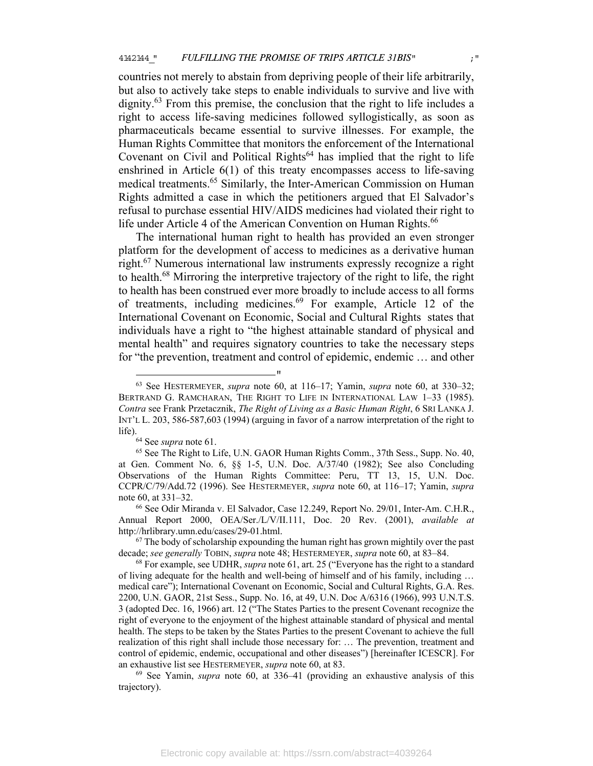countries not merely to abstain from depriving people of their life arbitrarily, but also to actively take steps to enable individuals to survive and live with dignity.<sup>63</sup> From this premise, the conclusion that the right to life includes a right to access life-saving medicines followed syllogistically, as soon as pharmaceuticals became essential to survive illnesses. For example, the Human Rights Committee that monitors the enforcement of the International Covenant on Civil and Political Rights<sup>64</sup> has implied that the right to life enshrined in Article 6(1) of this treaty encompasses access to life-saving medical treatments.<sup>65</sup> Similarly, the Inter-American Commission on Human Rights admitted a case in which the petitioners argued that El Salvador's refusal to purchase essential HIV/AIDS medicines had violated their right to life under Article 4 of the American Convention on Human Rights.<sup>66</sup>

The international human right to health has provided an even stronger platform for the development of access to medicines as a derivative human right.<sup>67</sup> Numerous international law instruments expressly recognize a right to health.68 Mirroring the interpretive trajectory of the right to life, the right to health has been construed ever more broadly to include access to all forms of treatments, including medicines.<sup>69</sup> For example, Article 12 of the International Covenant on Economic, Social and Cultural Rights states that individuals have a right to "the highest attainable standard of physical and mental health" and requires signatory countries to take the necessary steps for "the prevention, treatment and control of epidemic, endemic … and other

 $\mathbf{u}$ 

Annual Report 2000, OEA/Ser./L/V/II.111, Doc. 20 Rev. (2001), *available at*  http://hrlibrary.umn.edu/cases/29-01.html. 67 The body of scholarship expounding the human right has grown mightily over the past

decade; *see generally* TOBIN, *supra* note 48; HESTERMEYER, *supra* note 60, at 83–84. 68 For example, see UDHR, *supra* note 61, art. 25 ("Everyone has the right to a standard

of living adequate for the health and well-being of himself and of his family, including … medical care"); International Covenant on Economic, Social and Cultural Rights, G.A. Res. 2200, U.N. GAOR, 21st Sess., Supp. No. 16, at 49, U.N. Doc A/6316 (1966), 993 U.N.T.S. 3 (adopted Dec. 16, 1966) art. 12 ("The States Parties to the present Covenant recognize the right of everyone to the enjoyment of the highest attainable standard of physical and mental health. The steps to be taken by the States Parties to the present Covenant to achieve the full realization of this right shall include those necessary for: … The prevention, treatment and control of epidemic, endemic, occupational and other diseases") [hereinafter ICESCR]. For an exhaustive list see HESTERMEYER, *supra* note 60, at 83.<br><sup>69</sup> See Yamin, *supra* note 60, at 336–41 (providing an exhaustive analysis of this

trajectory).

<sup>63</sup> See HESTERMEYER, *supra* note 60, at 116–17; Yamin, *supra* note 60, at 330–32; BERTRAND G. RAMCHARAN, THE RIGHT TO LIFE IN INTERNATIONAL LAW 1–33 (1985). *Contra* see Frank Przetacznik, *The Right of Living as a Basic Human Right*, 6 SRI LANKA J. INT'L L. 203, 586-587,603 (1994) (arguing in favor of a narrow interpretation of the right to life).<br><sup>64</sup> See *supra* note 61.<br><sup>65</sup> See The Right to Life, U.N. GAOR Human Rights Comm., 37th Sess., Supp. No. 40,

at Gen. Comment No. 6, §§ 1-5, U.N. Doc. A/37/40 (1982); See also Concluding Observations of the Human Rights Committee: Peru, TT 13, 15, U.N. Doc. CCPR/C/79/Add.72 (1996). See HESTERMEYER, *supra* note 60, at 116–17; Yamin, *supra* note 60, at 331–32.<br><sup>66</sup> See Odir Miranda v. El Salvador, Case 12.249, Report No. 29/01, Inter-Am. C.H.R.,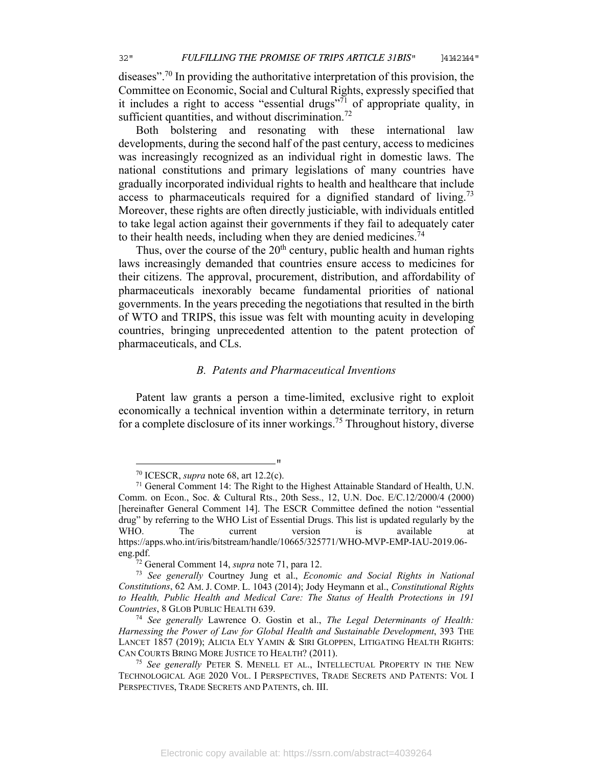*FULFILLING THE PROMISE OF TRIPS ARTICLE 31BIS*

diseases".<sup>70</sup> In providing the authoritative interpretation of this provision, the Committee on Economic, Social and Cultural Rights, expressly specified that it includes a right to access "essential drugs"<sup>71</sup> of appropriate quality, in sufficient quantities, and without discrimination.<sup>72</sup>

Both bolstering and resonating with these international law developments, during the second half of the past century, access to medicines was increasingly recognized as an individual right in domestic laws. The national constitutions and primary legislations of many countries have gradually incorporated individual rights to health and healthcare that include access to pharmaceuticals required for a dignified standard of living.<sup>73</sup> Moreover, these rights are often directly justiciable, with individuals entitled to take legal action against their governments if they fail to adequately cater to their health needs, including when they are denied medicines.<sup>74</sup>

Thus, over the course of the  $20<sup>th</sup>$  century, public health and human rights laws increasingly demanded that countries ensure access to medicines for their citizens. The approval, procurement, distribution, and affordability of pharmaceuticals inexorably became fundamental priorities of national governments. In the years preceding the negotiations that resulted in the birth of WTO and TRIPS, this issue was felt with mounting acuity in developing countries, bringing unprecedented attention to the patent protection of pharmaceuticals, and CLs.

#### *B. Patents and Pharmaceutical Inventions*

Patent law grants a person a time-limited, exclusive right to exploit economically a technical invention within a determinate territory, in return for a complete disclosure of its inner workings.<sup>75</sup> Throughout history, diverse

<sup>&</sup>lt;sup>70</sup> ICESCR, *supra* note 68, art 12.2(c).<br><sup>71</sup> General Comment 14: The Right to the Highest Attainable Standard of Health, U.N. Comm. on Econ., Soc. & Cultural Rts., 20th Sess., 12, U.N. Doc. E/C.12/2000/4 (2000) [hereinafter General Comment 14]. The ESCR Committee defined the notion "essential drug" by referring to the WHO List of Essential Drugs. This list is updated regularly by the WHO. The current version is available at https://apps.who.int/iris/bitstream/handle/10665/325771/WHO-MVP-EMP-IAU-2019.06 eng.pdf.<br><sup>72</sup> General Comment 14, *supra* note 71, para 12.<br><sup>73</sup> *See generally* Courtney Jung et al., *Economic and Social Rights in National* 

*Constitutions*, 62 AM. J. COMP. L. 1043 (2014); Jody Heymann et al., *Constitutional Rights to Health, Public Health and Medical Care: The Status of Health Protections in 191 Countries*, 8 GLOB PUBLIC HEALTH 639. 74 *See generally* Lawrence O. Gostin et al., *The Legal Determinants of Health:* 

*Harnessing the Power of Law for Global Health and Sustainable Development*, 393 THE LANCET 1857 (2019); ALICIA ELY YAMIN & SIRI GLOPPEN, LITIGATING HEALTH RIGHTS: CAN COURTS BRING MORE JUSTICE TO HEALTH? (2011). 75 *See generally* PETER S. MENELL ET AL., INTELLECTUAL PROPERTY IN THE NEW

TECHNOLOGICAL AGE 2020 VOL. I PERSPECTIVES, TRADE SECRETS AND PATENTS: VOL I PERSPECTIVES, TRADE SECRETS AND PATENTS, ch. III.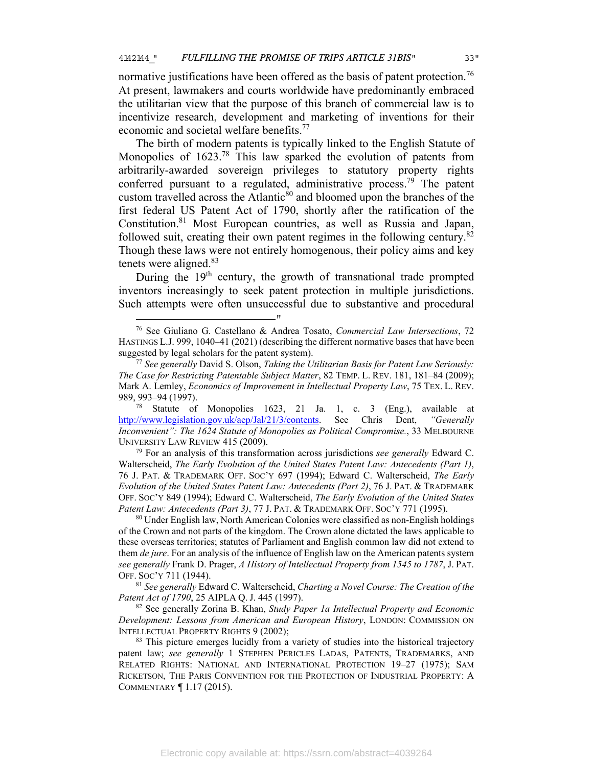normative justifications have been offered as the basis of patent protection.<sup>76</sup> At present, lawmakers and courts worldwide have predominantly embraced the utilitarian view that the purpose of this branch of commercial law is to incentivize research, development and marketing of inventions for their economic and societal welfare benefits.<sup>77</sup>

The birth of modern patents is typically linked to the English Statute of Monopolies of 1623.<sup>78</sup> This law sparked the evolution of patents from arbitrarily-awarded sovereign privileges to statutory property rights conferred pursuant to a regulated, administrative process.<sup>79</sup> The patent custom travelled across the Atlantic<sup>80</sup> and bloomed upon the branches of the first federal US Patent Act of 1790, shortly after the ratification of the Constitution.81 Most European countries, as well as Russia and Japan, followed suit, creating their own patent regimes in the following century.<sup>82</sup> Though these laws were not entirely homogenous, their policy aims and key tenets were aligned.<sup>83</sup>

During the  $19<sup>th</sup>$  century, the growth of transnational trade prompted inventors increasingly to seek patent protection in multiple jurisdictions. Such attempts were often unsuccessful due to substantive and procedural

 $\mathbf{u}$ 

http://www.legislation.gov.uk/aep/Jal/21/3/contents. See Chris Dent, *"Generally Inconvenient": The 1624 Statute of Monopolies as Political Compromise.*, 33 MELBOURNE UNIVERSITY LAW REVIEW 415 (2009). 79 For an analysis of this transformation across jurisdictions *see generally* Edward C.

Walterscheid, *The Early Evolution of the United States Patent Law: Antecedents (Part 1)*, 76 J. PAT. & TRADEMARK OFF. SOC'Y 697 (1994); Edward C. Walterscheid, *The Early Evolution of the United States Patent Law: Antecedents (Part 2)*, 76 J. PAT. & TRADEMARK OFF. SOC'Y 849 (1994); Edward C. Walterscheid, *The Early Evolution of the United States Patent Law: Antecedents (Part 3)*, 77 J. PAT. & TRADEMARK OFF. SOC'Y 771 (1995).<br><sup>80</sup> Under English law, North American Colonies were classified as non-English holdings

of the Crown and not parts of the kingdom. The Crown alone dictated the laws applicable to these overseas territories; statutes of Parliament and English common law did not extend to them *de jure*. For an analysis of the influence of English law on the American patents system *see generally* Frank D. Prager, *A History of Intellectual Property from 1545 to 1787*, J. PAT. OFF. SOC'Y 711 (1944). 81 *See generally* Edward C. Walterscheid, *Charting a Novel Course: The Creation of the* 

*Patent Act of 1790, 25 AIPLA Q. J. 445 (1997).*<br><sup>82</sup> See generally Zorina B. Khan, *Study Paper 1a Intellectual Property and Economic* 

*Development: Lessons from American and European History*, LONDON: COMMISSION ON INTELLECTUAL PROPERTY RIGHTS 9 (2002);<br><sup>83</sup> This picture emerges lucidly from a variety of studies into the historical trajectory

patent law; *see generally* 1 STEPHEN PERICLES LADAS, PATENTS, TRADEMARKS, AND RELATED RIGHTS: NATIONAL AND INTERNATIONAL PROTECTION 19–27 (1975); SAM RICKETSON, THE PARIS CONVENTION FOR THE PROTECTION OF INDUSTRIAL PROPERTY: A COMMENTARY ¶ 1.17 (2015).

<sup>76</sup> See Giuliano G. Castellano & Andrea Tosato, *Commercial Law Intersections*, 72 HASTINGS L.J. 999, 1040–41 (2021) (describing the different normative bases that have been suggested by legal scholars for the patent system). 77 *See generally* David S. Olson, *Taking the Utilitarian Basis for Patent Law Seriously:* 

*The Case for Restricting Patentable Subject Matter*, 82 TEMP. L. REV. 181, 181–84 (2009); Mark A. Lemley, *Economics of Improvement in Intellectual Property Law*, 75 TEX. L. REV. 989, 993–94 (1997). 78 Statute of Monopolies 1623, 21 Ja. 1, c. 3 (Eng.), available at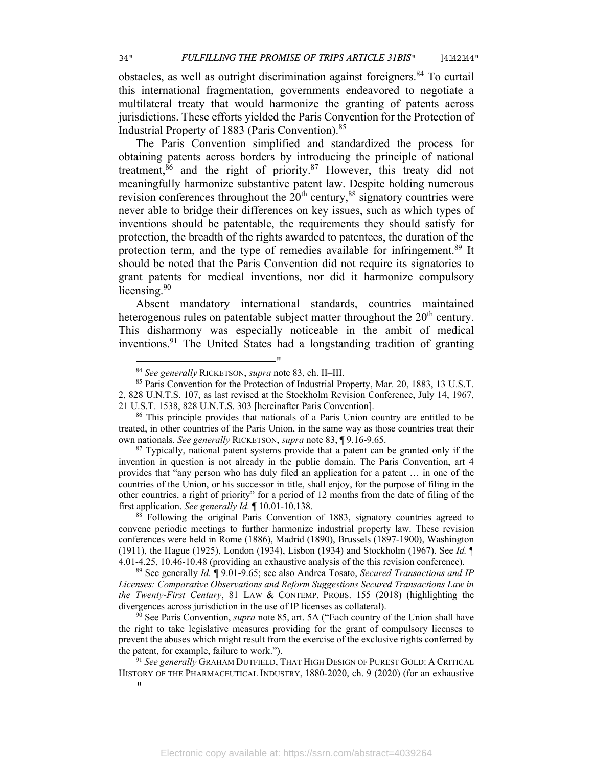*FULFILLING THE PROMISE OF TRIPS ARTICLE 31BIS*

obstacles, as well as outright discrimination against foreigners.<sup>84</sup> To curtail this international fragmentation, governments endeavored to negotiate a multilateral treaty that would harmonize the granting of patents across jurisdictions. These efforts yielded the Paris Convention for the Protection of Industrial Property of 1883 (Paris Convention).<sup>85</sup>

The Paris Convention simplified and standardized the process for obtaining patents across borders by introducing the principle of national treatment,  $86$  and the right of priority.  $87$  However, this treaty did not meaningfully harmonize substantive patent law. Despite holding numerous revision conferences throughout the  $20<sup>th</sup>$  century,<sup>88</sup> signatory countries were never able to bridge their differences on key issues, such as which types of inventions should be patentable, the requirements they should satisfy for protection, the breadth of the rights awarded to patentees, the duration of the protection term, and the type of remedies available for infringement.<sup>89</sup> It should be noted that the Paris Convention did not require its signatories to grant patents for medical inventions, nor did it harmonize compulsory licensing.<sup>90</sup>

Absent mandatory international standards, countries maintained heterogenous rules on patentable subject matter throughout the  $20<sup>th</sup>$  century. This disharmony was especially noticeable in the ambit of medical inventions.<sup>91</sup> The United States had a longstanding tradition of granting

<sup>&</sup>lt;sup>84</sup> *See generally* RICKETSON, *supra* note 83, ch. II–III.<br><sup>85</sup> Paris Convention for the Protection of Industrial Property, Mar. 20, 1883, 13 U.S.T. 2, 828 U.N.T.S. 107, as last revised at the Stockholm Revision Conference, July 14, 1967, 21 U.S.T. 1538, 828 U.N.T.S. 303 [hereinafter Paris Convention]. 86 This principle provides that nationals of a Paris Union country are entitled to be

treated, in other countries of the Paris Union, in the same way as those countries treat their own nationals. *See generally* RICKETSON, *supra* note 83, ¶ 9.16-9.65.<br><sup>87</sup> Typically, national patent systems provide that a patent can be granted only if the

invention in question is not already in the public domain. The Paris Convention, art 4 provides that "any person who has duly filed an application for a patent … in one of the countries of the Union, or his successor in title, shall enjoy, for the purpose of filing in the other countries, a right of priority" for a period of 12 months from the date of filing of the first application. *See generally Id.*  $\P$  10.01-10.138.<br><sup>88</sup> Following the original Paris Convention of 1883, signatory countries agreed to

convene periodic meetings to further harmonize industrial property law. These revision conferences were held in Rome (1886), Madrid (1890), Brussels (1897-1900), Washington (1911), the Hague (1925), London (1934), Lisbon (1934) and Stockholm (1967). See *Id.* ¶ 4.01-4.25, 10.46-10.48 (providing an exhaustive analysis of the this revision conference). 89 See generally *Id.* ¶ 9.01-9.65; see also Andrea Tosato, *Secured Transactions and IP* 

*Licenses: Comparative Observations and Reform Suggestions Secured Transactions Law in the Twenty-First Century*, 81 LAW & CONTEMP. PROBS. 155 (2018) (highlighting the divergences across jurisdiction in the use of IP licenses as collateral).<br><sup>90</sup> See Paris Convention, *supra* note 85, art. 5A ("Each country of the Union shall have

the right to take legislative measures providing for the grant of compulsory licenses to prevent the abuses which might result from the exercise of the exclusive rights conferred by the patent, for example, failure to work."). 91 *See generally* GRAHAM DUTFIELD, THAT HIGH DESIGN OF PUREST GOLD: <sup>A</sup> CRITICAL

HISTORY OF THE PHARMACEUTICAL INDUSTRY, 1880-2020, ch. 9 (2020) (for an exhaustive  $\mathbf{u}$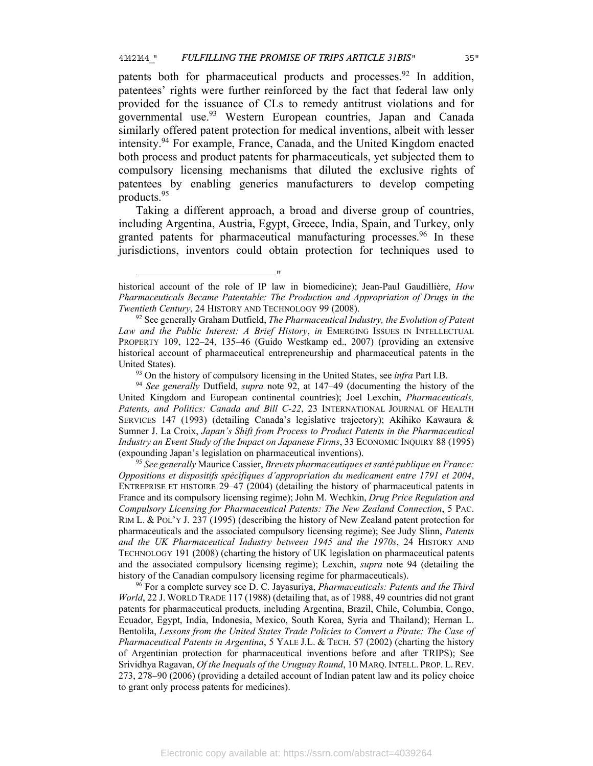patents both for pharmaceutical products and processes.<sup>92</sup> In addition, patentees' rights were further reinforced by the fact that federal law only provided for the issuance of CLs to remedy antitrust violations and for governmental use.93 Western European countries, Japan and Canada similarly offered patent protection for medical inventions, albeit with lesser intensity.<sup>94</sup> For example, France, Canada, and the United Kingdom enacted both process and product patents for pharmaceuticals, yet subjected them to compulsory licensing mechanisms that diluted the exclusive rights of patentees by enabling generics manufacturers to develop competing products.95

Taking a different approach, a broad and diverse group of countries, including Argentina, Austria, Egypt, Greece, India, Spain, and Turkey, only granted patents for pharmaceutical manufacturing processes.<sup>96</sup> In these jurisdictions, inventors could obtain protection for techniques used to

historical account of the role of IP law in biomedicine); Jean-Paul Gaudillière, *How Pharmaceuticals Became Patentable: The Production and Appropriation of Drugs in the Twentieth Century*, 24 HISTORY AND TECHNOLOGY 99 (2008). <sup>92</sup> See generally Graham Dutfield, *The Pharmaceutical Industry, the Evolution of Patent* 

*Law and the Public Interest: A Brief History*, *in* EMERGING ISSUES IN INTELLECTUAL PROPERTY 109, 122–24, 135–46 (Guido Westkamp ed., 2007) (providing an extensive historical account of pharmaceutical entrepreneurship and pharmaceutical patents in the

United States).<br><sup>93</sup> On the history of compulsory licensing in the United States, see *infra* Part I.B.<br><sup>94</sup> *See generally* Dutfield, *supra* note 92, at 147–49 (documenting the history of the United Kingdom and European continental countries); Joel Lexchin, *Pharmaceuticals, Patents, and Politics: Canada and Bill C-22*, 23 INTERNATIONAL JOURNAL OF HEALTH SERVICES 147 (1993) (detailing Canada's legislative trajectory); Akihiko Kawaura & Sumner J. La Croix, *Japan's Shift from Process to Product Patents in the Pharmaceutical Industry an Event Study of the Impact on Japanese Firms*, 33 ECONOMIC INQUIRY 88 (1995) (expounding Japan's legislation on pharmaceutical inventions). 95 *See generally* Maurice Cassier, *Brevets pharmaceutiques et santé publique en France:* 

*Oppositions et dispositifs spécifiques d'appropriation du medicament entre 1791 et 2004*, ENTREPRISE ET HISTOIRE 29–47 (2004) (detailing the history of pharmaceutical patents in France and its compulsory licensing regime); John M. Wechkin, *Drug Price Regulation and Compulsory Licensing for Pharmaceutical Patents: The New Zealand Connection*, 5 PAC. RIM L. & POL'Y J. 237 (1995) (describing the history of New Zealand patent protection for pharmaceuticals and the associated compulsory licensing regime); See Judy Slinn, *Patents and the UK Pharmaceutical Industry between 1945 and the 1970s*, 24 HISTORY AND TECHNOLOGY 191 (2008) (charting the history of UK legislation on pharmaceutical patents and the associated compulsory licensing regime); Lexchin, *supra* note 94 (detailing the history of the Canadian compulsory licensing regime for pharmaceuticals). 96 For a complete survey see D. C. Jayasuriya, *Pharmaceuticals: Patents and the Third* 

*World*, 22 J. WORLD TRADE 117 (1988) (detailing that, as of 1988, 49 countries did not grant patents for pharmaceutical products, including Argentina, Brazil, Chile, Columbia, Congo, Ecuador, Egypt, India, Indonesia, Mexico, South Korea, Syria and Thailand); Hernan L. Bentolila, *Lessons from the United States Trade Policies to Convert a Pirate: The Case of Pharmaceutical Patents in Argentina*, 5 YALE J.L. & TECH. 57 (2002) (charting the history of Argentinian protection for pharmaceutical inventions before and after TRIPS); See Srividhya Ragavan, *Of the Inequals of the Uruguay Round*, 10 MARQ. INTELL. PROP. L. REV. 273, 278–90 (2006) (providing a detailed account of Indian patent law and its policy choice to grant only process patents for medicines).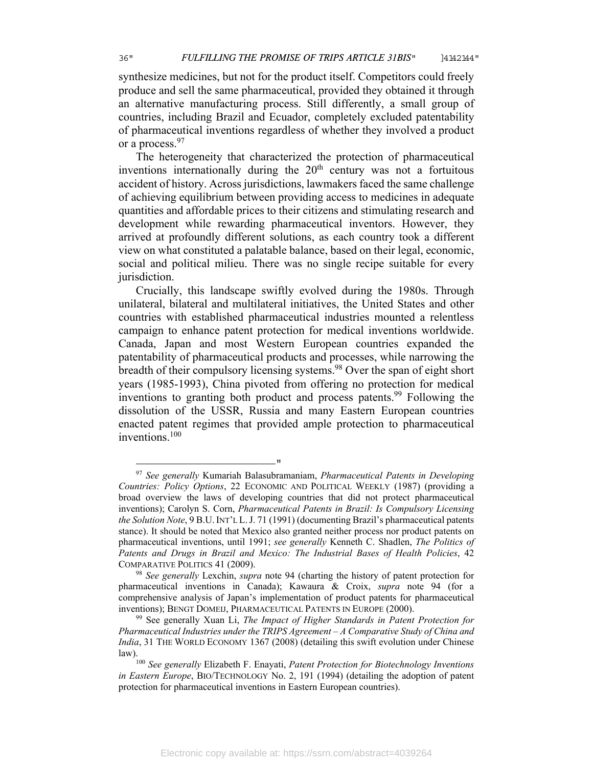synthesize medicines, but not for the product itself. Competitors could freely produce and sell the same pharmaceutical, provided they obtained it through an alternative manufacturing process. Still differently, a small group of countries, including Brazil and Ecuador, completely excluded patentability of pharmaceutical inventions regardless of whether they involved a product or a process.<sup>97</sup>

The heterogeneity that characterized the protection of pharmaceutical inventions internationally during the  $20<sup>th</sup>$  century was not a fortuitous accident of history. Across jurisdictions, lawmakers faced the same challenge of achieving equilibrium between providing access to medicines in adequate quantities and affordable prices to their citizens and stimulating research and development while rewarding pharmaceutical inventors. However, they arrived at profoundly different solutions, as each country took a different view on what constituted a palatable balance, based on their legal, economic, social and political milieu. There was no single recipe suitable for every jurisdiction.

Crucially, this landscape swiftly evolved during the 1980s. Through unilateral, bilateral and multilateral initiatives, the United States and other countries with established pharmaceutical industries mounted a relentless campaign to enhance patent protection for medical inventions worldwide. Canada, Japan and most Western European countries expanded the patentability of pharmaceutical products and processes, while narrowing the breadth of their compulsory licensing systems.<sup>98</sup> Over the span of eight short years (1985-1993), China pivoted from offering no protection for medical inventions to granting both product and process patents.<sup>99</sup> Following the dissolution of the USSR, Russia and many Eastern European countries enacted patent regimes that provided ample protection to pharmaceutical inventions.100

 $\mathbf{u}$ 

 $36"$ 

<sup>97</sup> *See generally* Kumariah Balasubramaniam, *Pharmaceutical Patents in Developing Countries: Policy Options*, 22 ECONOMIC AND POLITICAL WEEKLY (1987) (providing a broad overview the laws of developing countries that did not protect pharmaceutical inventions); Carolyn S. Corn, *Pharmaceutical Patents in Brazil: Is Compulsory Licensing the Solution Note*, 9 B.U.INT'L L.J. 71 (1991) (documenting Brazil's pharmaceutical patents stance). It should be noted that Mexico also granted neither process nor product patents on pharmaceutical inventions, until 1991; *see generally* Kenneth C. Shadlen, *The Politics of Patents and Drugs in Brazil and Mexico: The Industrial Bases of Health Policies*, 42 COMPARATIVE POLITICS 41 (2009). 98 *See generally* Lexchin, *supra* note 94 (charting the history of patent protection for

pharmaceutical inventions in Canada); Kawaura & Croix, *supra* note 94 (for a comprehensive analysis of Japan's implementation of product patents for pharmaceutical inventions); BENGT DOMEIJ, PHARMACEUTICAL PATENTS IN EUROPE (2000). 99 See generally Xuan Li, *The Impact of Higher Standards in Patent Protection for* 

*Pharmaceutical Industries under the TRIPS Agreement – A Comparative Study of China and India*, 31 THE WORLD ECONOMY 1367 (2008) (detailing this swift evolution under Chinese

law). 100 *See generally* Elizabeth F. Enayati, *Patent Protection for Biotechnology Inventions in Eastern Europe*, BIO/TECHNOLOGY No. 2, 191 (1994) (detailing the adoption of patent protection for pharmaceutical inventions in Eastern European countries).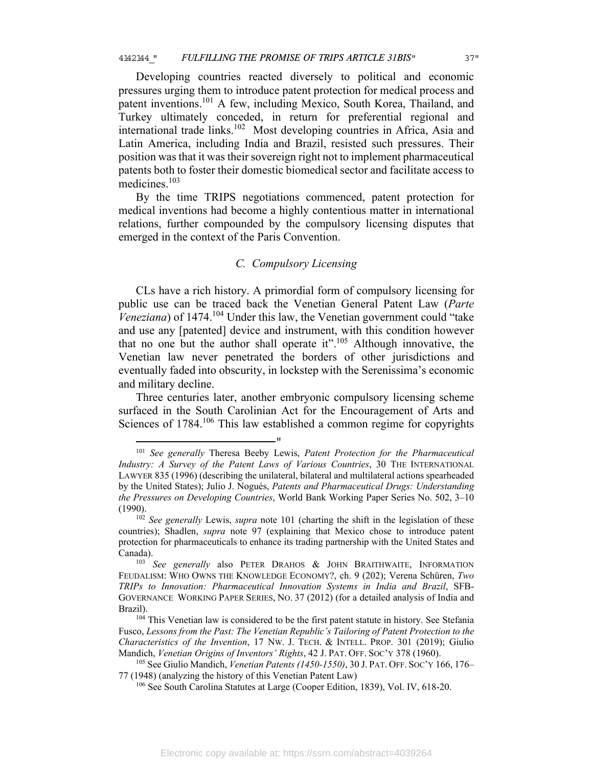Developing countries reacted diversely to political and economic pressures urging them to introduce patent protection for medical process and patent inventions.101 A few, including Mexico, South Korea, Thailand, and Turkey ultimately conceded, in return for preferential regional and international trade links.<sup>102</sup> Most developing countries in Africa, Asia and Latin America, including India and Brazil, resisted such pressures. Their position was that it was their sovereign right not to implement pharmaceutical patents both to foster their domestic biomedical sector and facilitate access to medicines.103

By the time TRIPS negotiations commenced, patent protection for medical inventions had become a highly contentious matter in international relations, further compounded by the compulsory licensing disputes that emerged in the context of the Paris Convention.

# *C. Compulsory Licensing*

CLs have a rich history. A primordial form of compulsory licensing for public use can be traced back the Venetian General Patent Law (*Parte Veneziana*) of 1474.104 Under this law, the Venetian government could "take and use any [patented] device and instrument, with this condition however that no one but the author shall operate it".<sup>105</sup> Although innovative, the Venetian law never penetrated the borders of other jurisdictions and eventually faded into obscurity, in lockstep with the Serenissima's economic and military decline.

Three centuries later, another embryonic compulsory licensing scheme surfaced in the South Carolinian Act for the Encouragement of Arts and Sciences of 1784.<sup>106</sup> This law established a common regime for copyrights

<sup>101</sup> *See generally* Theresa Beeby Lewis, *Patent Protection for the Pharmaceutical Industry: A Survey of the Patent Laws of Various Countries*, 30 THE INTERNATIONAL LAWYER 835 (1996) (describing the unilateral, bilateral and multilateral actions spearheaded by the United States); Julio J. Nogués, *Patents and Pharmaceutical Drugs: Understanding the Pressures on Developing Countries*, World Bank Working Paper Series No. 502, 3–10 (1990). 102 *See generally* Lewis, *supra* note 101 (charting the shift in the legislation of these

countries); Shadlen, *supra* note 97 (explaining that Mexico chose to introduce patent protection for pharmaceuticals to enhance its trading partnership with the United States and Canada). 103 *See generally* also PETER DRAHOS & JOHN BRAITHWAITE, INFORMATION

FEUDALISM: WHO OWNS THE KNOWLEDGE ECONOMY?, ch. 9 (202); Verena Schüren, *Two TRIPs to Innovation: Pharmaceutical Innovation Systems in India and Brazil*, SFB-GOVERNANCE WORKING PAPER SERIES, NO. 37 (2012) (for a detailed analysis of India and Brazil).<br><sup>104</sup> This Venetian law is considered to be the first patent statute in history. See Stefania

Fusco, *Lessons from the Past: The Venetian Republic's Tailoring of Patent Protection to the Characteristics of the Invention*, 17 NW. J. TECH. & INTELL. PROP. 301 (2019); Giulio Mandich, *Venetian Origins of Inventors' Rights*, 42 J. PAT. OFF. SOC'Y 378 (1960).<br><sup>105</sup> See Giulio Mandich, *Venetian Patents (1450-1550)*, 30 J. PAT. OFF. SOC'Y 166, 176–

<sup>77 (1948) (</sup>analyzing the history of this Venetian Patent Law) 106 See South Carolina Statutes at Large (Cooper Edition, 1839), Vol. IV, 618-20.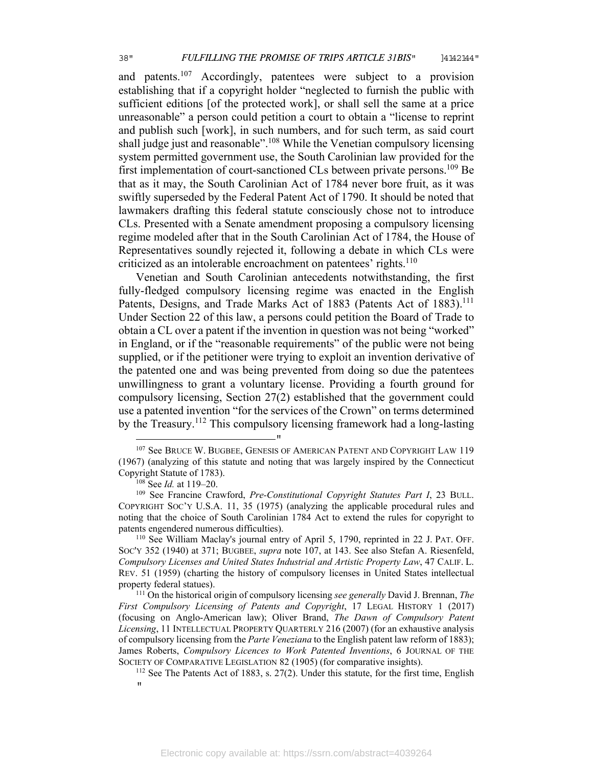and patents.<sup>107</sup> Accordingly, patentees were subject to a provision establishing that if a copyright holder "neglected to furnish the public with sufficient editions [of the protected work], or shall sell the same at a price unreasonable" a person could petition a court to obtain a "license to reprint and publish such [work], in such numbers, and for such term, as said court shall judge just and reasonable".<sup>108</sup> While the Venetian compulsory licensing system permitted government use, the South Carolinian law provided for the first implementation of court-sanctioned CLs between private persons.<sup>109</sup> Be that as it may, the South Carolinian Act of 1784 never bore fruit, as it was swiftly superseded by the Federal Patent Act of 1790. It should be noted that lawmakers drafting this federal statute consciously chose not to introduce CLs. Presented with a Senate amendment proposing a compulsory licensing regime modeled after that in the South Carolinian Act of 1784, the House of Representatives soundly rejected it, following a debate in which CLs were criticized as an intolerable encroachment on patentees' rights. $110$ 

Venetian and South Carolinian antecedents notwithstanding, the first fully-fledged compulsory licensing regime was enacted in the English Patents, Designs, and Trade Marks Act of 1883 (Patents Act of 1883).<sup>111</sup> Under Section 22 of this law, a persons could petition the Board of Trade to obtain a CL over a patent if the invention in question was not being "worked" in England, or if the "reasonable requirements" of the public were not being supplied, or if the petitioner were trying to exploit an invention derivative of the patented one and was being prevented from doing so due the patentees unwillingness to grant a voluntary license. Providing a fourth ground for compulsory licensing, Section 27(2) established that the government could use a patented invention "for the services of the Crown" on terms determined by the Treasury.112 This compulsory licensing framework had a long-lasting

<sup>&</sup>lt;sup>107</sup> See Bruce W. Bugbee, Genesis of American Patent and Copyright Law 119 (1967) (analyzing of this statute and noting that was largely inspired by the Connecticut Copyright Statute of 1783). 108 See *Id.* at 119–20. 109 See Francine Crawford, *Pre-Constitutional Copyright Statutes Part I*, 23 BULL.

COPYRIGHT SOC'Y U.S.A. 11, 35 (1975) (analyzing the applicable procedural rules and noting that the choice of South Carolinian 1784 Act to extend the rules for copyright to patents engendered numerous difficulties).<br><sup>110</sup> See William Maclay's journal entry of April 5, 1790, reprinted in 22 J. PAT. OFF.

SOC'Y 352 (1940) at 371; BUGBEE, *supra* note 107, at 143. See also Stefan A. Riesenfeld, *Compulsory Licenses and United States Industrial and Artistic Property Law*, 47 CALIF. L. REV. 51 (1959) (charting the history of compulsory licenses in United States intellectual property federal statues). 111 On the historical origin of compulsory licensing *see generally* David J. Brennan, *The* 

*First Compulsory Licensing of Patents and Copyright*, 17 LEGAL HISTORY 1 (2017) (focusing on Anglo-American law); Oliver Brand, *The Dawn of Compulsory Patent Licensing*, 11 INTELLECTUAL PROPERTY QUARTERLY 216 (2007) (for an exhaustive analysis of compulsory licensing from the *Parte Veneziana* to the English patent law reform of 1883); James Roberts, *Compulsory Licences to Work Patented Inventions*, 6 JOURNAL OF THE SOCIETY OF COMPARATIVE LEGISLATION 82 (1905) (for comparative insights).<br><sup>112</sup> See The Patents Act of 1883, s. 27(2). Under this statute, for the first time, English

 $\mathbf{u}$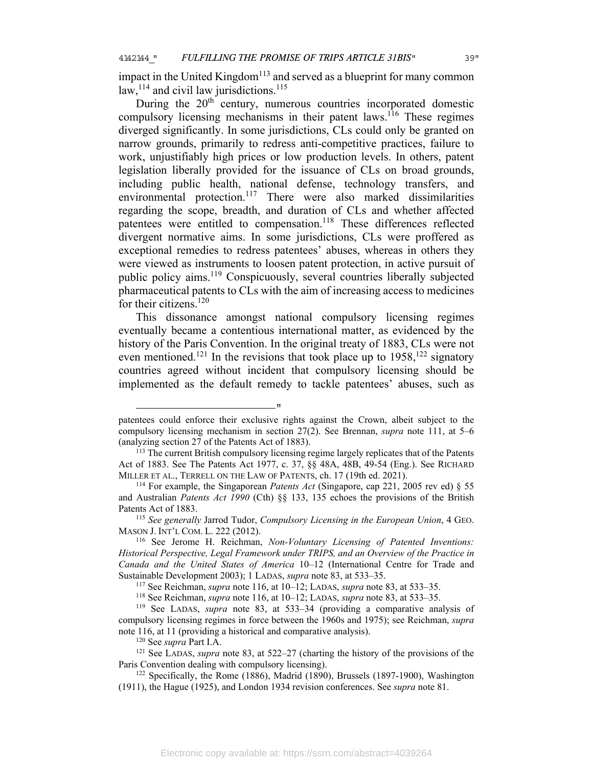impact in the United  $Kingdom<sup>113</sup>$  and served as a blueprint for many common law,  $114$  and civil law jurisdictions.<sup>115</sup>

During the 20<sup>th</sup> century, numerous countries incorporated domestic compulsory licensing mechanisms in their patent laws.<sup>116</sup> These regimes diverged significantly. In some jurisdictions, CLs could only be granted on narrow grounds, primarily to redress anti-competitive practices, failure to work, unjustifiably high prices or low production levels. In others, patent legislation liberally provided for the issuance of CLs on broad grounds, including public health, national defense, technology transfers, and environmental protection.<sup>117</sup> There were also marked dissimilarities regarding the scope, breadth, and duration of CLs and whether affected patentees were entitled to compensation.<sup>118</sup> These differences reflected divergent normative aims. In some jurisdictions, CLs were proffered as exceptional remedies to redress patentees' abuses, whereas in others they were viewed as instruments to loosen patent protection, in active pursuit of public policy aims.119 Conspicuously, several countries liberally subjected pharmaceutical patents to CLs with the aim of increasing access to medicines for their citizens.<sup>120</sup>

This dissonance amongst national compulsory licensing regimes eventually became a contentious international matter, as evidenced by the history of the Paris Convention. In the original treaty of 1883, CLs were not even mentioned.<sup>121</sup> In the revisions that took place up to  $1958$ ,<sup>122</sup> signatory countries agreed without incident that compulsory licensing should be implemented as the default remedy to tackle patentees' abuses, such as

patentees could enforce their exclusive rights against the Crown, albeit subject to the compulsory licensing mechanism in section 27(2). See Brennan, *supra* note 111, at 5–6 (analyzing section 27 of the Patents Act of 1883).<br><sup>113</sup> The current British compulsory licensing regime largely replicates that of the Patents

Act of 1883. See The Patents Act 1977, c. 37, §§ 48A, 48B, 49-54 (Eng.). See RICHARD MILLER ET AL., TERRELL ON THE LAW OF PATENTS, ch. 17 (19th ed. 2021).<br><sup>114</sup> For example, the Singaporean *Patents Act* (Singapore, cap 221, 2005 rev ed) § 55

and Australian *Patents Act 1990* (Cth) §§ 133, 135 echoes the provisions of the British Patents Act of 1883. 115 *See generally* Jarrod Tudor, *Compulsory Licensing in the European Union*, 4 GEO.

MASON J. INT'L COM. L. 222 (2012).<br><sup>116</sup> See Jerome H. Reichman, *Non-Voluntary Licensing of Patented Inventions:* 

*Historical Perspective, Legal Framework under TRIPS, and an Overview of the Practice in Canada and the United States of America* 10–12 (International Centre for Trade and Sustainable Development 2003); 1 LADAS, *supra* note 83, at 533–35.<br><sup>117</sup> See Reichman, *supra* note 116, at 10–12; LADAS, *supra* note 83, at 533–35.<br><sup>118</sup> See Reichman, *supra* note 116, at 10–12; LADAS, *supra* note 83

compulsory licensing regimes in force between the 1960s and 1975); see Reichman, *supra* note 116, at 11 (providing a historical and comparative analysis).<br><sup>120</sup> See *supra* Part I.A. <sup>121</sup> See LADAS, *supra* note 83, at 522–27 (charting the history of the provisions of the

Paris Convention dealing with compulsory licensing).<br><sup>122</sup> Specifically, the Rome (1886), Madrid (1890), Brussels (1897-1900), Washington

<sup>(1911),</sup> the Hague (1925), and London 1934 revision conferences. See *supra* note 81.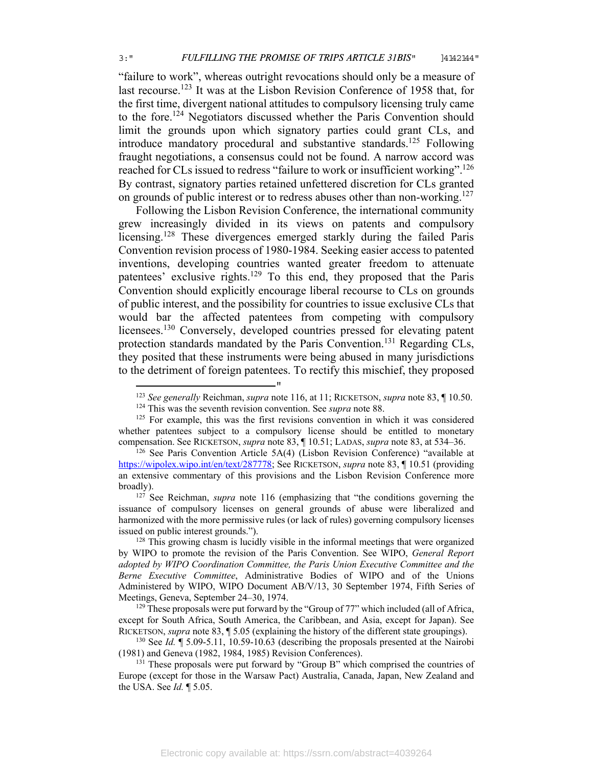"failure to work", whereas outright revocations should only be a measure of last recourse.123 It was at the Lisbon Revision Conference of 1958 that, for the first time, divergent national attitudes to compulsory licensing truly came to the fore.124 Negotiators discussed whether the Paris Convention should limit the grounds upon which signatory parties could grant CLs, and introduce mandatory procedural and substantive standards.<sup>125</sup> Following fraught negotiations, a consensus could not be found. A narrow accord was reached for CLs issued to redress "failure to work or insufficient working".<sup>126</sup> By contrast, signatory parties retained unfettered discretion for CLs granted on grounds of public interest or to redress abuses other than non-working.<sup>127</sup>

Following the Lisbon Revision Conference, the international community grew increasingly divided in its views on patents and compulsory licensing.<sup>128</sup> These divergences emerged starkly during the failed Paris Convention revision process of 1980-1984. Seeking easier access to patented inventions, developing countries wanted greater freedom to attenuate patentees' exclusive rights.<sup>129</sup> To this end, they proposed that the Paris Convention should explicitly encourage liberal recourse to CLs on grounds of public interest, and the possibility for countries to issue exclusive CLs that would bar the affected patentees from competing with compulsory licensees.<sup>130</sup> Conversely, developed countries pressed for elevating patent protection standards mandated by the Paris Convention.<sup>131</sup> Regarding CLs, they posited that these instruments were being abused in many jurisdictions to the detriment of foreign patentees. To rectify this mischief, they proposed

J)

<sup>&</sup>lt;sup>123</sup> See generally Reichman, *supra* note 116, at 11; RICKETSON, *supra* note 83,  $\P$  10.50.<br><sup>124</sup> This was the seventh revision convention. See *supra* note 88.<br><sup>125</sup> For example, this was the first revisions convention

whether patentees subject to a compulsory license should be entitled to monetary compensation. See RICKETSON, *supra* note 83, ¶ 10.51; LADAS, *supra* note 83, at 534–36.<br><sup>126</sup> See Paris Convention Article 5A(4) (Lisbon Revision Conference) "available at

https://wipolex.wipo.int/en/text/287778; See RICKETSON, *supra* note 83, ¶ 10.51 (providing an extensive commentary of this provisions and the Lisbon Revision Conference more broadly). 127 See Reichman, *supra* note 116 (emphasizing that "the conditions governing the

issuance of compulsory licenses on general grounds of abuse were liberalized and harmonized with the more permissive rules (or lack of rules) governing compulsory licenses issued on public interest grounds.").<br><sup>128</sup> This growing chasm is lucidly visible in the informal meetings that were organized

by WIPO to promote the revision of the Paris Convention. See WIPO, *General Report adopted by WIPO Coordination Committee, the Paris Union Executive Committee and the Berne Executive Committee*, Administrative Bodies of WIPO and of the Unions Administered by WIPO, WIPO Document AB/V/13, 30 September 1974, Fifth Series of Meetings, Geneva, September 24–30, 1974.<br><sup>129</sup> These proposals were put forward by the "Group of 77" which included (all of Africa,

except for South Africa, South America, the Caribbean, and Asia, except for Japan). See RICKETSON, *supra* note 83, ¶ 5.05 (explaining the history of the different state groupings).<br><sup>130</sup> See *Id.* ¶ 5.09-5.11, 10.59-10.63 (describing the proposals presented at the Nairobi

<sup>(1981)</sup> and Geneva (1982, 1984, 1985) Revision Conferences). 131 These proposals were put forward by "Group B" which comprised the countries of

Europe (except for those in the Warsaw Pact) Australia, Canada, Japan, New Zealand and the USA. See *Id.* ¶ 5.05.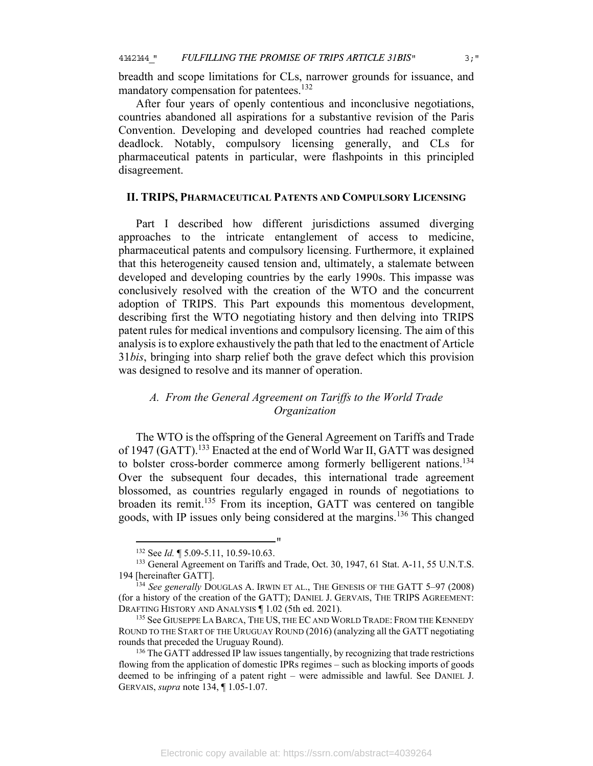breadth and scope limitations for CLs, narrower grounds for issuance, and mandatory compensation for patentees.<sup>132</sup>

After four years of openly contentious and inconclusive negotiations, countries abandoned all aspirations for a substantive revision of the Paris Convention. Developing and developed countries had reached complete deadlock. Notably, compulsory licensing generally, and CLs for pharmaceutical patents in particular, were flashpoints in this principled disagreement.

#### **II. TRIPS, PHARMACEUTICAL PATENTS AND COMPULSORY LICENSING**

Part I described how different jurisdictions assumed diverging approaches to the intricate entanglement of access to medicine, pharmaceutical patents and compulsory licensing. Furthermore, it explained that this heterogeneity caused tension and, ultimately, a stalemate between developed and developing countries by the early 1990s. This impasse was conclusively resolved with the creation of the WTO and the concurrent adoption of TRIPS. This Part expounds this momentous development, describing first the WTO negotiating history and then delving into TRIPS patent rules for medical inventions and compulsory licensing. The aim of this analysis is to explore exhaustively the path that led to the enactment of Article 31*bis*, bringing into sharp relief both the grave defect which this provision was designed to resolve and its manner of operation.

# *A. From the General Agreement on Tariffs to the World Trade Organization*

The WTO is the offspring of the General Agreement on Tariffs and Trade of 1947 (GATT).<sup>133</sup> Enacted at the end of World War II, GATT was designed to bolster cross-border commerce among formerly belligerent nations.<sup>134</sup> Over the subsequent four decades, this international trade agreement blossomed, as countries regularly engaged in rounds of negotiations to broaden its remit.<sup>135</sup> From its inception, GATT was centered on tangible goods, with IP issues only being considered at the margins.<sup>136</sup> This changed

 $\mathbf{u}$ 

<sup>&</sup>lt;sup>132</sup> See *Id.* ¶ 5.09-5.11, 10.59-10.63.<br><sup>133</sup> General Agreement on Tariffs and Trade, Oct. 30, 1947, 61 Stat. A-11, 55 U.N.T.S. 194 [hereinafter GATT]. 134 *See generally* DOUGLAS A. IRWIN ET AL., THE GENESIS OF THE GATT 5–97 (2008)

<sup>(</sup>for a history of the creation of the GATT); DANIEL J. GERVAIS, THE TRIPS AGREEMENT: DRAFTING HISTORY AND ANALYSIS **[1.02 (5th ed. 2021).** 135 See Giuseppe La Barca, The US, The EC and World Trade: From the Kennedy

ROUND TO THE START OF THE URUGUAY ROUND (2016) (analyzing all the GATT negotiating rounds that preceded the Uruguay Round).<br><sup>136</sup> The GATT addressed IP law issues tangentially, by recognizing that trade restrictions

flowing from the application of domestic IPRs regimes – such as blocking imports of goods deemed to be infringing of a patent right – were admissible and lawful. See DANIEL J. GERVAIS, *supra* note 134, ¶ 1.05-1.07.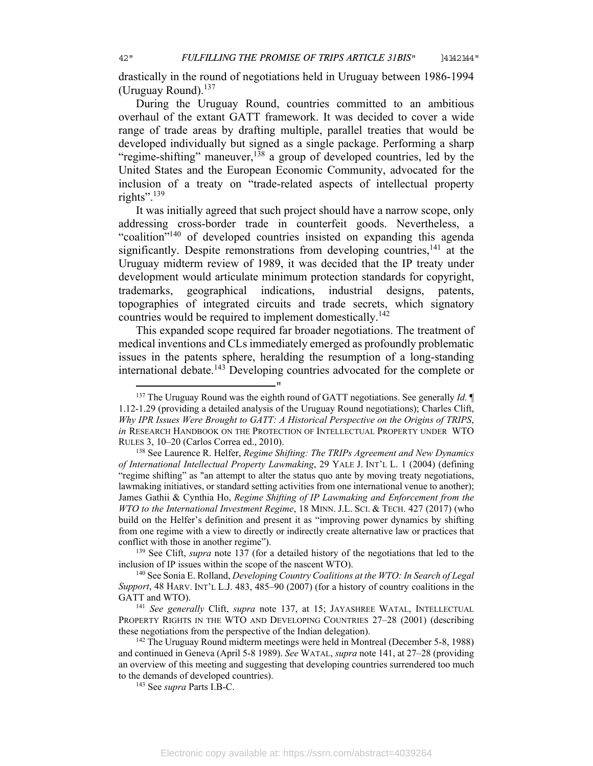drastically in the round of negotiations held in Uruguay between 1986-1994 (Uruguay Round). $137$ 

During the Uruguay Round, countries committed to an ambitious overhaul of the extant GATT framework. It was decided to cover a wide range of trade areas by drafting multiple, parallel treaties that would be developed individually but signed as a single package. Performing a sharp "regime-shifting" maneuver,  $138$  a group of developed countries, led by the United States and the European Economic Community, advocated for the inclusion of a treaty on "trade-related aspects of intellectual property rights".<sup>139</sup>

It was initially agreed that such project should have a narrow scope, only addressing cross-border trade in counterfeit goods. Nevertheless, a "coalition"140 of developed countries insisted on expanding this agenda significantly. Despite remonstrations from developing countries,  $141$  at the Uruguay midterm review of 1989, it was decided that the IP treaty under development would articulate minimum protection standards for copyright, trademarks, geographical indications, industrial designs, patents, topographies of integrated circuits and trade secrets, which signatory countries would be required to implement domestically.<sup>142</sup>

This expanded scope required far broader negotiations. The treatment of medical inventions and CLs immediately emerged as profoundly problematic issues in the patents sphere, heralding the resumption of a long-standing international debate.<sup>143</sup> Developing countries advocated for the complete or

 $\overline{\phantom{a}}$ 

inclusion of IP issues within the scope of the nascent WTO).<br><sup>140</sup> See Sonia E. Rolland, *Developing Country Coalitions at the WTO: In Search of Legal* 

*Support*, 48 HARV. INT'L L.J. 483, 485–90 (2007) (for a history of country coalitions in the GATT and WTO).<br><sup>141</sup> *See generally* Clift, *supra* note 137, at 15; JAYASHREE WATAL, INTELLECTUAL

PROPERTY RIGHTS IN THE WTO AND DEVELOPING COUNTRIES 27–28 (2001) (describing these negotiations from the perspective of the Indian delegation).<br><sup>142</sup> The Uruguay Round midterm meetings were held in Montreal (December 5-8, 1988)

<sup>137</sup> The Uruguay Round was the eighth round of GATT negotiations. See generally *Id.* ¶ 1.12-1.29 (providing a detailed analysis of the Uruguay Round negotiations); Charles Clift, *Why IPR Issues Were Brought to GATT: A Historical Perspective on the Origins of TRIPS*, *in* RESEARCH HANDBOOK ON THE PROTECTION OF INTELLECTUAL PROPERTY UNDER WTO RULES 3, 10–20 (Carlos Correa ed., 2010).<br><sup>138</sup> See Laurence R. Helfer, *Regime Shifting: The TRIPs Agreement and New Dynamics* 

*of International Intellectual Property Lawmaking*, 29 YALE J. INT'L L. 1 (2004) (defining "regime shifting" as "an attempt to alter the status quo ante by moving treaty negotiations, lawmaking initiatives, or standard setting activities from one international venue to another); James Gathii & Cynthia Ho, *Regime Shifting of IP Lawmaking and Enforcement from the WTO to the International Investment Regime*, 18 MINN. J.L. SCI. & TECH. 427 (2017) (who build on the Helfer's definition and present it as "improving power dynamics by shifting from one regime with a view to directly or indirectly create alternative law or practices that conflict with those in another regime").<br><sup>139</sup> See Clift, *supra* note 137 (for a detailed history of the negotiations that led to the

and continued in Geneva (April 5-8 1989). *See* WATAL, *supra* note 141, at 27–28 (providing an overview of this meeting and suggesting that developing countries surrendered too much to the demands of developed countries). 143 See *supra* Parts I.B-C.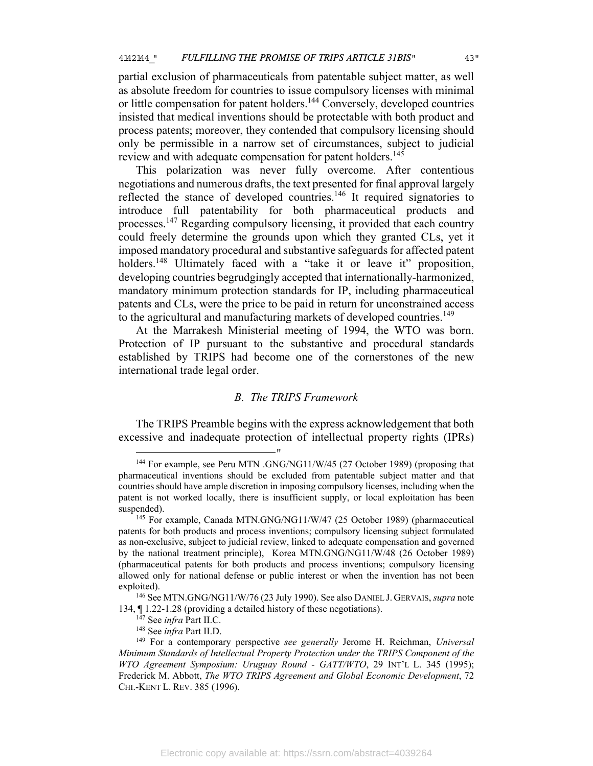partial exclusion of pharmaceuticals from patentable subject matter, as well as absolute freedom for countries to issue compulsory licenses with minimal or little compensation for patent holders.<sup>144</sup> Conversely, developed countries insisted that medical inventions should be protectable with both product and process patents; moreover, they contended that compulsory licensing should only be permissible in a narrow set of circumstances, subject to judicial review and with adequate compensation for patent holders.<sup>145</sup>

This polarization was never fully overcome. After contentious negotiations and numerous drafts, the text presented for final approval largely reflected the stance of developed countries.<sup>146</sup> It required signatories to introduce full patentability for both pharmaceutical products and processes.<sup>147</sup> Regarding compulsory licensing, it provided that each country could freely determine the grounds upon which they granted CLs, yet it imposed mandatory procedural and substantive safeguards for affected patent holders.<sup>148</sup> Ultimately faced with a "take it or leave it" proposition, developing countries begrudgingly accepted that internationally-harmonized, mandatory minimum protection standards for IP, including pharmaceutical patents and CLs, were the price to be paid in return for unconstrained access to the agricultural and manufacturing markets of developed countries.<sup>149</sup>

At the Marrakesh Ministerial meeting of 1994, the WTO was born. Protection of IP pursuant to the substantive and procedural standards established by TRIPS had become one of the cornerstones of the new international trade legal order.

#### *B. The TRIPS Framework*

The TRIPS Preamble begins with the express acknowledgement that both excessive and inadequate protection of intellectual property rights (IPRs)

<sup>&</sup>lt;sup>144</sup> For example, see Peru MTN .GNG/NG11/W/45 (27 October 1989) (proposing that pharmaceutical inventions should be excluded from patentable subject matter and that countries should have ample discretion in imposing compulsory licenses, including when the patent is not worked locally, there is insufficient supply, or local exploitation has been suspended).<br><sup>145</sup> For example, Canada MTN.GNG/NG11/W/47 (25 October 1989) (pharmaceutical

patents for both products and process inventions; compulsory licensing subject formulated as non-exclusive, subject to judicial review, linked to adequate compensation and governed by the national treatment principle), Korea MTN.GNG/NG11/W/48 (26 October 1989) (pharmaceutical patents for both products and process inventions; compulsory licensing allowed only for national defense or public interest or when the invention has not been

exploited).<br><sup>146</sup> See MTN.GNG/NG11/W/76 (23 July 1990). See also DANIEL J. GERVAIS, *supra* note<br>134, ¶ 1.22-1.28 (providing a detailed history of these negotiations).

<sup>&</sup>lt;sup>147</sup> See *infra* Part II.C.<br><sup>148</sup> See *infra* Part II.D.<br><sup>149</sup> For a contemporary perspective *see generally* Jerome H. Reichman, *Universal Minimum Standards of Intellectual Property Protection under the TRIPS Component of the WTO Agreement Symposium: Uruguay Round - GATT/WTO*, 29 INT'L L. 345 (1995); Frederick M. Abbott, *The WTO TRIPS Agreement and Global Economic Development*, 72 CHI.-KENT L. REV. 385 (1996).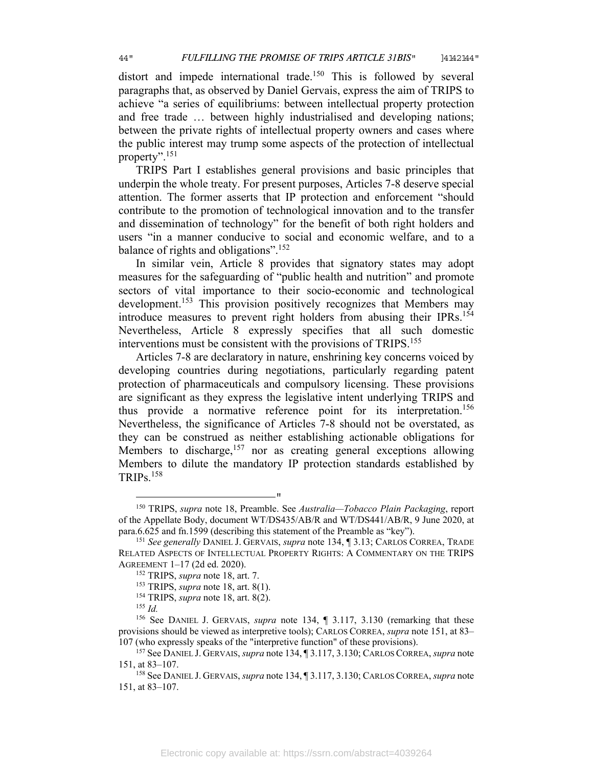distort and impede international trade.<sup>150</sup> This is followed by several paragraphs that, as observed by Daniel Gervais, express the aim of TRIPS to achieve "a series of equilibriums: between intellectual property protection and free trade … between highly industrialised and developing nations; between the private rights of intellectual property owners and cases where the public interest may trump some aspects of the protection of intellectual property".<sup>151</sup>

TRIPS Part I establishes general provisions and basic principles that underpin the whole treaty. For present purposes, Articles 7-8 deserve special attention. The former asserts that IP protection and enforcement "should contribute to the promotion of technological innovation and to the transfer and dissemination of technology" for the benefit of both right holders and users "in a manner conducive to social and economic welfare, and to a balance of rights and obligations".<sup>152</sup>

In similar vein, Article 8 provides that signatory states may adopt measures for the safeguarding of "public health and nutrition" and promote sectors of vital importance to their socio-economic and technological development.<sup>153</sup> This provision positively recognizes that Members may introduce measures to prevent right holders from abusing their IPRs.<sup>154</sup> Nevertheless, Article 8 expressly specifies that all such domestic interventions must be consistent with the provisions of TRIPS.<sup>155</sup>

Articles 7-8 are declaratory in nature, enshrining key concerns voiced by developing countries during negotiations, particularly regarding patent protection of pharmaceuticals and compulsory licensing. These provisions are significant as they express the legislative intent underlying TRIPS and thus provide a normative reference point for its interpretation.<sup>156</sup> Nevertheless, the significance of Articles 7-8 should not be overstated, as they can be construed as neither establishing actionable obligations for Members to discharge,  $157$  nor as creating general exceptions allowing Members to dilute the mandatory IP protection standards established by TRIPs.158

<sup>150</sup> TRIPS, *supra* note 18, Preamble. See *Australia—Tobacco Plain Packaging*, report of the Appellate Body, document WT/DS435/AB/R and WT/DS441/AB/R, 9 June 2020, at

para.6.625 and fn.1599 (describing this statement of the Preamble as "key").<br><sup>151</sup> *See generally* DANIEL J. GERVAIS, *supra* note 134, ¶ 3.13; CARLOS CORREA, TRADE RELATED ASPECTS OF INTELLECTUAL PROPERTY RIGHTS: A COMMENTARY ON THE TRIPS AGREEMENT 1–17 (2d ed. 2020).<br><sup>152</sup> TRIPS, *supra* note 18, art. 7.<br><sup>153</sup> TRIPS, *supra* note 18, art. 8(1).<br><sup>154</sup> TRIPS, *supra* note 18, art. 8(2).<br><sup>155</sup> *Id* 

<sup>156</sup> See DANIEL J. GERVAIS, *supra* note 134, ¶ 3.117, 3.130 (remarking that these provisions should be viewed as interpretive tools); CARLOS CORREA, *supra* note 151, at 83– 107 (who expressly speaks of the "interpretive function" of these provisions). 157 See DANIEL J. GERVAIS, *supra* note 134, ¶ 3.117, 3.130; CARLOS CORREA, *supra* note

<sup>151,</sup> at 83–107. 158 See DANIEL J. GERVAIS, *supra* note 134, ¶ 3.117, 3.130; CARLOS CORREA, *supra* note

<sup>151,</sup> at 83–107.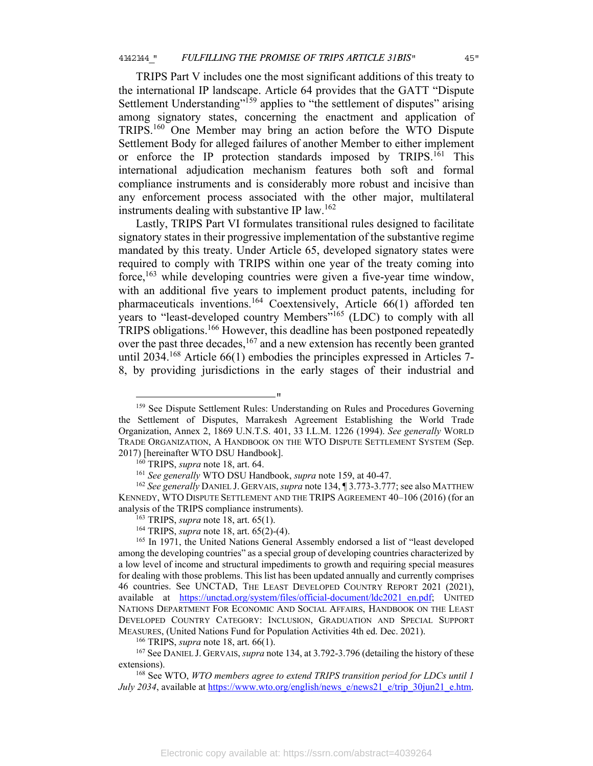TRIPS Part V includes one the most significant additions of this treaty to the international IP landscape. Article 64 provides that the GATT "Dispute Settlement Understanding"<sup>159</sup> applies to "the settlement of disputes" arising among signatory states, concerning the enactment and application of TRIPS.160 One Member may bring an action before the WTO Dispute Settlement Body for alleged failures of another Member to either implement or enforce the IP protection standards imposed by TRIPS.<sup>161</sup> This international adjudication mechanism features both soft and formal compliance instruments and is considerably more robust and incisive than any enforcement process associated with the other major, multilateral instruments dealing with substantive IP law.<sup>162</sup>

Lastly, TRIPS Part VI formulates transitional rules designed to facilitate signatory states in their progressive implementation of the substantive regime mandated by this treaty. Under Article 65, developed signatory states were required to comply with TRIPS within one year of the treaty coming into force,<sup>163</sup> while developing countries were given a five-year time window, with an additional five years to implement product patents, including for pharmaceuticals inventions.164 Coextensively, Article 66(1) afforded ten years to "least-developed country Members"165 (LDC) to comply with all TRIPS obligations.166 However, this deadline has been postponed repeatedly over the past three decades,  $167$  and a new extension has recently been granted until 2034.<sup>168</sup> Article  $66(1)$  embodies the principles expressed in Articles 7-8, by providing jurisdictions in the early stages of their industrial and

<sup>&</sup>lt;sup>159</sup> See Dispute Settlement Rules: Understanding on Rules and Procedures Governing the Settlement of Disputes, Marrakesh Agreement Establishing the World Trade Organization, Annex 2, 1869 U.N.T.S. 401, 33 I.L.M. 1226 (1994). *See generally* WORLD TRADE ORGANIZATION, A HANDBOOK ON THE WTO DISPUTE SETTLEMENT SYSTEM (Sep. 2017) [hereinafter WTO DSU Handbook].<br><sup>160</sup> TRIPS, *supra* note 18, art. 64.<br><sup>161</sup> *See generally* WTO DSU Handbook, *supra* note 159, at 40-47.<br><sup>162</sup> *See generally* DANIEL J. GERVAIS, *supra* note 134, 13.773-3.777; see

KENNEDY, WTO DISPUTE SETTLEMENT AND THE TRIPS AGREEMENT 40–106 (2016) (for an

analysis of the TRIPS compliance instruments).<br><sup>163</sup> TRIPS, *supra* note 18, art. 65(1).<br><sup>164</sup> TRIPS, *supra* note 18, art. 65(2)-(4).<br><sup>165</sup> In 1971, the United Nations General Assembly endorsed a list of "least developed among the developing countries" as a special group of developing countries characterized by a low level of income and structural impediments to growth and requiring special measures for dealing with those problems. This list has been updated annually and currently comprises 46 countries. See UNCTAD, THE LEAST DEVELOPED COUNTRY REPORT 2021 (2021), available at https://unctad.org/system/files/official-document/ldc2021\_en.pdf; UNITED NATIONS DEPARTMENT FOR ECONOMIC AND SOCIAL AFFAIRS, HANDBOOK ON THE LEAST DEVELOPED COUNTRY CATEGORY: INCLUSION, GRADUATION AND SPECIAL SUPPORT MEASURES, (United Nations Fund for Population Activities 4th ed. Dec. 2021).<br><sup>166</sup> TRIPS, *supra* note 18, art. 66(1).<br><sup>167</sup> See DANIEL J. GERVAIS, *supra* note 134, at 3.792-3.796 (detailing the history of these

extensions).<br><sup>168</sup> See WTO, *WTO members agree to extend TRIPS transition period for LDCs until 1* 

*July 2034*, available at https://www.wto.org/english/news\_e/news21\_e/trip\_30jun21\_e.htm.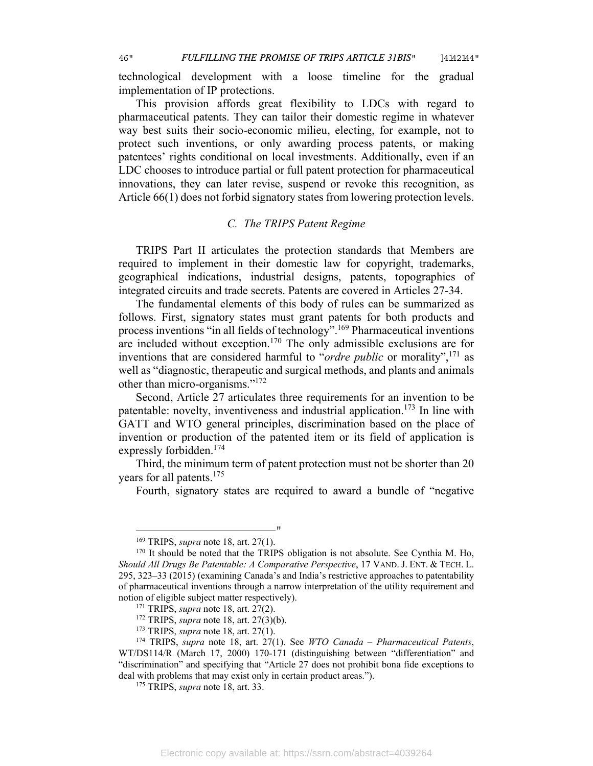technological development with a loose timeline for the gradual implementation of IP protections.

This provision affords great flexibility to LDCs with regard to pharmaceutical patents. They can tailor their domestic regime in whatever way best suits their socio-economic milieu, electing, for example, not to protect such inventions, or only awarding process patents, or making patentees' rights conditional on local investments. Additionally, even if an LDC chooses to introduce partial or full patent protection for pharmaceutical innovations, they can later revise, suspend or revoke this recognition, as Article 66(1) does not forbid signatory states from lowering protection levels.

#### *C. The TRIPS Patent Regime*

TRIPS Part II articulates the protection standards that Members are required to implement in their domestic law for copyright, trademarks, geographical indications, industrial designs, patents, topographies of integrated circuits and trade secrets. Patents are covered in Articles 27-34.

The fundamental elements of this body of rules can be summarized as follows. First, signatory states must grant patents for both products and process inventions "in all fields of technology".169 Pharmaceutical inventions are included without exception.<sup>170</sup> The only admissible exclusions are for inventions that are considered harmful to "*ordre public* or morality",<sup>171</sup> as well as "diagnostic, therapeutic and surgical methods, and plants and animals other than micro-organisms."172

Second, Article 27 articulates three requirements for an invention to be patentable: novelty, inventiveness and industrial application.<sup>173</sup> In line with GATT and WTO general principles, discrimination based on the place of invention or production of the patented item or its field of application is expressly forbidden.<sup>174</sup>

Third, the minimum term of patent protection must not be shorter than 20 years for all patents.<sup>175</sup>

Fourth, signatory states are required to award a bundle of "negative

 $\mathbf{u}$ 

 $46"$ 

<sup>&</sup>lt;sup>169</sup> TRIPS, *supra* note 18, art. 27(1).<br><sup>170</sup> It should be noted that the TRIPS obligation is not absolute. See Cynthia M. Ho, *Should All Drugs Be Patentable: A Comparative Perspective*, 17 VAND. J. ENT. & TECH. L. 295, 323–33 (2015) (examining Canada's and India's restrictive approaches to patentability of pharmaceutical inventions through a narrow interpretation of the utility requirement and notion of eligible subject matter respectively).<br>
<sup>171</sup> TRIPS, *supra* note 18, art. 27(2).<br>
<sup>172</sup> TRIPS, *supra* note 18, art. 27(3)(b).<br>
<sup>173</sup> TRIPS, *supra* note 18, art. 27(1).<br>
<sup>174</sup> TRIPS, *supra* note 18, art. 27(1

WT/DS114/R (March 17, 2000) 170-171 (distinguishing between "differentiation" and "discrimination" and specifying that "Article 27 does not prohibit bona fide exceptions to deal with problems that may exist only in certain product areas."). 175 TRIPS, *supra* note 18, art. 33.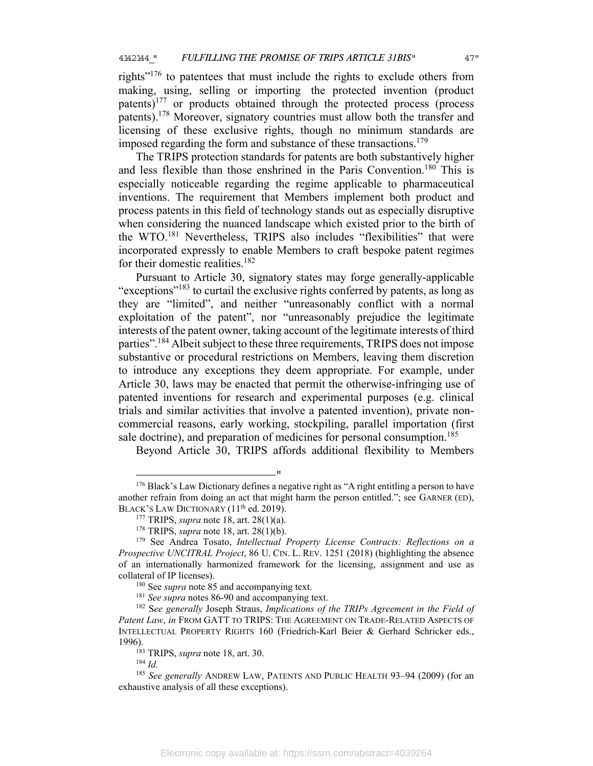rights $176$  to patentees that must include the rights to exclude others from making, using, selling or importing the protected invention (product patents)<sup>177</sup> or products obtained through the protected process (process patents).178 Moreover, signatory countries must allow both the transfer and licensing of these exclusive rights, though no minimum standards are imposed regarding the form and substance of these transactions.<sup>179</sup>

The TRIPS protection standards for patents are both substantively higher and less flexible than those enshrined in the Paris Convention.<sup>180</sup> This is especially noticeable regarding the regime applicable to pharmaceutical inventions. The requirement that Members implement both product and process patents in this field of technology stands out as especially disruptive when considering the nuanced landscape which existed prior to the birth of the WTO.181 Nevertheless, TRIPS also includes "flexibilities" that were incorporated expressly to enable Members to craft bespoke patent regimes for their domestic realities.<sup>182</sup>

Pursuant to Article 30, signatory states may forge generally-applicable "exceptions"<sup>183</sup> to curtail the exclusive rights conferred by patents, as long as they are "limited", and neither "unreasonably conflict with a normal exploitation of the patent", nor "unreasonably prejudice the legitimate interests of the patent owner, taking account of the legitimate interests of third parties".<sup>184</sup> Albeit subject to these three requirements, TRIPS does not impose substantive or procedural restrictions on Members, leaving them discretion to introduce any exceptions they deem appropriate. For example, under Article 30, laws may be enacted that permit the otherwise-infringing use of patented inventions for research and experimental purposes (e.g. clinical trials and similar activities that involve a patented invention), private noncommercial reasons, early working, stockpiling, parallel importation (first sale doctrine), and preparation of medicines for personal consumption.<sup>185</sup>

Beyond Article 30, TRIPS affords additional flexibility to Members

<sup>&</sup>lt;sup>176</sup> Black's Law Dictionary defines a negative right as "A right entitling a person to have another refrain from doing an act that might harm the person entitled."; see GARNER (ED), BLACK'S LAW DICTIONARY (11<sup>th</sup> ed. 2019).<br><sup>177</sup> TRIPS, *supra* note 18, art. 28(1)(a).<br><sup>178</sup> TRIPS, *supra* note 18, art. 28(1)(b).<br><sup>179</sup> See Andrea Tosato, *Intellectual Property License Contracts: Reflections on a* 

*Prospective UNCITRAL Project*, 86 U. CIN. L. REV. 1251 (2018) (highlighting the absence of an internationally harmonized framework for the licensing, assignment and use as collateral of IP licenses).<br><sup>180</sup> See *supra* note 85 and accompanying text.<br><sup>181</sup> See *supra* notes 86-90 and accompanying text.<br><sup>182</sup> See generally Joseph Straus, *Implications of the TRIPs Agreement in the Field of* 

*Patent Law*, *in* FROM GATT TO TRIPS: THE AGREEMENT ON TRADE-RELATED ASPECTS OF INTELLECTUAL PROPERTY RIGHTS 160 (Friedrich-Karl Beier & Gerhard Schricker eds., 1996).<br><sup>183</sup> TRIPS, *supra* note 18, art. 30.<br><sup>184</sup> *Id.*<br><sup>185</sup> *See generally* ANDREW LAW, PATENTS AND PUBLIC HEALTH 93–94 (2009) (for an

exhaustive analysis of all these exceptions).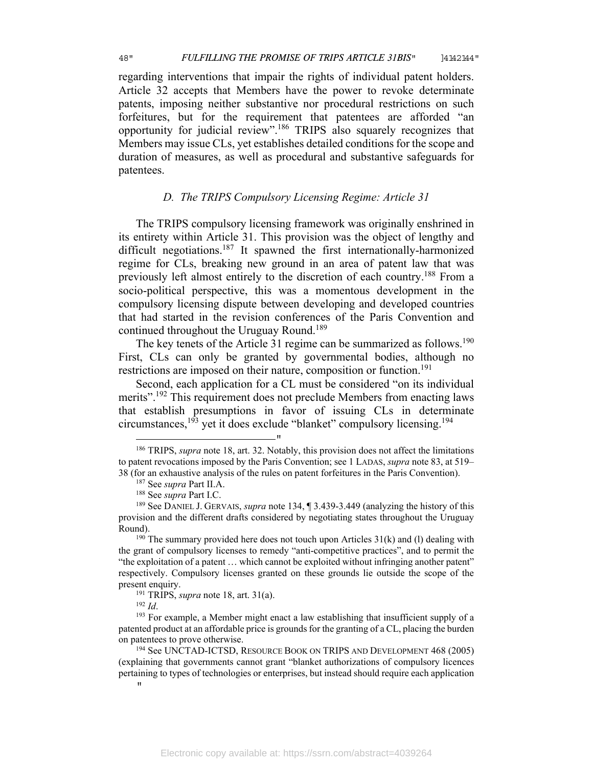regarding interventions that impair the rights of individual patent holders. Article 32 accepts that Members have the power to revoke determinate patents, imposing neither substantive nor procedural restrictions on such forfeitures, but for the requirement that patentees are afforded "an opportunity for judicial review".186 TRIPS also squarely recognizes that Members may issue CLs, yet establishes detailed conditions for the scope and duration of measures, as well as procedural and substantive safeguards for patentees.

#### *D. The TRIPS Compulsory Licensing Regime: Article 31*

The TRIPS compulsory licensing framework was originally enshrined in its entirety within Article 31. This provision was the object of lengthy and difficult negotiations.<sup>187</sup> It spawned the first internationally-harmonized regime for CLs, breaking new ground in an area of patent law that was previously left almost entirely to the discretion of each country.188 From a socio-political perspective, this was a momentous development in the compulsory licensing dispute between developing and developed countries that had started in the revision conferences of the Paris Convention and continued throughout the Uruguay Round.<sup>189</sup>

The key tenets of the Article 31 regime can be summarized as follows.<sup>190</sup> First, CLs can only be granted by governmental bodies, although no restrictions are imposed on their nature, composition or function.<sup>191</sup>

Second, each application for a CL must be considered "on its individual merits".<sup>192</sup> This requirement does not preclude Members from enacting laws that establish presumptions in favor of issuing CLs in determinate circumstances, $193$  yet it does exclude "blanket" compulsory licensing.<sup>194</sup>

<sup>186</sup> TRIPS, *supra* note 18, art. 32. Notably, this provision does not affect the limitations to patent revocations imposed by the Paris Convention; see 1 LADAS, *supra* note 83, at 519– 38 (for an exhaustive analysis of the rules on patent forfeitures in the Paris Convention).<br><sup>187</sup> See *supra* Part II.A.<br><sup>188</sup> See *supra* Part I.C.<br><sup>189</sup> See DANIEL J. GERVAIS, *supra* note 134, ¶ 3.439-3.449 (analyzing t

provision and the different drafts considered by negotiating states throughout the Uruguay Round).<br><sup>190</sup> The summary provided here does not touch upon Articles  $31(k)$  and (l) dealing with

the grant of compulsory licenses to remedy "anti-competitive practices", and to permit the "the exploitation of a patent … which cannot be exploited without infringing another patent" respectively. Compulsory licenses granted on these grounds lie outside the scope of the present enquiry.<br><sup>191</sup> TRIPS, *supra* note 18, art. 31(a).<br><sup>192</sup> *Id*. <sup>193</sup> For example, a Member might enact a law establishing that insufficient supply of a

patented product at an affordable price is grounds for the granting of a CL, placing the burden on patentees to prove otherwise.<br><sup>194</sup> See UNCTAD-ICTSD, RESOURCE BOOK ON TRIPS AND DEVELOPMENT 468 (2005)

<sup>(</sup>explaining that governments cannot grant "blanket authorizations of compulsory licences pertaining to types of technologies or enterprises, but instead should require each application  $\mathbf{u}$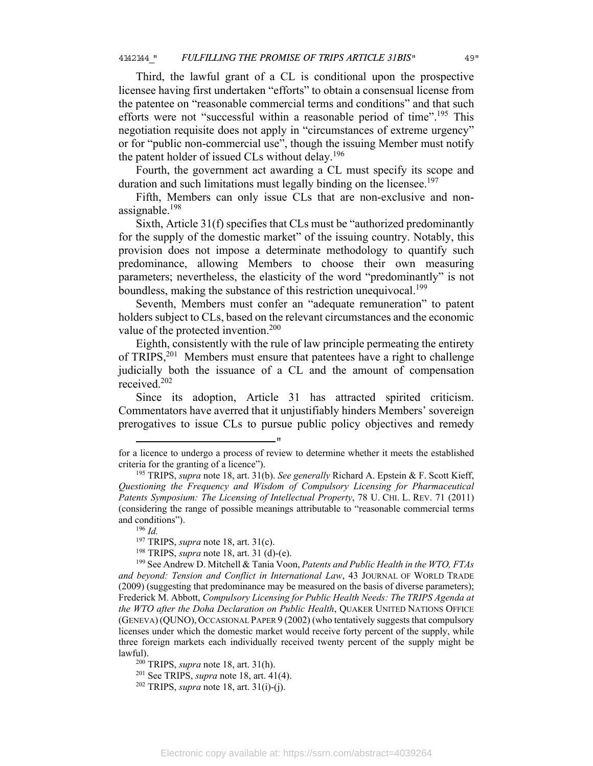Third, the lawful grant of a CL is conditional upon the prospective licensee having first undertaken "efforts" to obtain a consensual license from the patentee on "reasonable commercial terms and conditions" and that such efforts were not "successful within a reasonable period of time".<sup>195</sup> This negotiation requisite does not apply in "circumstances of extreme urgency" or for "public non-commercial use", though the issuing Member must notify the patent holder of issued CLs without delay.<sup>196</sup>

Fourth, the government act awarding a CL must specify its scope and duration and such limitations must legally binding on the licensee.<sup>197</sup>

Fifth, Members can only issue CLs that are non-exclusive and nonassignable. $198$ 

Sixth, Article 31(f) specifies that CLs must be "authorized predominantly for the supply of the domestic market" of the issuing country. Notably, this provision does not impose a determinate methodology to quantify such predominance, allowing Members to choose their own measuring parameters; nevertheless, the elasticity of the word "predominantly" is not boundless, making the substance of this restriction unequivocal.<sup>199</sup>

Seventh, Members must confer an "adequate remuneration" to patent holders subject to CLs, based on the relevant circumstances and the economic value of the protected invention.<sup>200</sup>

Eighth, consistently with the rule of law principle permeating the entirety of TRIPS,<sup>201</sup> Members must ensure that patentees have a right to challenge judicially both the issuance of a CL and the amount of compensation received.202

Since its adoption, Article 31 has attracted spirited criticism. Commentators have averred that it unjustifiably hinders Members' sovereign prerogatives to issue CLs to pursue public policy objectives and remedy

for a licence to undergo a process of review to determine whether it meets the established criteria for the granting of a licence"). 195 TRIPS, *supra* note 18, art. 31(b). *See generally* Richard A. Epstein & F. Scott Kieff,

*Questioning the Frequency and Wisdom of Compulsory Licensing for Pharmaceutical Patents Symposium: The Licensing of Intellectual Property*, 78 U. CHI. L. REV. 71 (2011) (considering the range of possible meanings attributable to "reasonable commercial terms and conditions").<br><sup>196</sup> *Id.* <sup>197</sup> TRIPS, *supra* note 18, art. 31(c).<br><sup>198</sup> TRIPS, *supra* note 18, art. 31 (d)-(e).<br><sup>199</sup> See Andrew D. Mitchell & Tania Voon, *Patents and Public Health in the WTO, FTAs* 

*and beyond: Tension and Conflict in International Law*, 43 JOURNAL OF WORLD TRADE (2009) (suggesting that predominance may be measured on the basis of diverse parameters); Frederick M. Abbott, *Compulsory Licensing for Public Health Needs: The TRIPS Agenda at the WTO after the Doha Declaration on Public Health*, QUAKER UNITED NATIONS OFFICE (GENEVA)(QUNO), OCCASIONAL PAPER 9 (2002) (who tentatively suggests that compulsory licenses under which the domestic market would receive forty percent of the supply, while three foreign markets each individually received twenty percent of the supply might be lawful). 200 TRIPS, *supra* note 18, art. 31(h). 201 See TRIPS, *supra* note 18, art. 41(4). 202 TRIPS, *supra* note 18, art. 31(i)-(j).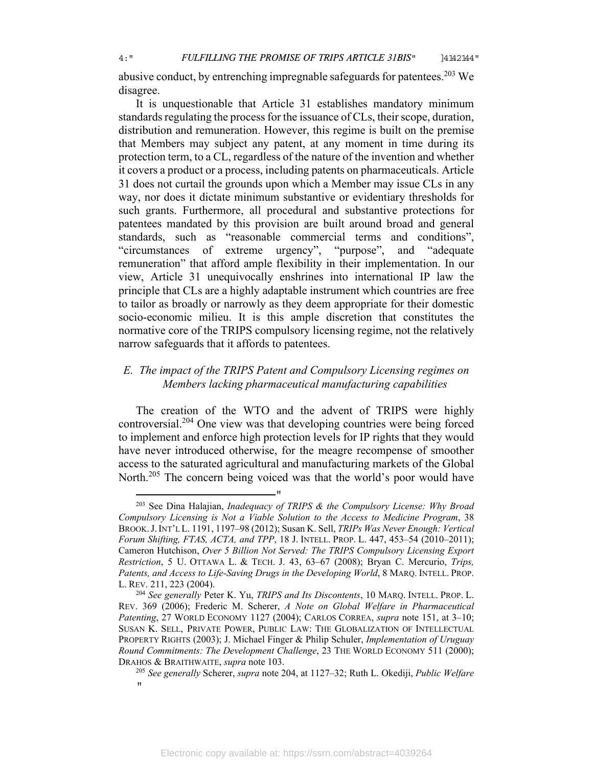abusive conduct, by entrenching impregnable safeguards for patentees.<sup>203</sup> We disagree.

It is unquestionable that Article 31 establishes mandatory minimum standards regulating the process for the issuance of CLs, their scope, duration, distribution and remuneration. However, this regime is built on the premise that Members may subject any patent, at any moment in time during its protection term, to a CL, regardless of the nature of the invention and whether it covers a product or a process, including patents on pharmaceuticals. Article 31 does not curtail the grounds upon which a Member may issue CLs in any way, nor does it dictate minimum substantive or evidentiary thresholds for such grants. Furthermore, all procedural and substantive protections for patentees mandated by this provision are built around broad and general standards, such as "reasonable commercial terms and conditions", "circumstances of extreme urgency", "purpose", and "adequate remuneration" that afford ample flexibility in their implementation. In our view, Article 31 unequivocally enshrines into international IP law the principle that CLs are a highly adaptable instrument which countries are free to tailor as broadly or narrowly as they deem appropriate for their domestic socio-economic milieu. It is this ample discretion that constitutes the normative core of the TRIPS compulsory licensing regime, not the relatively narrow safeguards that it affords to patentees.

# *E. The impact of the TRIPS Patent and Compulsory Licensing regimes on Members lacking pharmaceutical manufacturing capabilities*

The creation of the WTO and the advent of TRIPS were highly controversial.204 One view was that developing countries were being forced to implement and enforce high protection levels for IP rights that they would have never introduced otherwise, for the meagre recompense of smoother access to the saturated agricultural and manufacturing markets of the Global North.<sup>205</sup> The concern being voiced was that the world's poor would have

<sup>203</sup> See Dina Halajian, *Inadequacy of TRIPS & the Compulsory License: Why Broad Compulsory Licensing is Not a Viable Solution to the Access to Medicine Program*, 38 BROOK.J.INT'L L. 1191, 1197–98 (2012); Susan K. Sell, *TRIPs Was Never Enough: Vertical Forum Shifting, FTAS, ACTA, and TPP*, 18 J. INTELL. PROP. L. 447, 453–54 (2010–2011); Cameron Hutchison, *Over 5 Billion Not Served: The TRIPS Compulsory Licensing Export Restriction*, 5 U. OTTAWA L. & TECH. J. 43, 63–67 (2008); Bryan C. Mercurio, *Trips, Patents, and Access to Life-Saving Drugs in the Developing World*, 8 MARQ. INTELL. PROP. L. REV. 211, 223 (2004). 204 *See generally* Peter K. Yu, *TRIPS and Its Discontents*, 10 MARQ. INTELL. PROP. L.

REV. 369 (2006); Frederic M. Scherer, *A Note on Global Welfare in Pharmaceutical Patenting*, 27 WORLD ECONOMY 1127 (2004); CARLOS CORREA, *supra* note 151, at 3–10; SUSAN K. SELL, PRIVATE POWER, PUBLIC LAW: THE GLOBALIZATION OF INTELLECTUAL PROPERTY RIGHTS (2003); J. Michael Finger & Philip Schuler, *Implementation of Uruguay Round Commitments: The Development Challenge*, 23 THE WORLD ECONOMY 511 (2000);

DRAHOS & BRAITHWAITE, *supra* note 103. 205 *See generally* Scherer, *supra* note 204, at 1127–32; Ruth L. Okediji, *Public Welfare*   $\mathbf{u}$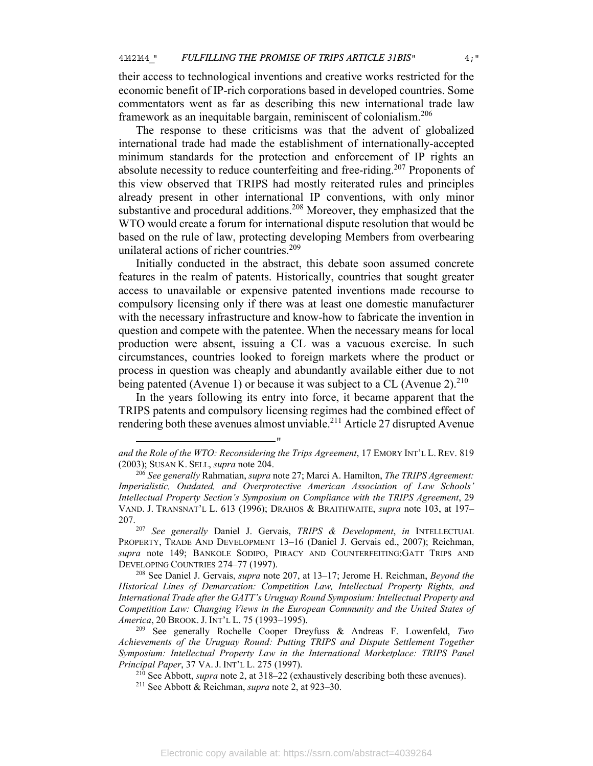their access to technological inventions and creative works restricted for the economic benefit of IP-rich corporations based in developed countries. Some commentators went as far as describing this new international trade law framework as an inequitable bargain, reminiscent of colonialism.206

The response to these criticisms was that the advent of globalized international trade had made the establishment of internationally-accepted minimum standards for the protection and enforcement of IP rights an absolute necessity to reduce counterfeiting and free-riding.<sup>207</sup> Proponents of this view observed that TRIPS had mostly reiterated rules and principles already present in other international IP conventions, with only minor substantive and procedural additions.<sup>208</sup> Moreover, they emphasized that the WTO would create a forum for international dispute resolution that would be based on the rule of law, protecting developing Members from overbearing unilateral actions of richer countries.<sup>209</sup>

Initially conducted in the abstract, this debate soon assumed concrete features in the realm of patents. Historically, countries that sought greater access to unavailable or expensive patented inventions made recourse to compulsory licensing only if there was at least one domestic manufacturer with the necessary infrastructure and know-how to fabricate the invention in question and compete with the patentee. When the necessary means for local production were absent, issuing a CL was a vacuous exercise. In such circumstances, countries looked to foreign markets where the product or process in question was cheaply and abundantly available either due to not being patented (Avenue 1) or because it was subject to a CL (Avenue 2).<sup>210</sup>

In the years following its entry into force, it became apparent that the TRIPS patents and compulsory licensing regimes had the combined effect of rendering both these avenues almost unviable.<sup>211</sup> Article 27 disrupted Avenue

*and the Role of the WTO: Reconsidering the Trips Agreement*, 17 EMORY INT'L L. REV. 819 (2003); SUSAN K. SELL, *supra* note 204. 206 *See generally* Rahmatian, *supra* note 27; Marci A. Hamilton, *The TRIPS Agreement:* 

*Imperialistic, Outdated, and Overprotective American Association of Law Schools' Intellectual Property Section's Symposium on Compliance with the TRIPS Agreement*, 29 VAND. J. TRANSNAT'L L. 613 (1996); DRAHOS & BRAITHWAITE, *supra* note 103, at 197–

<sup>207. 207</sup> *See generally* Daniel J. Gervais, *TRIPS & Development*, *in* INTELLECTUAL PROPERTY, TRADE AND DEVELOPMENT 13–16 (Daniel J. Gervais ed., 2007); Reichman, *supra* note 149; BANKOLE SODIPO, PIRACY AND COUNTERFEITING:GATT TRIPS AND DEVELOPING COUNTRIES 274–77 (1997). 208 See Daniel J. Gervais, *supra* note 207, at 13–17; Jerome H. Reichman, *Beyond the* 

*Historical Lines of Demarcation: Competition Law, Intellectual Property Rights, and International Trade after the GATT's Uruguay Round Symposium: Intellectual Property and Competition Law: Changing Views in the European Community and the United States of America*, 20 BROOK. J. INT'L L. 75 (1993–1995). 209 See generally Rochelle Cooper Dreyfuss & Andreas F. Lowenfeld, *Two* 

*Achievements of the Uruguay Round: Putting TRIPS and Dispute Settlement Together Symposium: Intellectual Property Law in the International Marketplace: TRIPS Panel Principal Paper*, 37 VA. J. INT'L L. 275 (1997).<br><sup>210</sup> See Abbott, *supra* note 2, at 318–22 (exhaustively describing both these avenues).<br><sup>211</sup> See Abbott & Reichman, *supra* note 2, at 923–30.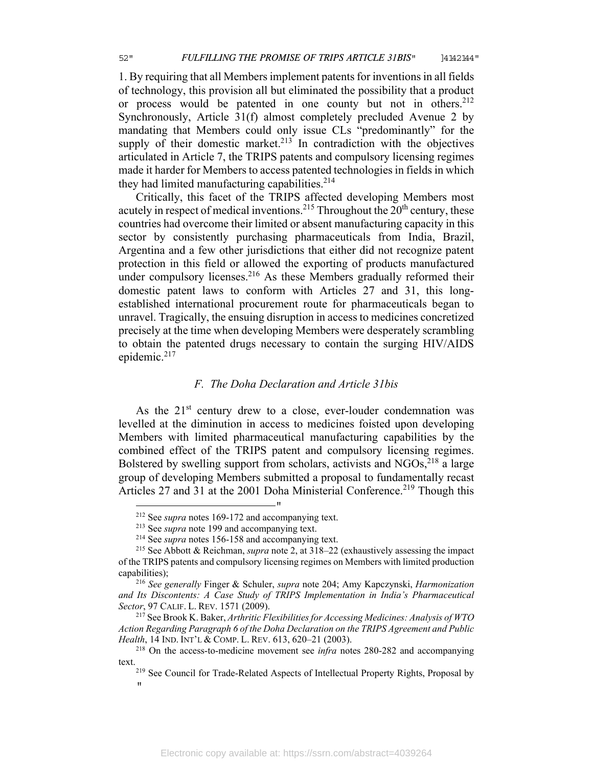1. By requiring that all Members implement patents for inventions in all fields of technology, this provision all but eliminated the possibility that a product or process would be patented in one county but not in others.<sup>212</sup> Synchronously, Article 31(f) almost completely precluded Avenue 2 by mandating that Members could only issue CLs "predominantly" for the supply of their domestic market.<sup>213</sup> In contradiction with the objectives articulated in Article 7, the TRIPS patents and compulsory licensing regimes made it harder for Members to access patented technologies in fields in which they had limited manufacturing capabilities.<sup>214</sup>

Critically, this facet of the TRIPS affected developing Members most acutely in respect of medical inventions.<sup>215</sup> Throughout the  $20<sup>th</sup>$  century, these countries had overcome their limited or absent manufacturing capacity in this sector by consistently purchasing pharmaceuticals from India, Brazil, Argentina and a few other jurisdictions that either did not recognize patent protection in this field or allowed the exporting of products manufactured under compulsory licenses.<sup>216</sup> As these Members gradually reformed their domestic patent laws to conform with Articles 27 and 31, this longestablished international procurement route for pharmaceuticals began to unravel. Tragically, the ensuing disruption in access to medicines concretized precisely at the time when developing Members were desperately scrambling to obtain the patented drugs necessary to contain the surging HIV/AIDS epidemic.217

# *F. The Doha Declaration and Article 31bis*

As the  $21<sup>st</sup>$  century drew to a close, ever-louder condemnation was levelled at the diminution in access to medicines foisted upon developing Members with limited pharmaceutical manufacturing capabilities by the combined effect of the TRIPS patent and compulsory licensing regimes. Bolstered by swelling support from scholars, activists and  $NGOs<sub>18</sub><sup>218</sup>$  a large group of developing Members submitted a proposal to fundamentally recast Articles 27 and 31 at the 2001 Doha Ministerial Conference.<sup>219</sup> Though this

<sup>&</sup>lt;sup>212</sup> See *supra* notes 169-172 and accompanying text.<br><sup>213</sup> See *supra* note 199 and accompanying text.<br><sup>214</sup> See *supra* notes 156-158 and accompanying text.<br><sup>215</sup> See Abbott & Reichman, *supra* note 2, at 318–22 (exhau of the TRIPS patents and compulsory licensing regimes on Members with limited production capabilities); 216 *See generally* Finger & Schuler, *supra* note 204; Amy Kapczynski, *Harmonization* 

*and Its Discontents: A Case Study of TRIPS Implementation in India's Pharmaceutical Sector*, 97 CALIF. L. REV. 1571 (2009). 217 See Brook K. Baker, *Arthritic Flexibilities for Accessing Medicines: Analysis of WTO* 

*Action Regarding Paragraph 6 of the Doha Declaration on the TRIPS Agreement and Public Health*, 14 IND. INT'L & COMP. L. REV. 613, 620–21 (2003).<br><sup>218</sup> On the access-to-medicine movement see *infra* notes 280-282 and accompanying

text.<br><sup>219</sup> See Council for Trade-Related Aspects of Intellectual Property Rights, Proposal by

 $\mathbf{u}$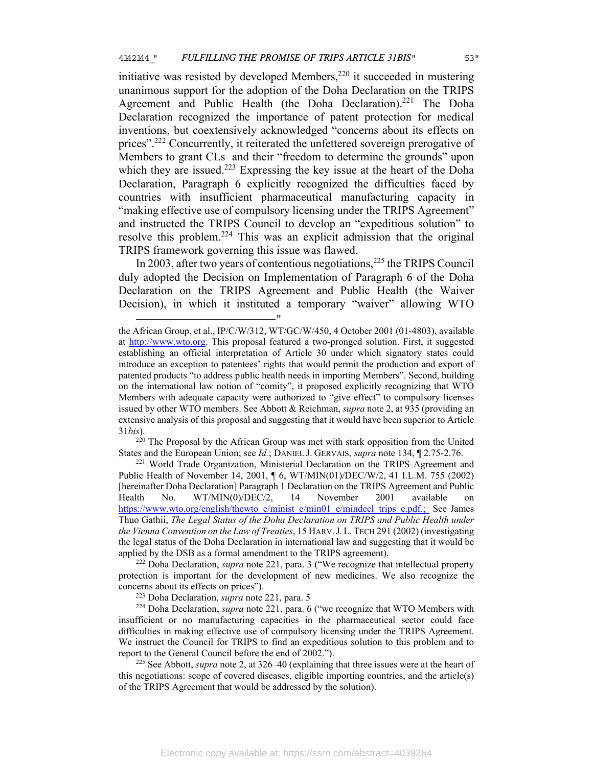initiative was resisted by developed Members, $220$  it succeeded in mustering unanimous support for the adoption of the Doha Declaration on the TRIPS Agreement and Public Health (the Doha Declaration).<sup>221</sup> The Doha Declaration recognized the importance of patent protection for medical inventions, but coextensively acknowledged "concerns about its effects on prices".<sup>222</sup> Concurrently, it reiterated the unfettered sovereign prerogative of Members to grant CLs and their "freedom to determine the grounds" upon which they are issued.<sup>223</sup> Expressing the key issue at the heart of the Doha Declaration, Paragraph 6 explicitly recognized the difficulties faced by countries with insufficient pharmaceutical manufacturing capacity in "making effective use of compulsory licensing under the TRIPS Agreement" and instructed the TRIPS Council to develop an "expeditious solution" to resolve this problem.<sup>224</sup> This was an explicit admission that the original TRIPS framework governing this issue was flawed.

In 2003, after two years of contentious negotiations,  $225$  the TRIPS Council duly adopted the Decision on Implementation of Paragraph 6 of the Doha Declaration on the TRIPS Agreement and Public Health (the Waiver Decision), in which it instituted a temporary "waiver" allowing WTO

 $\mathbf{u}$ 

 $220$  The Proposal by the African Group was met with stark opposition from the United States and the European Union; see *Id.*; DANIEL J. GERVAIS, *supra* note 134, ¶ 2.75-2.76.<br><sup>221</sup> World Trade Organization, Ministerial Declaration on the TRIPS Agreement and

Public Health of November 14, 2001, ¶ 6, WT/MIN(01)/DEC/W/2, 41 I.L.M. 755 (2002) [hereinafter Doha Declaration] Paragraph 1 Declaration on the TRIPS Agreement and Public Health No. WT/MIN(0)/DEC/2, 14 November 2001 available on https://www.wto.org/english/thewto\_e/minist\_e/min01\_e/mindecl\_trips\_e.pdf.; See James Thuo Gathii, *The Legal Status of the Doha Declaration on TRIPS and Public Health under the Vienna Convention on the Law of Treaties*, 15 HARV.J.L.TECH 291 (2002) (investigating the legal status of the Doha Declaration in international law and suggesting that it would be applied by the DSB as a formal amendment to the TRIPS agreement). 222 Doha Declaration, *supra* note 221, para. 3 ("We recognize that intellectual property

protection is important for the development of new medicines. We also recognize the

concerns about its effects on prices"). 223 Doha Declaration, *supra* note 221, para. 5 224 Doha Declaration, *supra* note 221, para. 6 ("we recognize that WTO Members with insufficient or no manufacturing capacities in the pharmaceutical sector could face difficulties in making effective use of compulsory licensing under the TRIPS Agreement. We instruct the Council for TRIPS to find an expeditious solution to this problem and to report to the General Council before the end of 2002."). 225 See Abbott, *supra* note 2, at 326–40 (explaining that three issues were at the heart of

this negotiations: scope of covered diseases, eligible importing countries, and the article(s) of the TRIPS Agreement that would be addressed by the solution).

the African Group, et al., IP/C/W/312, WT/GC/W/450, 4 October 2001 (01-4803), available at http://www.wto.org. This proposal featured a two-pronged solution. First, it suggested establishing an official interpretation of Article 30 under which signatory states could introduce an exception to patentees' rights that would permit the production and export of patented products "to address public health needs in importing Members". Second, building on the international law notion of "comity", it proposed explicitly recognizing that WTO Members with adequate capacity were authorized to "give effect" to compulsory licenses issued by other WTO members. See Abbott & Reichman, *supra* note 2, at 935 (providing an extensive analysis of this proposal and suggesting that it would have been superior to Article 31*bis*).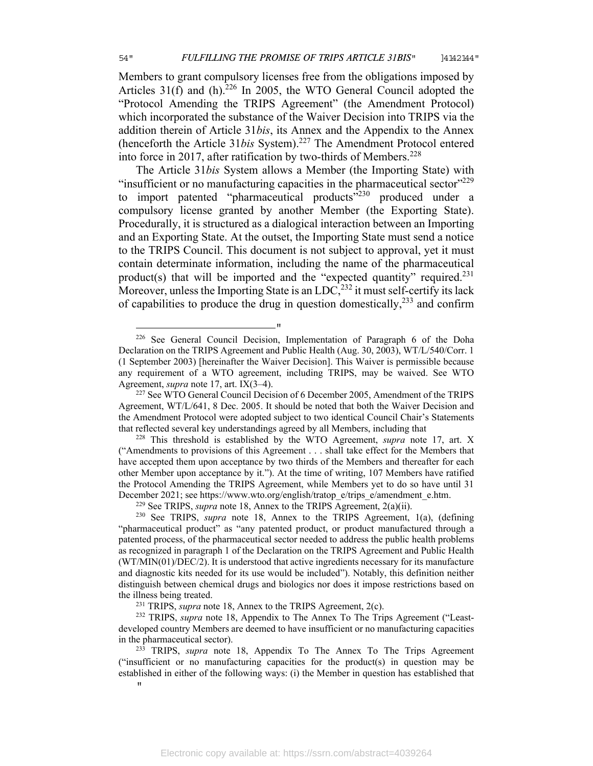Members to grant compulsory licenses free from the obligations imposed by Articles  $31(f)$  and (h).<sup>226</sup> In 2005, the WTO General Council adopted the "Protocol Amending the TRIPS Agreement" (the Amendment Protocol) which incorporated the substance of the Waiver Decision into TRIPS via the addition therein of Article 31*bis*, its Annex and the Appendix to the Annex (henceforth the Article 31*bis* System).227 The Amendment Protocol entered into force in 2017, after ratification by two-thirds of Members.<sup>228</sup>

The Article 31*bis* System allows a Member (the Importing State) with "insufficient or no manufacturing capacities in the pharmaceutical sector" $229$ to import patented "pharmaceutical products"<sup>230</sup> produced under a compulsory license granted by another Member (the Exporting State). Procedurally, it is structured as a dialogical interaction between an Importing and an Exporting State. At the outset, the Importing State must send a notice to the TRIPS Council. This document is not subject to approval, yet it must contain determinate information, including the name of the pharmaceutical product(s) that will be imported and the "expected quantity" required.<sup>231</sup> Moreover, unless the Importing State is an LDC,  $^{232}$  it must self-certify its lack of capabilities to produce the drug in question domestically,  $233$  and confirm

J)

<sup>&</sup>lt;sup>226</sup> See General Council Decision, Implementation of Paragraph 6 of the Doha Declaration on the TRIPS Agreement and Public Health (Aug. 30, 2003), WT/L/540/Corr. 1 (1 September 2003) [hereinafter the Waiver Decision]. This Waiver is permissible because any requirement of a WTO agreement, including TRIPS, may be waived. See WTO Agreement, *supra* note 17, art. IX(3–4).<br><sup>227</sup> See WTO General Council Decision of 6 December 2005, Amendment of the TRIPS

Agreement, WT/L/641, 8 Dec. 2005. It should be noted that both the Waiver Decision and the Amendment Protocol were adopted subject to two identical Council Chair's Statements

that reflected several key understandings agreed by all Members, including that 228 This threshold is established by the WTO Agreement, *supra* note 17, art. X ("Amendments to provisions of this Agreement . . . shall take effect for the Members that have accepted them upon acceptance by two thirds of the Members and thereafter for each other Member upon acceptance by it."). At the time of writing, 107 Members have ratified the Protocol Amending the TRIPS Agreement, while Members yet to do so have until 31 December 2021; see https://www.wto.org/english/tratop\_e/trips\_e/amendment\_e.htm.<br><sup>229</sup> See TRIPS, *supra* note 18, Annex to the TRIPS Agreement, 2(a)(ii).<br><sup>230</sup> See TRIPS, *supra* note 18, Annex to the TRIPS Agreement, 1(a

<sup>&</sup>quot;pharmaceutical product" as "any patented product, or product manufactured through a patented process, of the pharmaceutical sector needed to address the public health problems as recognized in paragraph 1 of the Declaration on the TRIPS Agreement and Public Health (WT/MIN(01)/DEC/2). It is understood that active ingredients necessary for its manufacture and diagnostic kits needed for its use would be included"). Notably, this definition neither distinguish between chemical drugs and biologics nor does it impose restrictions based on the illness being treated.<br><sup>231</sup> TRIPS, *supra* note 18, Annex to the TRIPS Agreement, 2(c).<br><sup>232</sup> TRIPS, *supra* note 18, Appendix to The Annex To The Trips Agreement ("Least-

developed country Members are deemed to have insufficient or no manufacturing capacities in the pharmaceutical sector). 233 TRIPS, *supra* note 18, Appendix To The Annex To The Trips Agreement

<sup>(&</sup>quot;insufficient or no manufacturing capacities for the product(s) in question may be established in either of the following ways: (i) the Member in question has established that  $\mathbf{u}$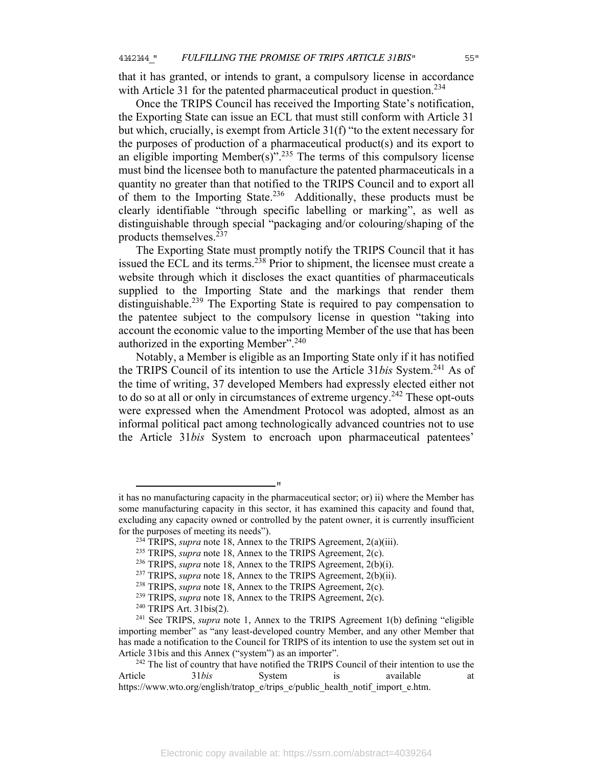that it has granted, or intends to grant, a compulsory license in accordance with Article 31 for the patented pharmaceutical product in question.<sup>234</sup>

Once the TRIPS Council has received the Importing State's notification, the Exporting State can issue an ECL that must still conform with Article 31 but which, crucially, is exempt from Article 31(f) "to the extent necessary for the purposes of production of a pharmaceutical product(s) and its export to an eligible importing Member(s)".<sup>235</sup> The terms of this compulsory license must bind the licensee both to manufacture the patented pharmaceuticals in a quantity no greater than that notified to the TRIPS Council and to export all of them to the Importing State.<sup>236</sup> Additionally, these products must be clearly identifiable "through specific labelling or marking", as well as distinguishable through special "packaging and/or colouring/shaping of the products themselves.<sup>237</sup>

The Exporting State must promptly notify the TRIPS Council that it has issued the ECL and its terms.<sup>238</sup> Prior to shipment, the licensee must create a website through which it discloses the exact quantities of pharmaceuticals supplied to the Importing State and the markings that render them distinguishable.<sup>239</sup> The Exporting State is required to pay compensation to the patentee subject to the compulsory license in question "taking into account the economic value to the importing Member of the use that has been authorized in the exporting Member".<sup>240</sup>

Notably, a Member is eligible as an Importing State only if it has notified the TRIPS Council of its intention to use the Article 31*bis* System.241 As of the time of writing, 37 developed Members had expressly elected either not to do so at all or only in circumstances of extreme urgency.<sup>242</sup> These opt-outs were expressed when the Amendment Protocol was adopted, almost as an informal political pact among technologically advanced countries not to use the Article 31*bis* System to encroach upon pharmaceutical patentees'

it has no manufacturing capacity in the pharmaceutical sector; or) ii) where the Member has some manufacturing capacity in this sector, it has examined this capacity and found that, excluding any capacity owned or controlled by the patent owner, it is currently insufficient for the purposes of meeting its needs").<br>
<sup>234</sup> TRIPS, *supra* note 18, Annex to the TRIPS Agreement, 2(a)(iii).<br>
<sup>235</sup> TRIPS, *supra* note 18, Annex to the TRIPS Agreement, 2(c).<br>
<sup>236</sup> TRIPS, *supra* note 18, Annex to t

importing member" as "any least-developed country Member, and any other Member that has made a notification to the Council for TRIPS of its intention to use the system set out in Article 31bis and this Annex ("system") as an importer".<br><sup>242</sup> The list of country that have notified the TRIPS Council of their intention to use the

Article 31*bis* System is available at https://www.wto.org/english/tratop\_e/trips\_e/public\_health\_notif\_import\_e.htm.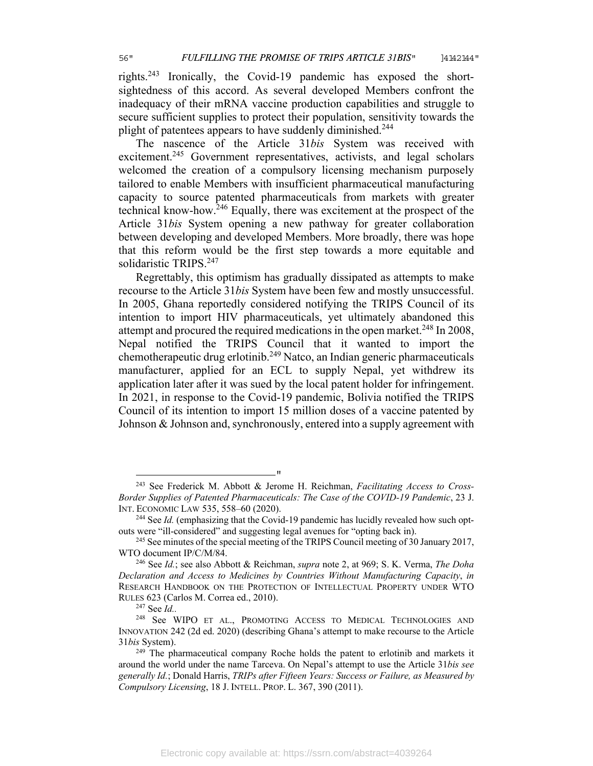rights.243 Ironically, the Covid-19 pandemic has exposed the shortsightedness of this accord. As several developed Members confront the inadequacy of their mRNA vaccine production capabilities and struggle to secure sufficient supplies to protect their population, sensitivity towards the plight of patentees appears to have suddenly diminished.<sup>244</sup>

The nascence of the Article 31*bis* System was received with excitement.<sup>245</sup> Government representatives, activists, and legal scholars welcomed the creation of a compulsory licensing mechanism purposely tailored to enable Members with insufficient pharmaceutical manufacturing capacity to source patented pharmaceuticals from markets with greater technical know-how. $246$  Equally, there was excitement at the prospect of the Article 31*bis* System opening a new pathway for greater collaboration between developing and developed Members. More broadly, there was hope that this reform would be the first step towards a more equitable and solidaristic TRIPS.<sup>247</sup>

Regrettably, this optimism has gradually dissipated as attempts to make recourse to the Article 31*bis* System have been few and mostly unsuccessful. In 2005, Ghana reportedly considered notifying the TRIPS Council of its intention to import HIV pharmaceuticals, yet ultimately abandoned this attempt and procured the required medications in the open market.<sup>248</sup> In 2008, Nepal notified the TRIPS Council that it wanted to import the chemotherapeutic drug erlotinib.249 Natco, an Indian generic pharmaceuticals manufacturer, applied for an ECL to supply Nepal, yet withdrew its application later after it was sued by the local patent holder for infringement. In 2021, in response to the Covid-19 pandemic, Bolivia notified the TRIPS Council of its intention to import 15 million doses of a vaccine patented by Johnson & Johnson and, synchronously, entered into a supply agreement with

<sup>243</sup> See Frederick M. Abbott & Jerome H. Reichman, *Facilitating Access to Cross-Border Supplies of Patented Pharmaceuticals: The Case of the COVID-19 Pandemic*, 23 J. INT. ECONOMIC LAW 535, 558–60 (2020).<br><sup>244</sup> See *Id.* (emphasizing that the Covid-19 pandemic has lucidly revealed how such opt-

outs were "ill-considered" and suggesting legal avenues for "opting back in).<br><sup>245</sup> See minutes of the special meeting of the TRIPS Council meeting of 30 January 2017,

WTO document IP/C/M/84. 246 See *Id.*; see also Abbott & Reichman, *supra* note 2, at 969; S. K. Verma, *The Doha* 

*Declaration and Access to Medicines by Countries Without Manufacturing Capacity*, *in* RESEARCH HANDBOOK ON THE PROTECTION OF INTELLECTUAL PROPERTY UNDER WTO RULES 623 (Carlos M. Correa ed., 2010). 247 See *Id..* 

<sup>248</sup> See WIPO ET AL., PROMOTING ACCESS TO MEDICAL TECHNOLOGIES AND INNOVATION 242 (2d ed. 2020) (describing Ghana's attempt to make recourse to the Article 31*bis* System).

 $249$  The pharmaceutical company Roche holds the patent to erlotinib and markets it around the world under the name Tarceva. On Nepal's attempt to use the Article 31*bis see generally Id.*; Donald Harris, *TRIPs after Fifteen Years: Success or Failure, as Measured by Compulsory Licensing*, 18 J. INTELL. PROP. L. 367, 390 (2011).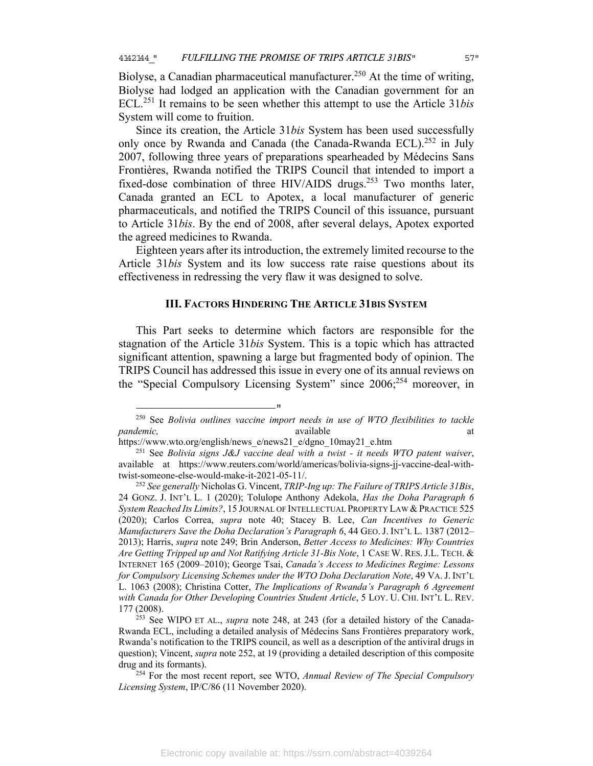Biolyse, a Canadian pharmaceutical manufacturer.<sup>250</sup> At the time of writing, Biolyse had lodged an application with the Canadian government for an ECL.251 It remains to be seen whether this attempt to use the Article 31*bis*  System will come to fruition.

Since its creation, the Article 31*bis* System has been used successfully only once by Rwanda and Canada (the Canada-Rwanda ECL).<sup>252</sup> in July 2007, following three years of preparations spearheaded by Médecins Sans Frontières, Rwanda notified the TRIPS Council that intended to import a fixed-dose combination of three HIV/AIDS drugs.<sup>253</sup> Two months later, Canada granted an ECL to Apotex, a local manufacturer of generic pharmaceuticals, and notified the TRIPS Council of this issuance, pursuant to Article 31*bis*. By the end of 2008, after several delays, Apotex exported the agreed medicines to Rwanda.

Eighteen years after its introduction, the extremely limited recourse to the Article 31*bis* System and its low success rate raise questions about its effectiveness in redressing the very flaw it was designed to solve.

#### **III. FACTORS HINDERING THE ARTICLE 31BIS SYSTEM**

This Part seeks to determine which factors are responsible for the stagnation of the Article 31*bis* System. This is a topic which has attracted significant attention, spawning a large but fragmented body of opinion. The TRIPS Council has addressed this issue in every one of its annual reviews on the "Special Compulsory Licensing System" since 2006;254 moreover, in

<sup>250</sup> See *Bolivia outlines vaccine import needs in use of WTO flexibilities to tackle pandemic,* available at a strategy and a strategy and a strategy and a strategy and a strategy and a strategy and a strategy and a strategy and a strategy and a strategy and a strategy and a strategy and a strategy and a

https://www.wto.org/english/news\_e/news21\_e/dgno\_10may21\_e.htm 251 See *Bolivia signs J&J vaccine deal with a twist - it needs WTO patent waiver*,

available at https://www.reuters.com/world/americas/bolivia-signs-jj-vaccine-deal-with-

<sup>&</sup>lt;sup>252</sup> See generally Nicholas G. Vincent, *TRIP-Ing up: The Failure of TRIPS Article 31Bis,* 24 GONZ. J. INT'L L. 1 (2020); Tolulope Anthony Adekola, *Has the Doha Paragraph 6 System Reached Its Limits?*, 15 JOURNAL OF INTELLECTUAL PROPERTY LAW &PRACTICE 525 (2020); Carlos Correa, *supra* note 40; Stacey B. Lee, *Can Incentives to Generic Manufacturers Save the Doha Declaration's Paragraph 6*, 44 GEO. J. INT'L L. 1387 (2012– 2013); Harris, *supra* note 249; Brin Anderson, *Better Access to Medicines: Why Countries Are Getting Tripped up and Not Ratifying Article 31-Bis Note*, 1 CASE W. RES.J.L. TECH. & INTERNET 165 (2009–2010); George Tsai, *Canada's Access to Medicines Regime: Lessons for Compulsory Licensing Schemes under the WTO Doha Declaration Note*, 49 VA.J. INT'L L. 1063 (2008); Christina Cotter, *The Implications of Rwanda's Paragraph 6 Agreement with Canada for Other Developing Countries Student Article*, 5 LOY. U. CHI. INT'L L. REV. 177 (2008). 253 See WIPO ET AL., *supra* note 248, at 243 (for a detailed history of the Canada-

Rwanda ECL, including a detailed analysis of Médecins Sans Frontières preparatory work, Rwanda's notification to the TRIPS council, as well as a description of the antiviral drugs in question); Vincent, *supra* note 252, at 19 (providing a detailed description of this composite drug and its formants). 254 For the most recent report, see WTO, *Annual Review of The Special Compulsory* 

*Licensing System*, IP/C/86 (11 November 2020).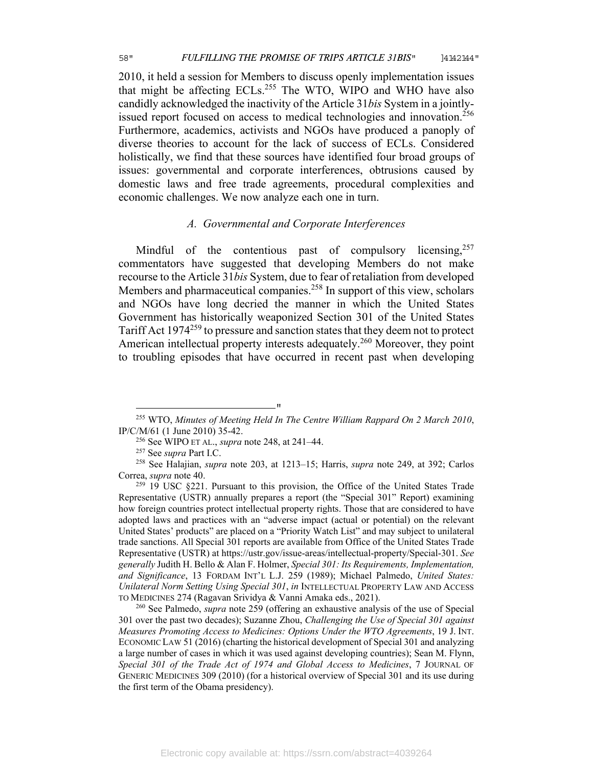2010, it held a session for Members to discuss openly implementation issues that might be affecting  $ECLs<sup>255</sup>$  The WTO, WIPO and WHO have also candidly acknowledged the inactivity of the Article 31*bis* System in a jointlyissued report focused on access to medical technologies and innovation.<sup>256</sup> Furthermore, academics, activists and NGOs have produced a panoply of diverse theories to account for the lack of success of ECLs. Considered holistically, we find that these sources have identified four broad groups of issues: governmental and corporate interferences, obtrusions caused by domestic laws and free trade agreements, procedural complexities and economic challenges. We now analyze each one in turn.

#### *A. Governmental and Corporate Interferences*

Mindful of the contentious past of compulsory licensing,  $257$ commentators have suggested that developing Members do not make recourse to the Article 31*bis* System, due to fear of retaliation from developed Members and pharmaceutical companies.<sup>258</sup> In support of this view, scholars and NGOs have long decried the manner in which the United States Government has historically weaponized Section 301 of the United States Tariff Act 1974<sup>259</sup> to pressure and sanction states that they deem not to protect American intellectual property interests adequately.<sup>260</sup> Moreover, they point to troubling episodes that have occurred in recent past when developing

 $\mathbf{u}$ 

301 over the past two decades); Suzanne Zhou, *Challenging the Use of Special 301 against Measures Promoting Access to Medicines: Options Under the WTO Agreements*, 19 J. INT. ECONOMIC LAW 51 (2016) (charting the historical development of Special 301 and analyzing a large number of cases in which it was used against developing countries); Sean M. Flynn, *Special 301 of the Trade Act of 1974 and Global Access to Medicines*, 7 JOURNAL OF GENERIC MEDICINES 309 (2010) (for a historical overview of Special 301 and its use during the first term of the Obama presidency).

<sup>255</sup> WTO, *Minutes of Meeting Held In The Centre William Rappard On 2 March 2010*,

IP/C/M/61 (1 June 2010) 35-42. 256 See WIPO ET AL., *supra* note 248, at 241–44. 257 See *supra* Part I.C. 258 See Halajian, *supra* note 203, at 1213–15; Harris, *supra* note 249, at 392; Carlos

<sup>&</sup>lt;sup>259</sup> 19 USC §221. Pursuant to this provision, the Office of the United States Trade Representative (USTR) annually prepares a report (the "Special 301" Report) examining how foreign countries protect intellectual property rights. Those that are considered to have adopted laws and practices with an "adverse impact (actual or potential) on the relevant United States' products" are placed on a "Priority Watch List" and may subject to unilateral trade sanctions. All Special 301 reports are available from Office of the United States Trade Representative (USTR) at https://ustr.gov/issue-areas/intellectual-property/Special-301. *See generally* Judith H. Bello & Alan F. Holmer, *Special 301: Its Requirements, Implementation, and Significance*, 13 FORDAM INT'L L.J. 259 (1989); Michael Palmedo, *United States: Unilateral Norm Setting Using Special 301*, *in* INTELLECTUAL PROPERTY LAW AND ACCESS TO MEDICINES 274 (Ragavan Srividya & Vanni Amaka eds., 2021). 260 See Palmedo, *supra* note 259 (offering an exhaustive analysis of the use of Special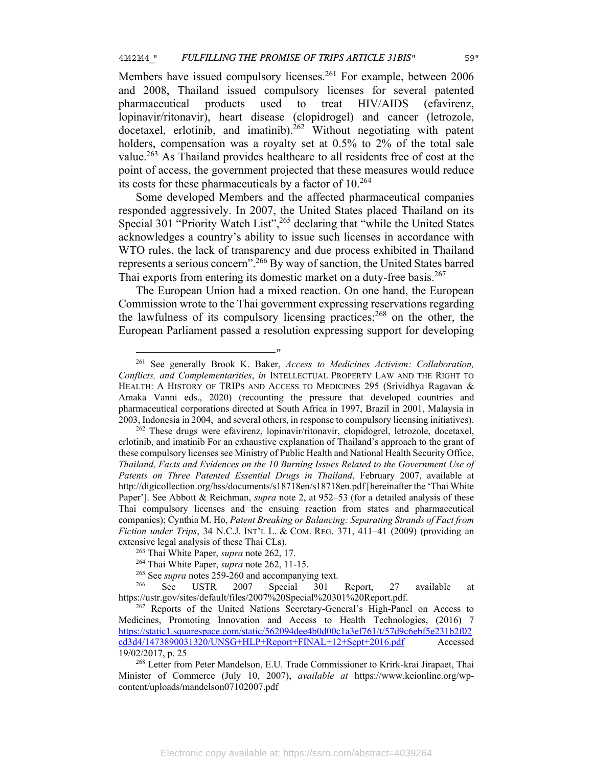Members have issued compulsory licenses.<sup>261</sup> For example, between 2006 and 2008, Thailand issued compulsory licenses for several patented pharmaceutical products used to treat HIV/AIDS (efavirenz, lopinavir/ritonavir), heart disease (clopidrogel) and cancer (letrozole, docetaxel, erlotinib, and imatinib).<sup>262</sup> Without negotiating with patent holders, compensation was a royalty set at 0.5% to 2% of the total sale value.<sup>263</sup> As Thailand provides healthcare to all residents free of cost at the point of access, the government projected that these measures would reduce its costs for these pharmaceuticals by a factor of  $10^{264}$ 

Some developed Members and the affected pharmaceutical companies responded aggressively. In 2007, the United States placed Thailand on its Special 301 "Priority Watch List",<sup>265</sup> declaring that "while the United States acknowledges a country's ability to issue such licenses in accordance with WTO rules, the lack of transparency and due process exhibited in Thailand represents a serious concern".266 By way of sanction, the United States barred Thai exports from entering its domestic market on a duty-free basis.<sup>267</sup>

The European Union had a mixed reaction. On one hand, the European Commission wrote to the Thai government expressing reservations regarding the lawfulness of its compulsory licensing practices;  $268$  on the other, the European Parliament passed a resolution expressing support for developing

<sup>261</sup> See generally Brook K. Baker, *Access to Medicines Activism: Collaboration, Conflicts, and Complementarities*, *in* INTELLECTUAL PROPERTY LAW AND THE RIGHT TO HEALTH: A HISTORY OF TRIPS AND ACCESS TO MEDICINES 295 (Srividhya Ragavan & Amaka Vanni eds., 2020) (recounting the pressure that developed countries and pharmaceutical corporations directed at South Africa in 1997, Brazil in 2001, Malaysia in 2003, Indonesia in 2004, and several others, in response to compulsory licensing initiatives). <sup>262</sup> These drugs were efavirenz, lopinavir/ritonavir, clopidogrel, letrozole, docetaxel,

erlotinib, and imatinib For an exhaustive explanation of Thailand's approach to the grant of these compulsory licenses see Ministry of Public Health and National Health Security Office, *Thailand, Facts and Evidences on the 10 Burning Issues Related to the Government Use of Patents on Three Patented Essential Drugs in Thailand*, February 2007, available at http://digicollection.org/hss/documents/s18718en/s18718en.pdf [hereinafter the 'Thai White Paper']. See Abbott & Reichman, *supra* note 2, at 952–53 (for a detailed analysis of these Thai compulsory licenses and the ensuing reaction from states and pharmaceutical companies); Cynthia M. Ho, *Patent Breaking or Balancing: Separating Strands of Fact from Fiction under Trips*, 34 N.C.J. INT'L L. & COM. REG. 371, 411–41 (2009) (providing an extensive legal analysis of these Thai CLs).<br>
<sup>263</sup> Thai White Paper, *supra* note 262, 17.<br>
<sup>264</sup> Thai White Paper, *supra* note 262, 11-15.<br>
<sup>265</sup> See *supra* notes 259-260 and accompanying text.<br>
<sup>266</sup> See USTR 2007 Spe

https://ustr.gov/sites/default/files/2007%20Special%20301%20Report.pdf.<br><sup>267</sup> Reports of the United Nations Secretary-General's High-Panel on Access to

Medicines, Promoting Innovation and Access to Health Technologies, (2016) 7 https://static1.squarespace.com/static/562094dee4b0d00c1a3ef761/t/57d9c6ebf5e231b2f02 cd3d4/1473890031320/UNSG+HLP+Report+FINAL+12+Sept+2016.pdf Accessed 19/02/2017, p. 25 268 Letter from Peter Mandelson, E.U. Trade Commissioner to Krirk-krai Jirapaet, Thai

Minister of Commerce (July 10, 2007), *available at* https://www.keionline.org/wpcontent/uploads/mandelson07102007.pdf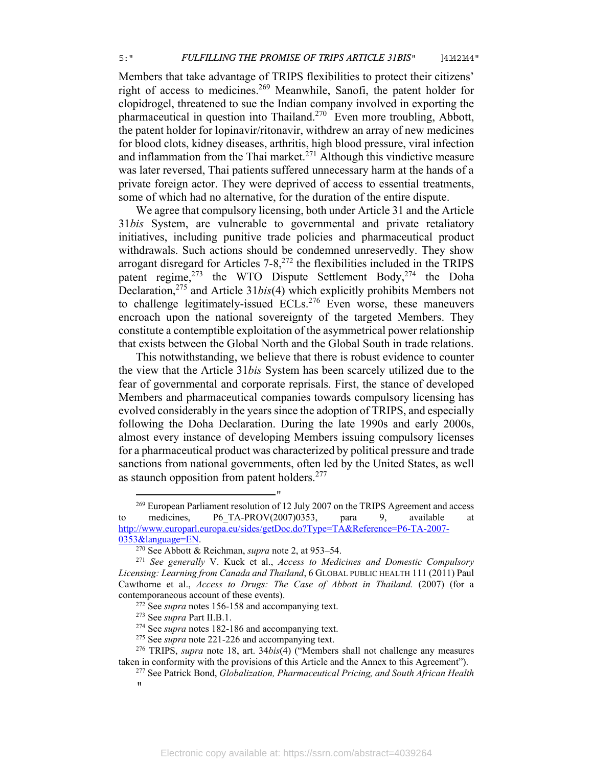Members that take advantage of TRIPS flexibilities to protect their citizens' right of access to medicines.<sup>269</sup> Meanwhile, Sanofi, the patent holder for clopidrogel, threatened to sue the Indian company involved in exporting the pharmaceutical in question into Thailand.<sup>270</sup> Even more troubling, Abbott, the patent holder for lopinavir/ritonavir, withdrew an array of new medicines for blood clots, kidney diseases, arthritis, high blood pressure, viral infection and inflammation from the Thai market.<sup>271</sup> Although this vindictive measure was later reversed, Thai patients suffered unnecessary harm at the hands of a private foreign actor. They were deprived of access to essential treatments, some of which had no alternative, for the duration of the entire dispute.

We agree that compulsory licensing, both under Article 31 and the Article 31*bis* System, are vulnerable to governmental and private retaliatory initiatives, including punitive trade policies and pharmaceutical product withdrawals. Such actions should be condemned unreservedly. They show arrogant disregard for Articles  $7-8$ ,  $^{272}$  the flexibilities included in the TRIPS patent regime,<sup>273</sup> the WTO Dispute Settlement Body,<sup>274</sup> the Doha Declaration,275 and Article 31*bis*(4) which explicitly prohibits Members not to challenge legitimately-issued  $ECLs$ <sup>276</sup> Even worse, these maneuvers encroach upon the national sovereignty of the targeted Members. They constitute a contemptible exploitation of the asymmetrical power relationship that exists between the Global North and the Global South in trade relations.

This notwithstanding, we believe that there is robust evidence to counter the view that the Article 31*bis* System has been scarcely utilized due to the fear of governmental and corporate reprisals. First, the stance of developed Members and pharmaceutical companies towards compulsory licensing has evolved considerably in the years since the adoption of TRIPS, and especially following the Doha Declaration. During the late 1990s and early 2000s, almost every instance of developing Members issuing compulsory licenses for a pharmaceutical product was characterized by political pressure and trade sanctions from national governments, often led by the United States, as well as staunch opposition from patent holders.<sup>277</sup>

<sup>&</sup>lt;sup>269</sup> European Parliament resolution of 12 July 2007 on the TRIPS Agreement and access to medicines, P6 TA-PROV(2007)0353, para 9, available at http://www.europarl.europa.eu/sides/getDoc.do?Type=TA&Reference=P6-TA-2007-

<sup>0353&</sup>amp;language=EN. 270 See Abbott & Reichman, *supra* note 2, at 953–54. 271 *See generally* V. Kuek et al., *Access to Medicines and Domestic Compulsory Licensing: Learning from Canada and Thailand*, 6 GLOBAL PUBLIC HEALTH 111 (2011) Paul Cawthorne et al., *Access to Drugs: The Case of Abbott in Thailand.* (2007) (for a contemporaneous account of these events).<br><sup>272</sup> See *supra* notes 156-158 and accompanying text.<br><sup>273</sup> See *supra* Part II.B.1.<br><sup>274</sup> See *supra* notes 182-186 and accompanying text.<br><sup>275</sup> See *supra* note 221-226 and acco

taken in conformity with the provisions of this Article and the Annex to this Agreement"). 277 See Patrick Bond, *Globalization, Pharmaceutical Pricing, and South African Health* 

 $\mathbf{u}$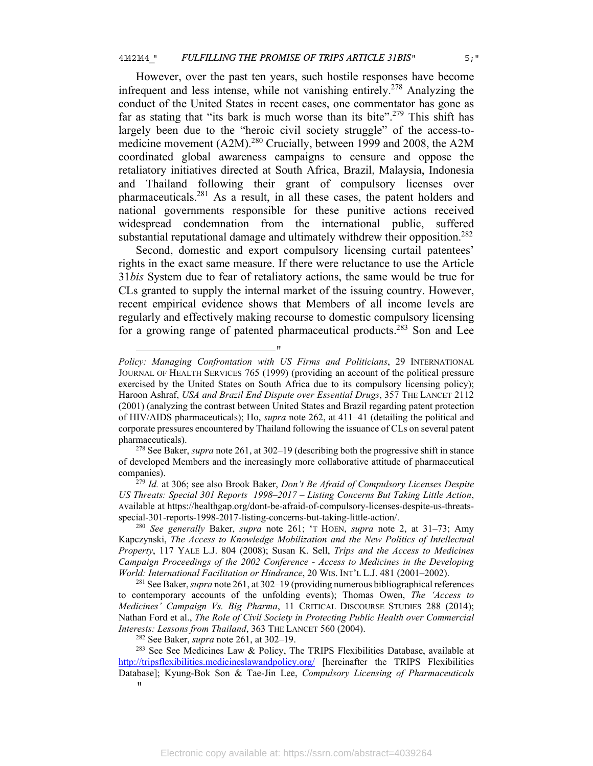However, over the past ten years, such hostile responses have become infrequent and less intense, while not vanishing entirely.278 Analyzing the conduct of the United States in recent cases, one commentator has gone as far as stating that "its bark is much worse than its bite".<sup>279</sup> This shift has largely been due to the "heroic civil society struggle" of the access-tomedicine movement (A2M).<sup>280</sup> Crucially, between 1999 and 2008, the A2M coordinated global awareness campaigns to censure and oppose the retaliatory initiatives directed at South Africa, Brazil, Malaysia, Indonesia and Thailand following their grant of compulsory licenses over pharmaceuticals.281 As a result, in all these cases, the patent holders and national governments responsible for these punitive actions received widespread condemnation from the international public, suffered substantial reputational damage and ultimately withdrew their opposition.<sup>282</sup>

Second, domestic and export compulsory licensing curtail patentees' rights in the exact same measure. If there were reluctance to use the Article 31*bis* System due to fear of retaliatory actions, the same would be true for CLs granted to supply the internal market of the issuing country. However, recent empirical evidence shows that Members of all income levels are regularly and effectively making recourse to domestic compulsory licensing for a growing range of patented pharmaceutical products.<sup>283</sup> Son and Lee

j,

*US Threats: Special 301 Reports 1998–2017 – Listing Concerns But Taking Little Action*, Available at https://healthgap.org/dont-be-afraid-of-compulsory-licenses-despite-us-threatsspecial-301-reports-1998-2017-listing-concerns-but-taking-little-action/. 280 *See generally* Baker, *supra* note 261; 'T HOEN, *supra* note 2, at 31–73; Amy

Kapczynski, *The Access to Knowledge Mobilization and the New Politics of Intellectual Property*, 117 YALE L.J. 804 (2008); Susan K. Sell, *Trips and the Access to Medicines Campaign Proceedings of the 2002 Conference - Access to Medicines in the Developing World: International Facilitation or Hindrance*, 20 WIS. INT'L L.J. 481 (2001–2002).<br><sup>281</sup> See Baker, *supra* note 261, at 302–19 (providing numerous bibliographical references

to contemporary accounts of the unfolding events); Thomas Owen, *The 'Access to Medicines' Campaign Vs. Big Pharma*, 11 CRITICAL DISCOURSE STUDIES 288 (2014); Nathan Ford et al., *The Role of Civil Society in Protecting Public Health over Commercial Interests: Lessons from Thailand*, 363 THE LANCET 560 (2004).<br><sup>282</sup> See Baker, *supra* note 261, at 302–19.<br><sup>283</sup> See See Medicines Law & Policy, The TRIPS Flexibilities Database, available at

http://tripsflexibilities.medicineslawandpolicy.org/ [hereinafter the TRIPS Flexibilities Database]; Kyung-Bok Son & Tae-Jin Lee, *Compulsory Licensing of Pharmaceuticals*   $\mathbf{u}$ 

*Policy: Managing Confrontation with US Firms and Politicians*, 29 INTERNATIONAL JOURNAL OF HEALTH SERVICES 765 (1999) (providing an account of the political pressure exercised by the United States on South Africa due to its compulsory licensing policy); Haroon Ashraf, *USA and Brazil End Dispute over Essential Drugs*, 357 THE LANCET 2112 (2001) (analyzing the contrast between United States and Brazil regarding patent protection of HIV/AIDS pharmaceuticals); Ho, *supra* note 262, at 411–41 (detailing the political and corporate pressures encountered by Thailand following the issuance of CLs on several patent pharmaceuticals). 278 See Baker, *supra* note 261, at 302–19 (describing both the progressive shift in stance

of developed Members and the increasingly more collaborative attitude of pharmaceutical companies). 279 *Id.* at 306; see also Brook Baker, *Don't Be Afraid of Compulsory Licenses Despite*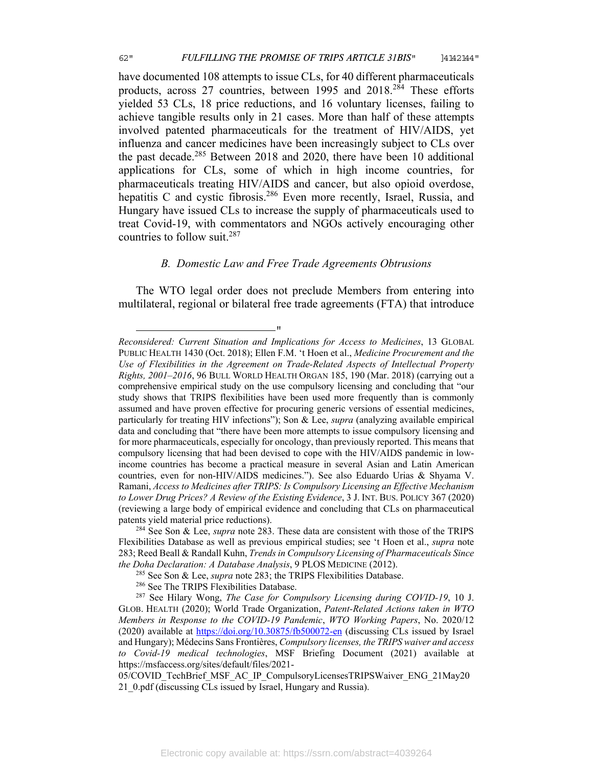have documented 108 attempts to issue CLs, for 40 different pharmaceuticals products, across 27 countries, between 1995 and 2018.<sup>284</sup> These efforts yielded 53 CLs, 18 price reductions, and 16 voluntary licenses, failing to achieve tangible results only in 21 cases. More than half of these attempts involved patented pharmaceuticals for the treatment of HIV/AIDS, yet influenza and cancer medicines have been increasingly subject to CLs over the past decade.<sup>285</sup> Between 2018 and 2020, there have been 10 additional applications for CLs, some of which in high income countries, for pharmaceuticals treating HIV/AIDS and cancer, but also opioid overdose, hepatitis C and cystic fibrosis.<sup>286</sup> Even more recently, Israel, Russia, and Hungary have issued CLs to increase the supply of pharmaceuticals used to treat Covid-19, with commentators and NGOs actively encouraging other countries to follow suit.<sup>287</sup>

#### *B. Domestic Law and Free Trade Agreements Obtrusions*

The WTO legal order does not preclude Members from entering into multilateral, regional or bilateral free trade agreements (FTA) that introduce

 $\mathbf{u}$ 

 $62"$ 

*Reconsidered: Current Situation and Implications for Access to Medicines*, 13 GLOBAL PUBLIC HEALTH 1430 (Oct. 2018); Ellen F.M. 't Hoen et al., *Medicine Procurement and the Use of Flexibilities in the Agreement on Trade-Related Aspects of Intellectual Property Rights, 2001–2016*, 96 BULL WORLD HEALTH ORGAN 185, 190 (Mar. 2018) (carrying out a comprehensive empirical study on the use compulsory licensing and concluding that "our study shows that TRIPS flexibilities have been used more frequently than is commonly assumed and have proven effective for procuring generic versions of essential medicines, particularly for treating HIV infections"); Son & Lee, *supra* (analyzing available empirical data and concluding that "there have been more attempts to issue compulsory licensing and for more pharmaceuticals, especially for oncology, than previously reported. This means that compulsory licensing that had been devised to cope with the HIV/AIDS pandemic in lowincome countries has become a practical measure in several Asian and Latin American countries, even for non-HIV/AIDS medicines."). See also Eduardo Urias & Shyama V. Ramani, *Access to Medicines after TRIPS: Is Compulsory Licensing an Effective Mechanism to Lower Drug Prices? A Review of the Existing Evidence*, 3 J. INT. BUS. POLICY 367 (2020) (reviewing a large body of empirical evidence and concluding that CLs on pharmaceutical patents yield material price reductions).<br><sup>284</sup> See Son & Lee, *supra* note 283. These data are consistent with those of the TRIPS

Flexibilities Database as well as previous empirical studies; see 't Hoen et al., *supra* note 283; Reed Beall & Randall Kuhn, *Trends in Compulsory Licensing of Pharmaceuticals Since the Doha Declaration: A Database Analysis,* 9 PLOS MEDICINE (2012).<br><sup>285</sup> See Son & Lee, *supra* note 283; the TRIPS Flexibilities Database.<br><sup>286</sup> See The TRIPS Flexibilities Database.<br><sup>287</sup> See Hilary Wong, *The Case for* 

GLOB. HEALTH (2020); World Trade Organization, *Patent-Related Actions taken in WTO Members in Response to the COVID-19 Pandemic*, *WTO Working Papers*, No. 2020/12 (2020) available at https://doi.org/10.30875/fb500072-en (discussing CLs issued by Israel and Hungary); Médecins Sans Frontières, *Compulsory licenses, the TRIPS waiver and access to Covid-19 medical technologies*, MSF Briefing Document (2021) available at https://msfaccess.org/sites/default/files/2021-

<sup>05/</sup>COVID\_TechBrief\_MSF\_AC\_IP\_CompulsoryLicensesTRIPSWaiver\_ENG\_21May20 21\_0.pdf (discussing CLs issued by Israel, Hungary and Russia).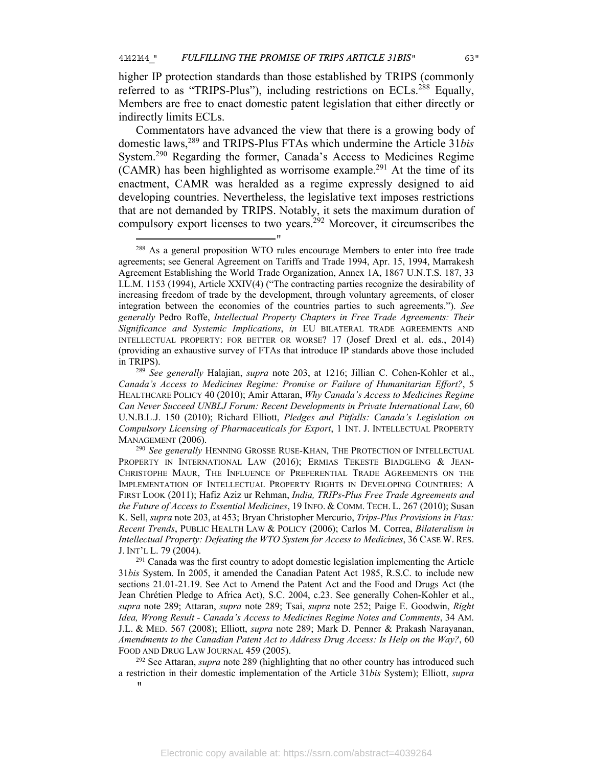higher IP protection standards than those established by TRIPS (commonly referred to as "TRIPS-Plus"), including restrictions on ECLs.<sup>288</sup> Equally, Members are free to enact domestic patent legislation that either directly or indirectly limits ECLs.

Commentators have advanced the view that there is a growing body of domestic laws,289 and TRIPS-Plus FTAs which undermine the Article 31*bis*  System.290 Regarding the former, Canada's Access to Medicines Regime (CAMR) has been highlighted as worrisome example.<sup>291</sup> At the time of its enactment, CAMR was heralded as a regime expressly designed to aid developing countries. Nevertheless, the legislative text imposes restrictions that are not demanded by TRIPS. Notably, it sets the maximum duration of compulsory export licenses to two years.<sup>292</sup> Moreover, it circumscribes the  $\mathbf{u}$ 

31*bis* System. In 2005, it amended the Canadian Patent Act 1985, R.S.C. to include new sections 21.01-21.19. See Act to Amend the Patent Act and the Food and Drugs Act (the Jean Chrétien Pledge to Africa Act), S.C. 2004, c.23. See generally Cohen-Kohler et al., *supra* note 289; Attaran, *supra* note 289; Tsai, *supra* note 252; Paige E. Goodwin, *Right Idea, Wrong Result - Canada's Access to Medicines Regime Notes and Comments*, 34 AM. J.L. & MED. 567 (2008); Elliott, *supra* note 289; Mark D. Penner & Prakash Narayanan, *Amendments to the Canadian Patent Act to Address Drug Access: Is Help on the Way?*, 60 FOOD AND DRUG LAW JOURNAL 459 (2005).<br><sup>292</sup> See Attaran, *supra* note 289 (highlighting that no other country has introduced such

a restriction in their domestic implementation of the Article 31*bis* System); Elliott, *supra*  $\mathbf{u}$ 

<sup>&</sup>lt;sup>288</sup> As a general proposition WTO rules encourage Members to enter into free trade agreements; see General Agreement on Tariffs and Trade 1994, Apr. 15, 1994, Marrakesh Agreement Establishing the World Trade Organization, Annex 1A, 1867 U.N.T.S. 187, 33 I.L.M. 1153 (1994), Article XXIV(4) ("The contracting parties recognize the desirability of increasing freedom of trade by the development, through voluntary agreements, of closer integration between the economies of the countries parties to such agreements."). *See generally* Pedro Roffe, *Intellectual Property Chapters in Free Trade Agreements: Their Significance and Systemic Implications*, *in* EU BILATERAL TRADE AGREEMENTS AND INTELLECTUAL PROPERTY: FOR BETTER OR WORSE? 17 (Josef Drexl et al. eds., 2014) (providing an exhaustive survey of FTAs that introduce IP standards above those included in TRIPS). 289 *See generally* Halajian, *supra* note 203, at 1216; Jillian C. Cohen-Kohler et al.,

*Canada's Access to Medicines Regime: Promise or Failure of Humanitarian Effort?*, 5 HEALTHCARE POLICY 40 (2010); Amir Attaran, *Why Canada's Access to Medicines Regime Can Never Succeed UNBLJ Forum: Recent Developments in Private International Law*, 60 U.N.B.L.J. 150 (2010); Richard Elliott, *Pledges and Pitfalls: Canada's Legislation on Compulsory Licensing of Pharmaceuticals for Export*, 1 INT. J. INTELLECTUAL PROPERTY MANAGEMENT (2006). 290 *See generally* HENNING GROSSE RUSE-KHAN, THE PROTECTION OF INTELLECTUAL

PROPERTY IN INTERNATIONAL LAW (2016); ERMIAS TEKESTE BIADGLENG & JEAN-CHRISTOPHE MAUR, THE INFLUENCE OF PREFERENTIAL TRADE AGREEMENTS ON THE IMPLEMENTATION OF INTELLECTUAL PROPERTY RIGHTS IN DEVELOPING COUNTRIES: A FIRST LOOK (2011); Hafiz Aziz ur Rehman, *India, TRIPs-Plus Free Trade Agreements and the Future of Access to Essential Medicines*, 19 INFO. & COMM. TECH. L. 267 (2010); Susan K. Sell, *supra* note 203, at 453; Bryan Christopher Mercurio, *Trips-Plus Provisions in Ftas: Recent Trends*, PUBLIC HEALTH LAW & POLICY (2006); Carlos M. Correa, *Bilateralism in Intellectual Property: Defeating the WTO System for Access to Medicines*, 36 CASE W. RES. J. INT'L L. 79 (2004).<br><sup>291</sup> Canada was the first country to adopt domestic legislation implementing the Article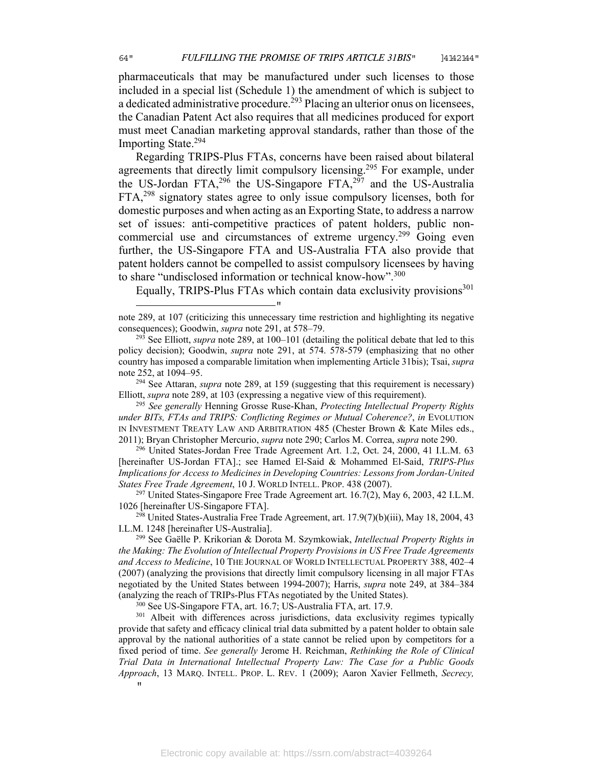pharmaceuticals that may be manufactured under such licenses to those included in a special list (Schedule 1) the amendment of which is subject to a dedicated administrative procedure.<sup>293</sup> Placing an ulterior onus on licensees, the Canadian Patent Act also requires that all medicines produced for export must meet Canadian marketing approval standards, rather than those of the Importing State.<sup>294</sup>

Regarding TRIPS-Plus FTAs, concerns have been raised about bilateral agreements that directly limit compulsory licensing.<sup>295</sup> For example, under the US-Jordan FTA, $^{296}$  the US-Singapore FTA, $^{297}$  and the US-Australia FTA,<sup>298</sup> signatory states agree to only issue compulsory licenses, both for domestic purposes and when acting as an Exporting State, to address a narrow set of issues: anti-competitive practices of patent holders, public noncommercial use and circumstances of extreme urgency.<sup>299</sup> Going even further, the US-Singapore FTA and US-Australia FTA also provide that patent holders cannot be compelled to assist compulsory licensees by having to share "undisclosed information or technical know-how".<sup>300</sup>

Equally, TRIPS-Plus FTAs which contain data exclusivity provisions<sup>301</sup>

JI.

Elliott, *supra* note 289, at 103 (expressing a negative view of this requirement).

<sup>295</sup> *See generally* Henning Grosse Ruse-Khan, *Protecting Intellectual Property Rights under BITs, FTAs and TRIPS: Conflicting Regimes or Mutual Coherence?*, *in* EVOLUTION IN INVESTMENT TREATY LAW AND ARBITRATION 485 (Chester Brown & Kate Miles eds., 2011); Bryan Christopher Mercurio, *supra* note 290; Carlos M. Correa, *supra* note 290.<br><sup>296</sup> United States-Jordan Free Trade Agreement Art. 1.2, Oct. 24, 2000, 41 I.L.M. 63

[hereinafter US-Jordan FTA].; see Hamed El-Said & Mohammed El-Said, *TRIPS-Plus Implications for Access to Medicines in Developing Countries: Lessons from Jordan-United States Free Trade Agreement*, 10 J. WORLD INTELL. PROP. 438 (2007). 297 United States-Singapore Free Trade Agreement art. 16.7(2), May 6, 2003, 42 I.L.M.

1026 [hereinafter US-Singapore FTA]. 298 United States-Australia Free Trade Agreement, art. 17.9(7)(b)(iii), May 18, 2004, 43

I.L.M. 1248 [hereinafter US-Australia]. 299 See Gaëlle P. Krikorian & Dorota M. Szymkowiak, *Intellectual Property Rights in* 

provide that safety and efficacy clinical trial data submitted by a patent holder to obtain sale approval by the national authorities of a state cannot be relied upon by competitors for a fixed period of time. *See generally* Jerome H. Reichman, *Rethinking the Role of Clinical Trial Data in International Intellectual Property Law: The Case for a Public Goods Approach*, 13 MARQ. INTELL. PROP. L. REV. 1 (2009); Aaron Xavier Fellmeth, *Secrecy,*   $\mathbf{u}$ 

 $64"$ 

note 289, at 107 (criticizing this unnecessary time restriction and highlighting its negative consequences); Goodwin, *supra* note 291, at 578–79. 293 See Elliott, *supra* note 289, at 100–101 (detailing the political debate that led to this

policy decision); Goodwin, *supra* note 291, at 574. 578-579 (emphasizing that no other country has imposed a comparable limitation when implementing Article 31bis); Tsai, *supra* note 252, at 1094–95.<br><sup>294</sup> See Attaran, *supra* note 289, at 159 (suggesting that this requirement is necessary)

*the Making: The Evolution of Intellectual Property Provisions in US Free Trade Agreements and Access to Medicine*, 10 THE JOURNAL OF WORLD INTELLECTUAL PROPERTY 388, 402–4 (2007) (analyzing the provisions that directly limit compulsory licensing in all major FTAs negotiated by the United States between 1994-2007); Harris, *supra* note 249, at 384–384 (analyzing the reach of TRIPs-Plus FTAs negotiated by the United States).<br><sup>300</sup> See US-Singapore FTA, art. 16.7; US-Australia FTA, art. 17.9.<br><sup>301</sup> Albeit with differences across jurisdictions, data exclusivity regimes typ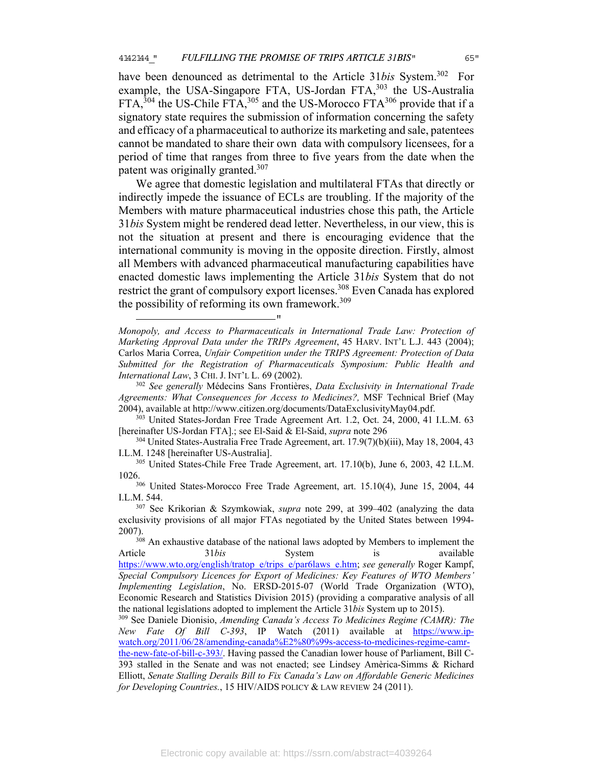have been denounced as detrimental to the Article 31*bis* System.<sup>302</sup> For example, the USA-Singapore FTA, US-Jordan FTA,  $303$  the US-Australia  $FTA<sup>304</sup>$ , the US-Chile FTA,<sup>305</sup> and the US-Morocco FTA<sup>306</sup> provide that if a signatory state requires the submission of information concerning the safety and efficacy of a pharmaceutical to authorize its marketing and sale, patentees cannot be mandated to share their own data with compulsory licensees, for a period of time that ranges from three to five years from the date when the patent was originally granted.<sup>307</sup>

We agree that domestic legislation and multilateral FTAs that directly or indirectly impede the issuance of ECLs are troubling. If the majority of the Members with mature pharmaceutical industries chose this path, the Article 31*bis* System might be rendered dead letter. Nevertheless, in our view, this is not the situation at present and there is encouraging evidence that the international community is moving in the opposite direction. Firstly, almost all Members with advanced pharmaceutical manufacturing capabilities have enacted domestic laws implementing the Article 31*bis* System that do not restrict the grant of compulsory export licenses.<sup>308</sup> Even Canada has explored the possibility of reforming its own framework.<sup>309</sup>

*Monopoly, and Access to Pharmaceuticals in International Trade Law: Protection of Marketing Approval Data under the TRIPs Agreement*, 45 HARV. INT'L L.J. 443 (2004); Carlos Maria Correa, *Unfair Competition under the TRIPS Agreement: Protection of Data Submitted for the Registration of Pharmaceuticals Symposium: Public Health and International Law*, 3 CHI. J. INT'L L. 69 (2002).<br><sup>302</sup> *See generally* Médecins Sans Frontières, *Data Exclusivity in International Trade* 

*Agreements: What Consequences for Access to Medicines?,* MSF Technical Brief (May 2004), available at http://www.citizen.org/documents/DataExclusivityMay04.pdf. 303 United States-Jordan Free Trade Agreement Art. 1.2, Oct. 24, 2000, 41 I.L.M. 63

<sup>[</sup>hereinafter US-Jordan FTA].; see El-Said & El-Said, *supra* note 296<br><sup>304</sup> United States-Australia Free Trade Agreement, art. 17.9(7)(b)(iii), May 18, 2004, 43

I.L.M. 1248 [hereinafter US-Australia]. 305 United States-Chile Free Trade Agreement, art. 17.10(b), June 6, 2003, 42 I.L.M.

<sup>1026. 306</sup> United States-Morocco Free Trade Agreement, art. 15.10(4), June 15, 2004, 44

I.L.M. 544. 307 See Krikorian & Szymkowiak, *supra* note 299, at 399–402 (analyzing the data

exclusivity provisions of all major FTAs negotiated by the United States between 1994- 2007). 308 An exhaustive database of the national laws adopted by Members to implement the

Article 31*bis* System is available https://www.wto.org/english/tratop\_e/trips\_e/par6laws\_e.htm; *see generally* Roger Kampf, *Special Compulsory Licences for Export of Medicines: Key Features of WTO Members' Implementing Legislation*, No. ERSD-2015-07 (World Trade Organization (WTO), Economic Research and Statistics Division 2015) (providing a comparative analysis of all the national legislations adopted to implement the Article 31*bis* System up to 2015). 309 See Daniele Dionisio, *Amending Canada's Access To Medicines Regime (CAMR): The* 

*New Fate Of Bill C-393*, IP Watch (2011) available at https://www.ipwatch.org/2011/06/28/amending-canada%E2%80%99s-access-to-medicines-regime-camrthe-new-fate-of-bill-c-393/. Having passed the Canadian lower house of Parliament, Bill C-393 stalled in the Senate and was not enacted; see Lindsey Amèrica-Simms & Richard Elliott, *Senate Stalling Derails Bill to Fix Canada's Law on Affordable Generic Medicines for Developing Countries.*, 15 HIV/AIDS POLICY & LAW REVIEW 24 (2011).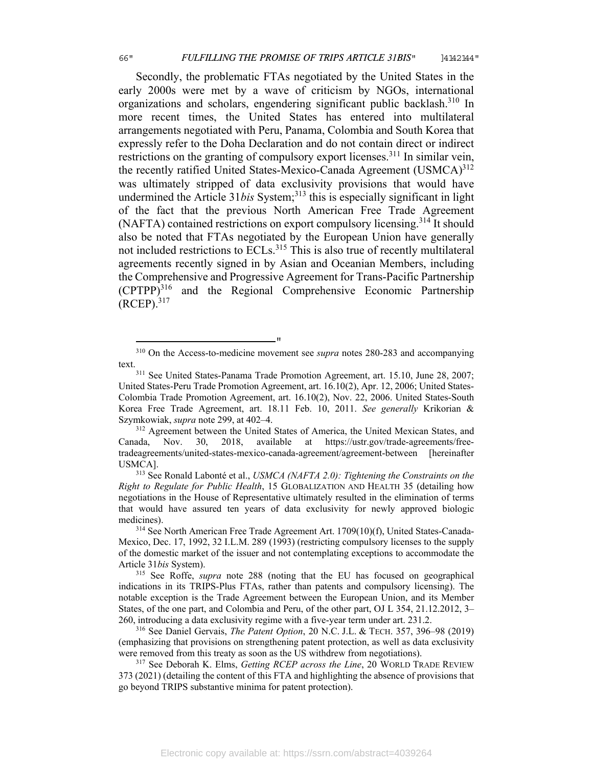Secondly, the problematic FTAs negotiated by the United States in the early 2000s were met by a wave of criticism by NGOs, international organizations and scholars, engendering significant public backlash.<sup>310</sup> In more recent times, the United States has entered into multilateral arrangements negotiated with Peru, Panama, Colombia and South Korea that expressly refer to the Doha Declaration and do not contain direct or indirect restrictions on the granting of compulsory export licenses.<sup>311</sup> In similar vein, the recently ratified United States-Mexico-Canada Agreement  $(USMCA)^{312}$ was ultimately stripped of data exclusivity provisions that would have undermined the Article  $31*bis* System; <sup>313</sup>$  this is especially significant in light of the fact that the previous North American Free Trade Agreement (NAFTA) contained restrictions on export compulsory licensing.<sup>314</sup> It should also be noted that FTAs negotiated by the European Union have generally not included restrictions to ECLs.<sup>315</sup> This is also true of recently multilateral agreements recently signed in by Asian and Oceanian Members, including the Comprehensive and Progressive Agreement for Trans-Pacific Partnership  $(CPTPP)^{316}$  and the Regional Comprehensive Economic Partnership  $(RCEP).<sup>317</sup>$ 

 $\mathbf{u}$ 

*Right to Regulate for Public Health*, 15 GLOBALIZATION AND HEALTH 35 (detailing how negotiations in the House of Representative ultimately resulted in the elimination of terms that would have assured ten years of data exclusivity for newly approved biologic medicines).<br><sup>314</sup> See North American Free Trade Agreement Art. 1709(10)(f), United States-Canada-

<sup>310</sup> On the Access-to-medicine movement see *supra* notes 280-283 and accompanying

text.<br><sup>311</sup> See United States-Panama Trade Promotion Agreement, art. 15.10, June 28, 2007; United States-Peru Trade Promotion Agreement, art. 16.10(2), Apr. 12, 2006; United States-Colombia Trade Promotion Agreement, art. 16.10(2), Nov. 22, 2006. United States-South Korea Free Trade Agreement, art. 18.11 Feb. 10, 2011. *See generally* Krikorian & Szymkowiak, *supra* note 299, at 402–4.<br><sup>312</sup> Agreement between the United States of America, the United Mexican States, and

Canada, Nov. 30, 2018, available at https://ustr.gov/trade-agreements/freetradeagreements/united-states-mexico-canada-agreement/agreement-between [hereinafter USMCA]. 313 See Ronald Labonté et al., *USMCA (NAFTA 2.0): Tightening the Constraints on the* 

Mexico, Dec. 17, 1992, 32 I.L.M. 289 (1993) (restricting compulsory licenses to the supply of the domestic market of the issuer and not contemplating exceptions to accommodate the Article 31*bis* System).<br><sup>315</sup> See Roffe, *supra* note 288 (noting that the EU has focused on geographical

indications in its TRIPS-Plus FTAs, rather than patents and compulsory licensing). The notable exception is the Trade Agreement between the European Union, and its Member States, of the one part, and Colombia and Peru, of the other part, OJ L 354, 21.12.2012, 3– 260, introducing a data exclusivity regime with a five-year term under art. 231.2.<br><sup>316</sup> See Daniel Gervais, *The Patent Option*, 20 N.C. J.L. & TECH. 357, 396–98 (2019)

<sup>(</sup>emphasizing that provisions on strengthening patent protection, as well as data exclusivity were removed from this treaty as soon as the US withdrew from negotiations). 317 See Deborah K. Elms, *Getting RCEP across the Line*, 20 WORLD TRADE REVIEW

<sup>373 (2021) (</sup>detailing the content of this FTA and highlighting the absence of provisions that go beyond TRIPS substantive minima for patent protection).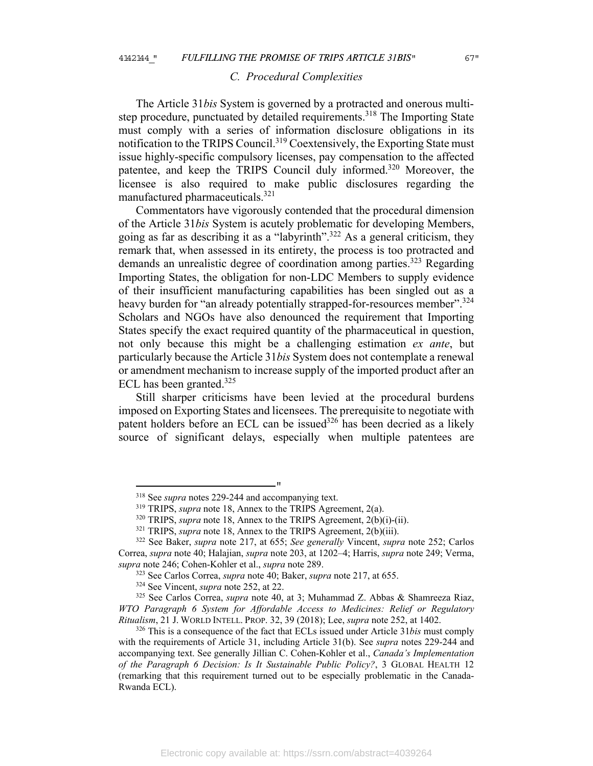#### *C. Procedural Complexities*

The Article 31*bis* System is governed by a protracted and onerous multistep procedure, punctuated by detailed requirements.<sup>318</sup> The Importing State must comply with a series of information disclosure obligations in its notification to the TRIPS Council.<sup>319</sup> Coextensively, the Exporting State must issue highly-specific compulsory licenses, pay compensation to the affected patentee, and keep the TRIPS Council duly informed.<sup>320</sup> Moreover, the licensee is also required to make public disclosures regarding the manufactured pharmaceuticals.<sup>321</sup>

Commentators have vigorously contended that the procedural dimension of the Article 31*bis* System is acutely problematic for developing Members, going as far as describing it as a "labyrinth".<sup>322</sup> As a general criticism, they remark that, when assessed in its entirety, the process is too protracted and demands an unrealistic degree of coordination among parties.<sup>323</sup> Regarding Importing States, the obligation for non-LDC Members to supply evidence of their insufficient manufacturing capabilities has been singled out as a heavy burden for "an already potentially strapped-for-resources member".<sup>324</sup> Scholars and NGOs have also denounced the requirement that Importing States specify the exact required quantity of the pharmaceutical in question, not only because this might be a challenging estimation *ex ante*, but particularly because the Article 31*bis* System does not contemplate a renewal or amendment mechanism to increase supply of the imported product after an ECL has been granted. $325$ 

Still sharper criticisms have been levied at the procedural burdens imposed on Exporting States and licensees. The prerequisite to negotiate with patent holders before an ECL can be issued  $326$  has been decried as a likely source of significant delays, especially when multiple patentees are

<sup>&</sup>lt;sup>318</sup> See *supra* notes 229-244 and accompanying text.<br><sup>319</sup> TRIPS, *supra* note 18, Annex to the TRIPS Agreement, 2(a).<br><sup>320</sup> TRIPS, *supra* note 18, Annex to the TRIPS Agreement, 2(b)(i)-(ii).<br><sup>321</sup> TRIPS, *supra* note Correa, *supra* note 40; Halajian, *supra* note 203, at 1202–4; Harris, *supra* note 249; Verma, supra note 246; Cohen-Kohler et al., *supra* note 289.<br><sup>323</sup> See Carlos Correa, *supra* note 40; Baker, *supra* note 217, at 655.<br><sup>324</sup> See Vincent, *supra* note 252, at 22.<br><sup>325</sup> See Carlos Correa, *supra* note 40, at 3;

*WTO Paragraph 6 System for Affordable Access to Medicines: Relief or Regulatory Ritualism*, 21 J. WORLD INTELL. PROP. 32, 39 (2018); Lee, *supra* note 252, at 1402. 326 This is a consequence of the fact that ECLs issued under Article 31*bis* must comply

with the requirements of Article 31, including Article 31(b). See *supra* notes 229-244 and accompanying text. See generally Jillian C. Cohen-Kohler et al., *Canada's Implementation of the Paragraph 6 Decision: Is It Sustainable Public Policy?*, 3 GLOBAL HEALTH 12 (remarking that this requirement turned out to be especially problematic in the Canada-Rwanda ECL).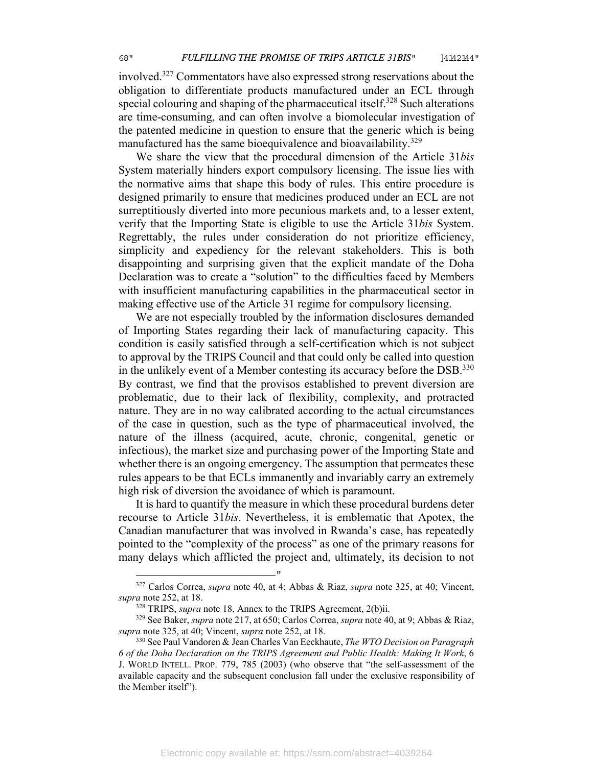involved.327 Commentators have also expressed strong reservations about the obligation to differentiate products manufactured under an ECL through special colouring and shaping of the pharmaceutical itself.<sup>328</sup> Such alterations are time-consuming, and can often involve a biomolecular investigation of the patented medicine in question to ensure that the generic which is being manufactured has the same bioequivalence and bioavailability.<sup>329</sup>

We share the view that the procedural dimension of the Article 31*bis* System materially hinders export compulsory licensing. The issue lies with the normative aims that shape this body of rules. This entire procedure is designed primarily to ensure that medicines produced under an ECL are not surreptitiously diverted into more pecunious markets and, to a lesser extent, verify that the Importing State is eligible to use the Article 31*bis* System. Regrettably, the rules under consideration do not prioritize efficiency, simplicity and expediency for the relevant stakeholders. This is both disappointing and surprising given that the explicit mandate of the Doha Declaration was to create a "solution" to the difficulties faced by Members with insufficient manufacturing capabilities in the pharmaceutical sector in making effective use of the Article 31 regime for compulsory licensing.

We are not especially troubled by the information disclosures demanded of Importing States regarding their lack of manufacturing capacity. This condition is easily satisfied through a self-certification which is not subject to approval by the TRIPS Council and that could only be called into question in the unlikely event of a Member contesting its accuracy before the  $\text{DSB}.^{330}$ By contrast, we find that the provisos established to prevent diversion are problematic, due to their lack of flexibility, complexity, and protracted nature. They are in no way calibrated according to the actual circumstances of the case in question, such as the type of pharmaceutical involved, the nature of the illness (acquired, acute, chronic, congenital, genetic or infectious), the market size and purchasing power of the Importing State and whether there is an ongoing emergency. The assumption that permeates these rules appears to be that ECLs immanently and invariably carry an extremely high risk of diversion the avoidance of which is paramount.

It is hard to quantify the measure in which these procedural burdens deter recourse to Article 31*bis*. Nevertheless, it is emblematic that Apotex, the Canadian manufacturer that was involved in Rwanda's case, has repeatedly pointed to the "complexity of the process" as one of the primary reasons for many delays which afflicted the project and, ultimately, its decision to not

 $\mathbf{u}$ 

68"

<sup>327</sup> Carlos Correa, *supra* note 40, at 4; Abbas & Riaz, *supra* note 325, at 40; Vincent, *supra* note 252, at 18.

<sup>328</sup> TRIPS, *supra* note 18, Annex to the TRIPS Agreement, 2(b)ii. 329 See Baker, *supra* note 217, at 650; Carlos Correa, *supra* note 40, at 9; Abbas & Riaz, *supra* note 325, at 40; Vincent, *supra* note 252, at 18. 330 See Paul Vandoren & Jean Charles Van Eeckhaute, *The WTO Decision on Paragraph* 

*<sup>6</sup> of the Doha Declaration on the TRIPS Agreement and Public Health: Making It Work*, 6 J. WORLD INTELL. PROP. 779, 785 (2003) (who observe that "the self-assessment of the available capacity and the subsequent conclusion fall under the exclusive responsibility of the Member itself").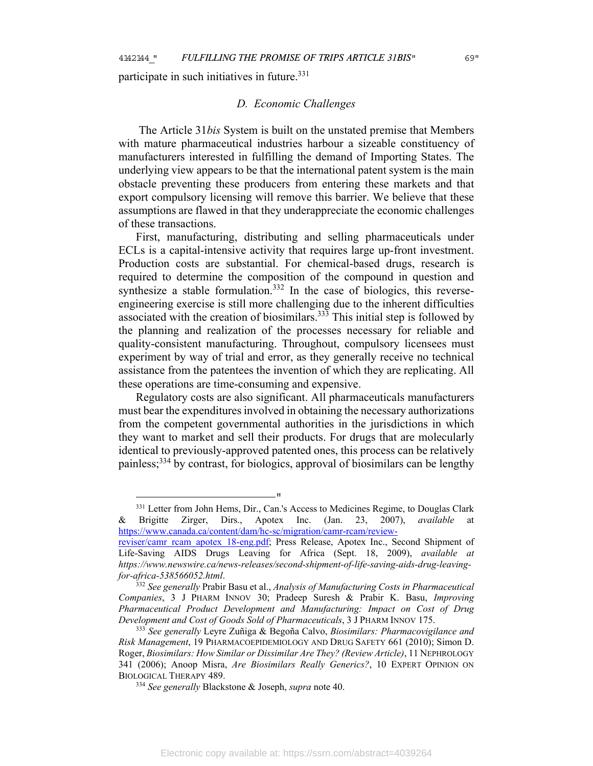participate in such initiatives in future.<sup>331</sup>

#### *D. Economic Challenges*

 The Article 31*bis* System is built on the unstated premise that Members with mature pharmaceutical industries harbour a sizeable constituency of manufacturers interested in fulfilling the demand of Importing States. The underlying view appears to be that the international patent system is the main obstacle preventing these producers from entering these markets and that export compulsory licensing will remove this barrier. We believe that these assumptions are flawed in that they underappreciate the economic challenges of these transactions.

First, manufacturing, distributing and selling pharmaceuticals under ECLs is a capital-intensive activity that requires large up-front investment. Production costs are substantial. For chemical-based drugs, research is required to determine the composition of the compound in question and synthesize a stable formulation.<sup>332</sup> In the case of biologics, this reverseengineering exercise is still more challenging due to the inherent difficulties associated with the creation of biosimilars.<sup>333</sup> This initial step is followed by the planning and realization of the processes necessary for reliable and quality-consistent manufacturing. Throughout, compulsory licensees must experiment by way of trial and error, as they generally receive no technical assistance from the patentees the invention of which they are replicating. All these operations are time-consuming and expensive.

Regulatory costs are also significant. All pharmaceuticals manufacturers must bear the expenditures involved in obtaining the necessary authorizations from the competent governmental authorities in the jurisdictions in which they want to market and sell their products. For drugs that are molecularly identical to previously-approved patented ones, this process can be relatively painless;<sup>334</sup> by contrast, for biologics, approval of biosimilars can be lengthy

<sup>&</sup>lt;sup>331</sup> Letter from John Hems, Dir., Can.'s Access to Medicines Regime, to Douglas Clark & Brigitte Zirger, Dirs., Apotex Inc. (Jan. 23, 2007), *available* https://www.canada.ca/content/dam/hc-sc/migration/camr-rcam/review-

reviser/camr\_rcam\_apotex\_18-eng.pdf; Press Release, Apotex Inc., Second Shipment of Life-Saving AIDS Drugs Leaving for Africa (Sept. 18, 2009), *available at https://www.newswire.ca/news-releases/second-shipment-of-life-saving-aids-drug-leavingfor-africa-538566052.html*. 332 *See generally* Prabir Basu et al., *Analysis of Manufacturing Costs in Pharmaceutical* 

*Companies*, 3 J PHARM INNOV 30; Pradeep Suresh & Prabir K. Basu, *Improving Pharmaceutical Product Development and Manufacturing: Impact on Cost of Drug Development and Cost of Goods Sold of Pharmaceuticals*, 3 J PHARM INNOV 175. 333 *See generally* Leyre Zuñiga & Begoña Calvo, *Biosimilars: Pharmacovigilance and* 

*Risk Management*, 19 PHARMACOEPIDEMIOLOGY AND DRUG SAFETY 661 (2010); Simon D. Roger, *Biosimilars: How Similar or Dissimilar Are They? (Review Article)*, 11 NEPHROLOGY 341 (2006); Anoop Misra, *Are Biosimilars Really Generics?*, 10 EXPERT OPINION ON BIOLOGICAL THERAPY 489. 334 *See generally* Blackstone & Joseph, *supra* note 40.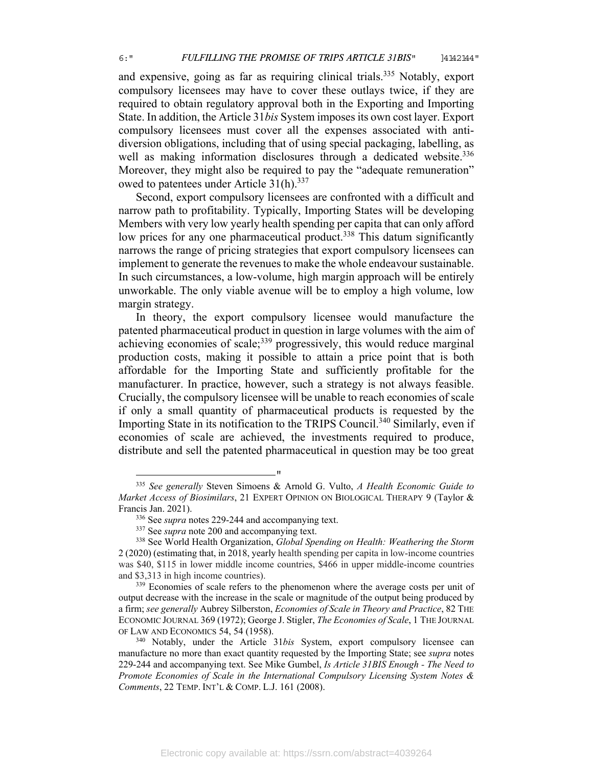and expensive, going as far as requiring clinical trials.<sup>335</sup> Notably, export compulsory licensees may have to cover these outlays twice, if they are required to obtain regulatory approval both in the Exporting and Importing State. In addition, the Article 31*bis* System imposes its own cost layer. Export compulsory licensees must cover all the expenses associated with antidiversion obligations, including that of using special packaging, labelling, as well as making information disclosures through a dedicated website.<sup>336</sup> Moreover, they might also be required to pay the "adequate remuneration" owed to patentees under Article  $31(h)$ .  $337$ 

Second, export compulsory licensees are confronted with a difficult and narrow path to profitability. Typically, Importing States will be developing Members with very low yearly health spending per capita that can only afford low prices for any one pharmaceutical product.<sup>338</sup> This datum significantly narrows the range of pricing strategies that export compulsory licensees can implement to generate the revenues to make the whole endeavour sustainable. In such circumstances, a low-volume, high margin approach will be entirely unworkable. The only viable avenue will be to employ a high volume, low margin strategy.

In theory, the export compulsory licensee would manufacture the patented pharmaceutical product in question in large volumes with the aim of achieving economies of scale;  $339$  progressively, this would reduce marginal production costs, making it possible to attain a price point that is both affordable for the Importing State and sufficiently profitable for the manufacturer. In practice, however, such a strategy is not always feasible. Crucially, the compulsory licensee will be unable to reach economies of scale if only a small quantity of pharmaceutical products is requested by the Importing State in its notification to the TRIPS Council.<sup>340</sup> Similarly, even if economies of scale are achieved, the investments required to produce, distribute and sell the patented pharmaceutical in question may be too great

 $\mathbf{u}$ 

 $6:$ "

<sup>335</sup> *See generally* Steven Simoens & Arnold G. Vulto, *A Health Economic Guide to Market Access of Biosimilars*, 21 EXPERT OPINION ON BIOLOGICAL THERAPY 9 (Taylor & Francis Jan. 2021).<br><sup>336</sup> See *supra* notes 229-244 and accompanying text.<br><sup>337</sup> See *supra* note 200 and accompanying text.<br><sup>338</sup> See World Health Organization, *Global Spending on Health: Weathering the Storm* 

<sup>2 (2020) (</sup>estimating that, in 2018, yearly health spending per capita in low-income countries was \$40, \$115 in lower middle income countries, \$466 in upper middle-income countries and \$3,313 in high income countries).

<sup>&</sup>lt;sup>339</sup> Economies of scale refers to the phenomenon where the average costs per unit of output decrease with the increase in the scale or magnitude of the output being produced by a firm; *see generally* Aubrey Silberston, *Economies of Scale in Theory and Practice*, 82 THE ECONOMIC JOURNAL 369 (1972); George J. Stigler, *The Economies of Scale*, 1 THE JOURNAL OF LAW AND ECONOMICS 54, 54 (1958). 340 Notably, under the Article 31*bis* System, export compulsory licensee can

manufacture no more than exact quantity requested by the Importing State; see *supra* notes 229-244 and accompanying text. See Mike Gumbel, *Is Article 31BIS Enough - The Need to Promote Economies of Scale in the International Compulsory Licensing System Notes & Comments*, 22 TEMP. INT'L & COMP. L.J. 161 (2008).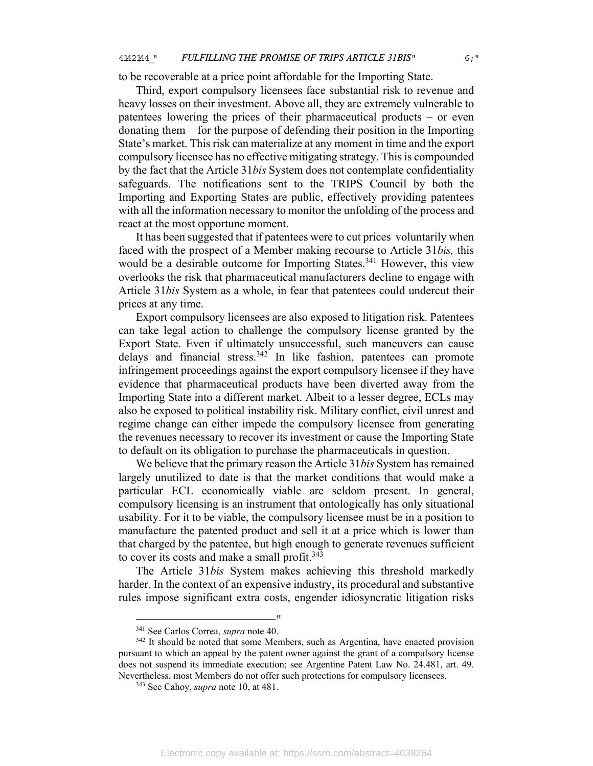to be recoverable at a price point affordable for the Importing State.

Third, export compulsory licensees face substantial risk to revenue and heavy losses on their investment. Above all, they are extremely vulnerable to patentees lowering the prices of their pharmaceutical products – or even donating them – for the purpose of defending their position in the Importing State's market. This risk can materialize at any moment in time and the export compulsory licensee has no effective mitigating strategy. This is compounded by the fact that the Article 31*bis* System does not contemplate confidentiality safeguards. The notifications sent to the TRIPS Council by both the Importing and Exporting States are public, effectively providing patentees with all the information necessary to monitor the unfolding of the process and react at the most opportune moment.

It has been suggested that if patentees were to cut prices voluntarily when faced with the prospect of a Member making recourse to Article 31*bis,* this would be a desirable outcome for Importing States.<sup>341</sup> However, this view overlooks the risk that pharmaceutical manufacturers decline to engage with Article 31*bis* System as a whole, in fear that patentees could undercut their prices at any time.

Export compulsory licensees are also exposed to litigation risk. Patentees can take legal action to challenge the compulsory license granted by the Export State. Even if ultimately unsuccessful, such maneuvers can cause delays and financial stress.<sup>342</sup> In like fashion, patentees can promote infringement proceedings against the export compulsory licensee if they have evidence that pharmaceutical products have been diverted away from the Importing State into a different market. Albeit to a lesser degree, ECLs may also be exposed to political instability risk. Military conflict, civil unrest and regime change can either impede the compulsory licensee from generating the revenues necessary to recover its investment or cause the Importing State to default on its obligation to purchase the pharmaceuticals in question.

We believe that the primary reason the Article 31*bis* System has remained largely unutilized to date is that the market conditions that would make a particular ECL economically viable are seldom present. In general, compulsory licensing is an instrument that ontologically has only situational usability. For it to be viable, the compulsory licensee must be in a position to manufacture the patented product and sell it at a price which is lower than that charged by the patentee, but high enough to generate revenues sufficient to cover its costs and make a small profit.<sup>343</sup>

The Article 31*bis* System makes achieving this threshold markedly harder. In the context of an expensive industry, its procedural and substantive rules impose significant extra costs, engender idiosyncratic litigation risks

<sup>&</sup>lt;sup>341</sup> See Carlos Correa, *supra* note 40.<br><sup>342</sup> It should be noted that some Members, such as Argentina, have enacted provision pursuant to which an appeal by the patent owner against the grant of a compulsory license does not suspend its immediate execution; see Argentine Patent Law No. 24.481, art. 49. Nevertheless, most Members do not offer such protections for compulsory licensees. 343 See Cahoy, *supra* note 10, at 481.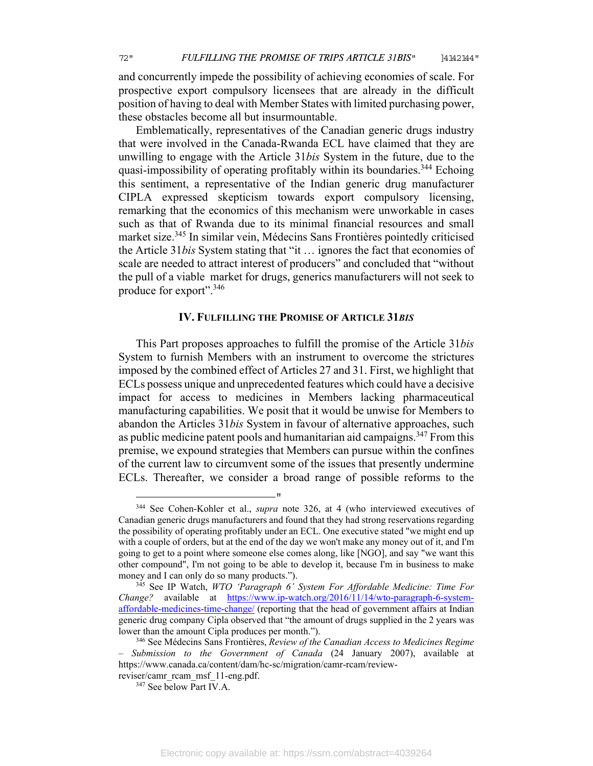and concurrently impede the possibility of achieving economies of scale. For prospective export compulsory licensees that are already in the difficult position of having to deal with Member States with limited purchasing power, these obstacles become all but insurmountable.

Emblematically, representatives of the Canadian generic drugs industry that were involved in the Canada-Rwanda ECL have claimed that they are unwilling to engage with the Article 31*bis* System in the future, due to the quasi-impossibility of operating profitably within its boundaries.<sup>344</sup> Echoing this sentiment, a representative of the Indian generic drug manufacturer CIPLA expressed skepticism towards export compulsory licensing, remarking that the economics of this mechanism were unworkable in cases such as that of Rwanda due to its minimal financial resources and small market size.<sup>345</sup> In similar vein, Médecins Sans Frontières pointedly criticised the Article 31*bis* System stating that "it … ignores the fact that economies of scale are needed to attract interest of producers" and concluded that "without the pull of a viable market for drugs, generics manufacturers will not seek to produce for export".<sup>346</sup>

#### **IV. FULFILLING THE PROMISE OF ARTICLE 31***BIS*

This Part proposes approaches to fulfill the promise of the Article 31*bis*  System to furnish Members with an instrument to overcome the strictures imposed by the combined effect of Articles 27 and 31. First, we highlight that ECLs possess unique and unprecedented features which could have a decisive impact for access to medicines in Members lacking pharmaceutical manufacturing capabilities. We posit that it would be unwise for Members to abandon the Articles 31*bis* System in favour of alternative approaches, such as public medicine patent pools and humanitarian aid campaigns.<sup>347</sup> From this premise, we expound strategies that Members can pursue within the confines of the current law to circumvent some of the issues that presently undermine ECLs. Thereafter, we consider a broad range of possible reforms to the

<sup>344</sup> See Cohen-Kohler et al., *supra* note 326, at 4 (who interviewed executives of Canadian generic drugs manufacturers and found that they had strong reservations regarding the possibility of operating profitably under an ECL. One executive stated "we might end up with a couple of orders, but at the end of the day we won't make any money out of it, and I'm going to get to a point where someone else comes along, like [NGO], and say "we want this other compound", I'm not going to be able to develop it, because I'm in business to make money and I can only do so many products.").<br><sup>345</sup> See IP Watch, *WTO 'Paragraph 6' System For Affordable Medicine: Time For* 

*Change?* available at https://www.ip-watch.org/2016/11/14/wto-paragraph-6-systemaffordable-medicines-time-change/ (reporting that the head of government affairs at Indian generic drug company Cipla observed that "the amount of drugs supplied in the 2 years was lower than the amount Cipla produces per month.").<br><sup>346</sup> See Médecins Sans Frontières, *Review of the Canadian Access to Medicines Regime* 

*<sup>–</sup> Submission to the Government of Canada* (24 January 2007), available at https://www.canada.ca/content/dam/hc-sc/migration/camr-rcam/review-

reviser/camr\_rcam\_msf\_11-eng.pdf. 347 See below Part IV.A.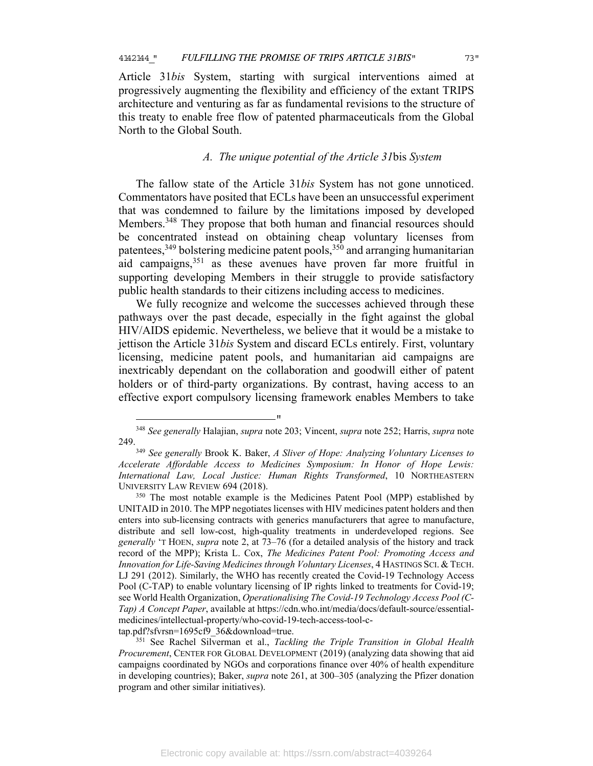Article 31*bis* System, starting with surgical interventions aimed at progressively augmenting the flexibility and efficiency of the extant TRIPS architecture and venturing as far as fundamental revisions to the structure of this treaty to enable free flow of patented pharmaceuticals from the Global North to the Global South.

#### *A. The unique potential of the Article 31*bis *System*

The fallow state of the Article 31*bis* System has not gone unnoticed. Commentators have posited that ECLs have been an unsuccessful experiment that was condemned to failure by the limitations imposed by developed Members.<sup>348</sup> They propose that both human and financial resources should be concentrated instead on obtaining cheap voluntary licenses from patentees,  $349$  bolstering medicine patent pools,  $350$  and arranging humanitarian aid campaigns,351 as these avenues have proven far more fruitful in supporting developing Members in their struggle to provide satisfactory public health standards to their citizens including access to medicines.

We fully recognize and welcome the successes achieved through these pathways over the past decade, especially in the fight against the global HIV/AIDS epidemic. Nevertheless, we believe that it would be a mistake to jettison the Article 31*bis* System and discard ECLs entirely. First, voluntary licensing, medicine patent pools, and humanitarian aid campaigns are inextricably dependant on the collaboration and goodwill either of patent holders or of third-party organizations. By contrast, having access to an effective export compulsory licensing framework enables Members to take

<sup>348</sup> *See generally* Halajian, *supra* note 203; Vincent, *supra* note 252; Harris, *supra* note

<sup>249. 349</sup> *See generally* Brook K. Baker, *A Sliver of Hope: Analyzing Voluntary Licenses to Accelerate Affordable Access to Medicines Symposium: In Honor of Hope Lewis: International Law, Local Justice: Human Rights Transformed*, 10 NORTHEASTERN UNIVERSITY LAW REVIEW 694 (2018).<br><sup>350</sup> The most notable example is the Medicines Patent Pool (MPP) established by

UNITAID in 2010. The MPP negotiates licenses with HIV medicines patent holders and then enters into sub-licensing contracts with generics manufacturers that agree to manufacture, distribute and sell low-cost, high-quality treatments in underdeveloped regions. See *generally* 'T HOEN, *supra* note 2, at 73–76 (for a detailed analysis of the history and track record of the MPP); Krista L. Cox, *The Medicines Patent Pool: Promoting Access and Innovation for Life-Saving Medicines through Voluntary Licenses*, 4 HASTINGS SCI. & TECH. LJ 291 (2012). Similarly, the WHO has recently created the Covid-19 Technology Access Pool (C-TAP) to enable voluntary licensing of IP rights linked to treatments for Covid-19; see World Health Organization, *Operationalising The Covid-19 Technology Access Pool (C-Tap) A Concept Paper*, available at https://cdn.who.int/media/docs/default-source/essentialmedicines/intellectual-property/who-covid-19-tech-access-tool-c-

tap.pdf?sfvrsn=1695cf9\_36&download=true. 351 See Rachel Silverman et al., *Tackling the Triple Transition in Global Health Procurement*, CENTER FOR GLOBAL DEVELOPMENT (2019) (analyzing data showing that aid campaigns coordinated by NGOs and corporations finance over 40% of health expenditure in developing countries); Baker, *supra* note 261, at 300–305 (analyzing the Pfizer donation program and other similar initiatives).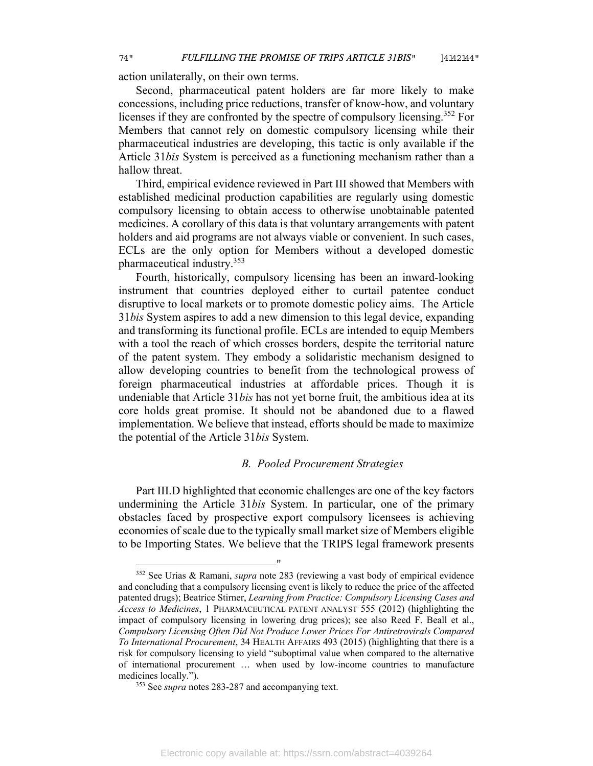action unilaterally, on their own terms.

Second, pharmaceutical patent holders are far more likely to make concessions, including price reductions, transfer of know-how, and voluntary licenses if they are confronted by the spectre of compulsory licensing.352 For Members that cannot rely on domestic compulsory licensing while their pharmaceutical industries are developing, this tactic is only available if the Article 31*bis* System is perceived as a functioning mechanism rather than a hallow threat.

Third, empirical evidence reviewed in Part III showed that Members with established medicinal production capabilities are regularly using domestic compulsory licensing to obtain access to otherwise unobtainable patented medicines. A corollary of this data is that voluntary arrangements with patent holders and aid programs are not always viable or convenient. In such cases, ECLs are the only option for Members without a developed domestic pharmaceutical industry.353

Fourth, historically, compulsory licensing has been an inward-looking instrument that countries deployed either to curtail patentee conduct disruptive to local markets or to promote domestic policy aims. The Article 31*bis* System aspires to add a new dimension to this legal device, expanding and transforming its functional profile. ECLs are intended to equip Members with a tool the reach of which crosses borders, despite the territorial nature of the patent system. They embody a solidaristic mechanism designed to allow developing countries to benefit from the technological prowess of foreign pharmaceutical industries at affordable prices. Though it is undeniable that Article 31*bis* has not yet borne fruit, the ambitious idea at its core holds great promise. It should not be abandoned due to a flawed implementation. We believe that instead, efforts should be made to maximize the potential of the Article 31*bis* System.

#### *B. Pooled Procurement Strategies*

Part III.D highlighted that economic challenges are one of the key factors undermining the Article 31*bis* System. In particular, one of the primary obstacles faced by prospective export compulsory licensees is achieving economies of scale due to the typically small market size of Members eligible to be Importing States. We believe that the TRIPS legal framework presents

<sup>352</sup> See Urias & Ramani, *supra* note 283 (reviewing a vast body of empirical evidence and concluding that a compulsory licensing event is likely to reduce the price of the affected patented drugs); Beatrice Stirner, *Learning from Practice: Compulsory Licensing Cases and Access to Medicines*, 1 PHARMACEUTICAL PATENT ANALYST 555 (2012) (highlighting the impact of compulsory licensing in lowering drug prices); see also Reed F. Beall et al., *Compulsory Licensing Often Did Not Produce Lower Prices For Antiretrovirals Compared To International Procurement*, 34 HEALTH AFFAIRS 493 (2015) (highlighting that there is a risk for compulsory licensing to yield "suboptimal value when compared to the alternative of international procurement … when used by low-income countries to manufacture medicines locally.").<br><sup>353</sup> See *supra* notes 283-287 and accompanying text.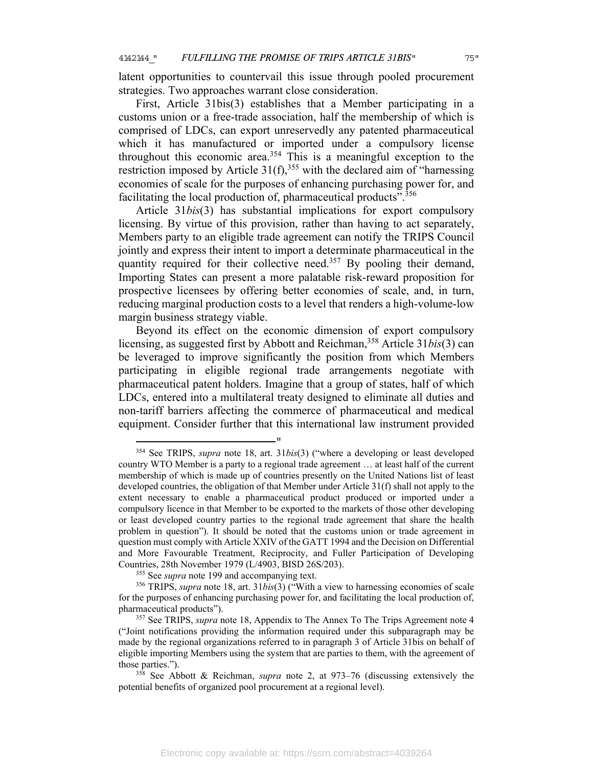latent opportunities to countervail this issue through pooled procurement strategies. Two approaches warrant close consideration.

First, Article 31bis(3) establishes that a Member participating in a customs union or a free-trade association, half the membership of which is comprised of LDCs, can export unreservedly any patented pharmaceutical which it has manufactured or imported under a compulsory license throughout this economic area.<sup>354</sup> This is a meaningful exception to the restriction imposed by Article  $31(f)$ ,  $355$  with the declared aim of "harnessing economies of scale for the purposes of enhancing purchasing power for, and facilitating the local production of, pharmaceutical products".<sup>356</sup>

Article 31*bis*(3) has substantial implications for export compulsory licensing. By virtue of this provision, rather than having to act separately, Members party to an eligible trade agreement can notify the TRIPS Council jointly and express their intent to import a determinate pharmaceutical in the quantity required for their collective need.<sup>357</sup> By pooling their demand, Importing States can present a more palatable risk-reward proposition for prospective licensees by offering better economies of scale, and, in turn, reducing marginal production costs to a level that renders a high-volume-low margin business strategy viable.

Beyond its effect on the economic dimension of export compulsory licensing, as suggested first by Abbott and Reichman,<sup>358</sup> Article 31*bis*(3) can be leveraged to improve significantly the position from which Members participating in eligible regional trade arrangements negotiate with pharmaceutical patent holders. Imagine that a group of states, half of which LDCs, entered into a multilateral treaty designed to eliminate all duties and non-tariff barriers affecting the commerce of pharmaceutical and medical equipment. Consider further that this international law instrument provided

<sup>354</sup> See TRIPS, *supra* note 18, art. 31*bis*(3) ("where a developing or least developed country WTO Member is a party to a regional trade agreement … at least half of the current membership of which is made up of countries presently on the United Nations list of least developed countries, the obligation of that Member under Article 31(f) shall not apply to the extent necessary to enable a pharmaceutical product produced or imported under a compulsory licence in that Member to be exported to the markets of those other developing or least developed country parties to the regional trade agreement that share the health problem in question"). It should be noted that the customs union or trade agreement in question must comply with Article XXIV of the GATT 1994 and the Decision on Differential and More Favourable Treatment, Reciprocity, and Fuller Participation of Developing Countries, 28th November 1979 (L/4903, BISD 26S/203).<br><sup>355</sup> See *supra* note 199 and accompanying text.<br><sup>356</sup> TRIPS, *supra* note 18, art. 31*bis*(3) ("With a view to harnessing economies of scale

for the purposes of enhancing purchasing power for, and facilitating the local production of, pharmaceutical products").<br><sup>357</sup> See TRIPS, *supra* note 18, Appendix to The Annex To The Trips Agreement note 4

<sup>(&</sup>quot;Joint notifications providing the information required under this subparagraph may be made by the regional organizations referred to in paragraph 3 of Article 31bis on behalf of eligible importing Members using the system that are parties to them, with the agreement of those parties.").<br><sup>358</sup> See Abbott & Reichman, *supra* note 2, at 973–76 (discussing extensively the

potential benefits of organized pool procurement at a regional level).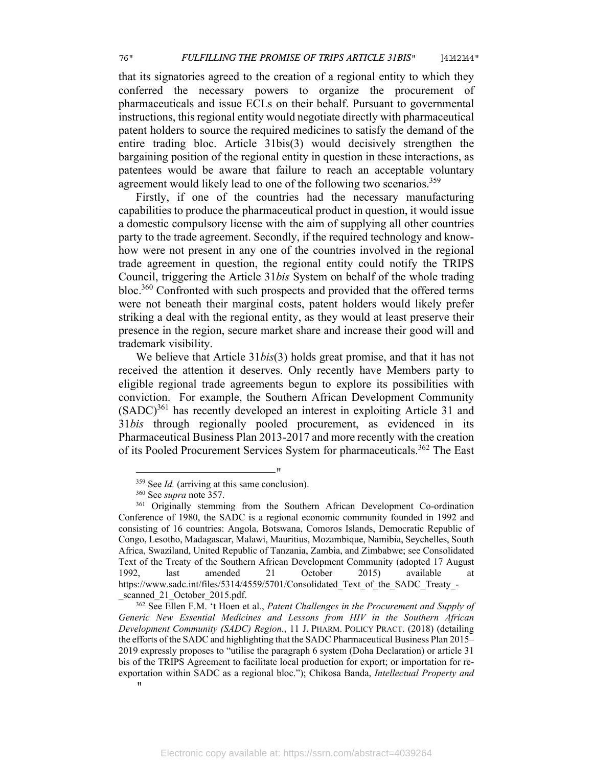that its signatories agreed to the creation of a regional entity to which they conferred the necessary powers to organize the procurement of pharmaceuticals and issue ECLs on their behalf. Pursuant to governmental instructions, this regional entity would negotiate directly with pharmaceutical patent holders to source the required medicines to satisfy the demand of the entire trading bloc. Article 31bis(3) would decisively strengthen the bargaining position of the regional entity in question in these interactions, as patentees would be aware that failure to reach an acceptable voluntary agreement would likely lead to one of the following two scenarios.<sup>359</sup>

Firstly, if one of the countries had the necessary manufacturing capabilities to produce the pharmaceutical product in question, it would issue a domestic compulsory license with the aim of supplying all other countries party to the trade agreement. Secondly, if the required technology and knowhow were not present in any one of the countries involved in the regional trade agreement in question, the regional entity could notify the TRIPS Council, triggering the Article 31*bis* System on behalf of the whole trading bloc.<sup>360</sup> Confronted with such prospects and provided that the offered terms were not beneath their marginal costs, patent holders would likely prefer striking a deal with the regional entity, as they would at least preserve their presence in the region, secure market share and increase their good will and trademark visibility.

We believe that Article 31*bis*(3) holds great promise, and that it has not received the attention it deserves. Only recently have Members party to eligible regional trade agreements begun to explore its possibilities with conviction. For example, the Southern African Development Community  $(SADC)<sup>361</sup>$  has recently developed an interest in exploiting Article 31 and 31*bis* through regionally pooled procurement, as evidenced in its Pharmaceutical Business Plan 2013-2017 and more recently with the creation of its Pooled Procurement Services System for pharmaceuticals.<sup>362</sup> The East

 $\mathbf{u}$ 

 $76$ 

<sup>359</sup> See *Id.* (arriving at this same conclusion). 360 See *supra* note 357. 361 Originally stemming from the Southern African Development Co-ordination Conference of 1980, the SADC is a regional economic community founded in 1992 and consisting of 16 countries: Angola, Botswana, Comoros Islands, Democratic Republic of Congo, Lesotho, Madagascar, Malawi, Mauritius, Mozambique, Namibia, Seychelles, South Africa, Swaziland, United Republic of Tanzania, Zambia, and Zimbabwe; see Consolidated Text of the Treaty of the Southern African Development Community (adopted 17 August 1992, last amended 21 October 2015) available at https://www.sadc.int/files/5314/4559/5701/Consolidated\_Text\_of\_the\_SADC\_Treaty\_-\_scanned\_21\_October\_2015.pdf. 362 See Ellen F.M. 't Hoen et al., *Patent Challenges in the Procurement and Supply of* 

*Generic New Essential Medicines and Lessons from HIV in the Southern African Development Community (SADC) Region.*, 11 J. PHARM. POLICY PRACT. (2018) (detailing the efforts of the SADC and highlighting that the SADC Pharmaceutical Business Plan 2015– 2019 expressly proposes to "utilise the paragraph 6 system (Doha Declaration) or article 31 bis of the TRIPS Agreement to facilitate local production for export; or importation for reexportation within SADC as a regional bloc."); Chikosa Banda, *Intellectual Property and*   $\mathbf{u}$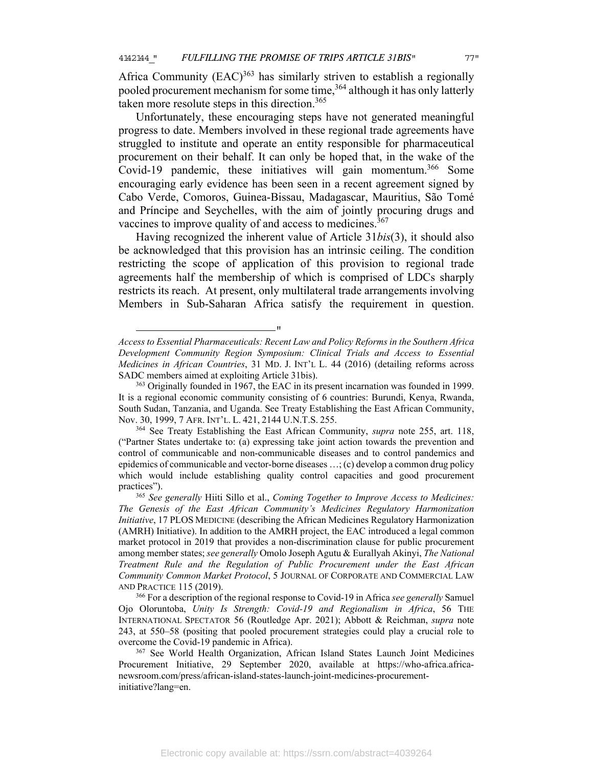Africa Community  $(EAC)^{363}$  has similarly striven to establish a regionally pooled procurement mechanism for some time,<sup>364</sup> although it has only latterly taken more resolute steps in this direction.<sup>365</sup>

Unfortunately, these encouraging steps have not generated meaningful progress to date. Members involved in these regional trade agreements have struggled to institute and operate an entity responsible for pharmaceutical procurement on their behalf. It can only be hoped that, in the wake of the Covid-19 pandemic, these initiatives will gain momentum.<sup>366</sup> Some encouraging early evidence has been seen in a recent agreement signed by Cabo Verde, Comoros, Guinea-Bissau, Madagascar, Mauritius, São Tomé and Príncipe and Seychelles, with the aim of jointly procuring drugs and vaccines to improve quality of and access to medicines.<sup>367</sup>

Having recognized the inherent value of Article 31*bis*(3), it should also be acknowledged that this provision has an intrinsic ceiling. The condition restricting the scope of application of this provision to regional trade agreements half the membership of which is comprised of LDCs sharply restricts its reach. At present, only multilateral trade arrangements involving Members in Sub-Saharan Africa satisfy the requirement in question.

ū

*Access to Essential Pharmaceuticals: Recent Law and Policy Reforms in the Southern Africa Development Community Region Symposium: Clinical Trials and Access to Essential Medicines in African Countries*, 31 MD. J. INT'L L. 44 (2016) (detailing reforms across SADC members aimed at exploiting Article 31bis).<br><sup>363</sup> Originally founded in 1967, the EAC in its present incarnation was founded in 1999.

It is a regional economic community consisting of 6 countries: Burundi, Kenya, Rwanda, South Sudan, Tanzania, and Uganda. See Treaty Establishing the East African Community, Nov. 30, 1999, 7 AFR. INT'L. L. 421, <sup>2144</sup> U.N.T.S. 255. 364 See Treaty Establishing the East African Community, *supra* note 255, art. 118,

<sup>(&</sup>quot;Partner States undertake to: (a) expressing take joint action towards the prevention and control of communicable and non-communicable diseases and to control pandemics and epidemics of communicable and vector-borne diseases …; (c) develop a common drug policy which would include establishing quality control capacities and good procurement practices").<br><sup>365</sup> *See generally* Hiiti Sillo et al., *Coming Together to Improve Access to Medicines:* 

*The Genesis of the East African Community's Medicines Regulatory Harmonization Initiative*, 17 PLOS MEDICINE (describing the African Medicines Regulatory Harmonization (AMRH) Initiative). In addition to the AMRH project, the EAC introduced a legal common market protocol in 2019 that provides a non-discrimination clause for public procurement among member states; *see generally* Omolo Joseph Agutu & Eurallyah Akinyi, *The National Treatment Rule and the Regulation of Public Procurement under the East African Community Common Market Protocol*, 5 JOURNAL OF CORPORATE AND COMMERCIAL LAW AND PRACTICE 115 (2019).<br><sup>366</sup> For a description of the regional response to Covid-19 in Africa *see generally* Samuel

Ojo Oloruntoba, *Unity Is Strength: Covid-19 and Regionalism in Africa*, 56 THE INTERNATIONAL SPECTATOR 56 (Routledge Apr. 2021); Abbott & Reichman, *supra* note 243, at 550–58 (positing that pooled procurement strategies could play a crucial role to overcome the Covid-19 pandemic in Africa).<br><sup>367</sup> See World Health Organization, African Island States Launch Joint Medicines

Procurement Initiative, 29 September 2020, available at https://who-africa.africanewsroom.com/press/african-island-states-launch-joint-medicines-procurementinitiative?lang=en.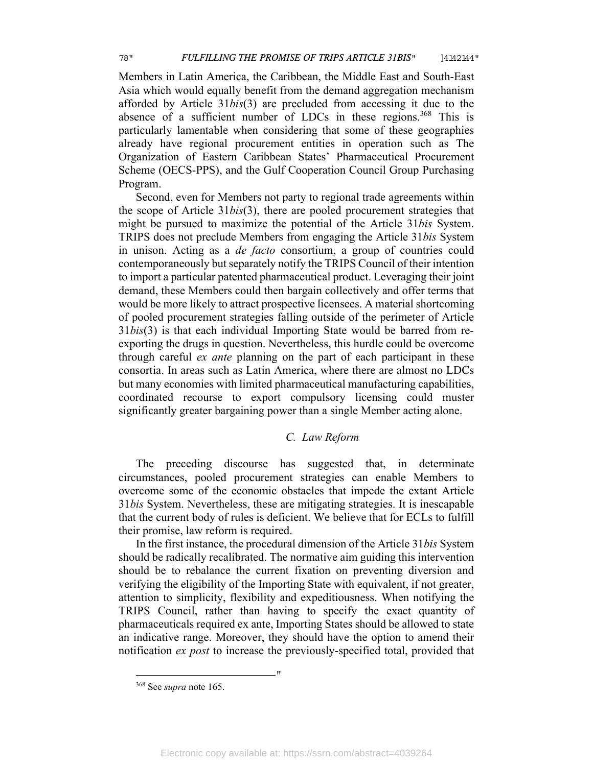Members in Latin America, the Caribbean, the Middle East and South-East Asia which would equally benefit from the demand aggregation mechanism afforded by Article 31*bis*(3) are precluded from accessing it due to the absence of a sufficient number of LDCs in these regions.<sup>368</sup> This is particularly lamentable when considering that some of these geographies already have regional procurement entities in operation such as The Organization of Eastern Caribbean States' Pharmaceutical Procurement Scheme (OECS-PPS), and the Gulf Cooperation Council Group Purchasing Program.

Second, even for Members not party to regional trade agreements within the scope of Article 31*bis*(3), there are pooled procurement strategies that might be pursued to maximize the potential of the Article 31*bis* System. TRIPS does not preclude Members from engaging the Article 31*bis* System in unison. Acting as a *de facto* consortium, a group of countries could contemporaneously but separately notify the TRIPS Council of their intention to import a particular patented pharmaceutical product. Leveraging their joint demand, these Members could then bargain collectively and offer terms that would be more likely to attract prospective licensees. A material shortcoming of pooled procurement strategies falling outside of the perimeter of Article 31*bis*(3) is that each individual Importing State would be barred from reexporting the drugs in question. Nevertheless, this hurdle could be overcome through careful *ex ante* planning on the part of each participant in these consortia. In areas such as Latin America, where there are almost no LDCs but many economies with limited pharmaceutical manufacturing capabilities, coordinated recourse to export compulsory licensing could muster significantly greater bargaining power than a single Member acting alone.

# *C. Law Reform*

The preceding discourse has suggested that, in determinate circumstances, pooled procurement strategies can enable Members to overcome some of the economic obstacles that impede the extant Article 31*bis* System. Nevertheless, these are mitigating strategies. It is inescapable that the current body of rules is deficient. We believe that for ECLs to fulfill their promise, law reform is required.

In the first instance, the procedural dimension of the Article 31*bis* System should be radically recalibrated. The normative aim guiding this intervention should be to rebalance the current fixation on preventing diversion and verifying the eligibility of the Importing State with equivalent, if not greater, attention to simplicity, flexibility and expeditiousness. When notifying the TRIPS Council, rather than having to specify the exact quantity of pharmaceuticals required ex ante, Importing States should be allowed to state an indicative range. Moreover, they should have the option to amend their notification *ex post* to increase the previously-specified total, provided that

<sup>368</sup> See *supra* note 165.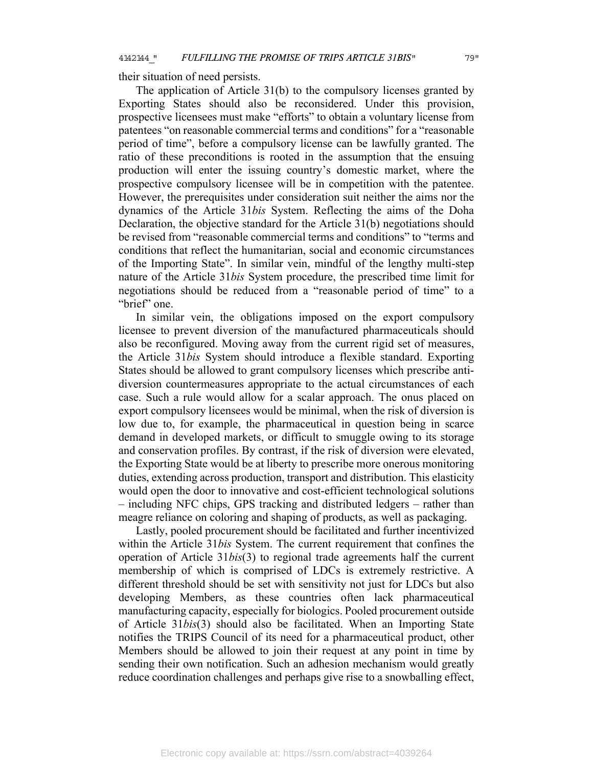their situation of need persists.

The application of Article 31(b) to the compulsory licenses granted by Exporting States should also be reconsidered. Under this provision, prospective licensees must make "efforts" to obtain a voluntary license from patentees "on reasonable commercial terms and conditions" for a "reasonable period of time", before a compulsory license can be lawfully granted. The ratio of these preconditions is rooted in the assumption that the ensuing production will enter the issuing country's domestic market, where the prospective compulsory licensee will be in competition with the patentee. However, the prerequisites under consideration suit neither the aims nor the dynamics of the Article 31*bis* System. Reflecting the aims of the Doha Declaration, the objective standard for the Article 31(b) negotiations should be revised from "reasonable commercial terms and conditions" to "terms and conditions that reflect the humanitarian, social and economic circumstances of the Importing State". In similar vein, mindful of the lengthy multi-step nature of the Article 31*bis* System procedure, the prescribed time limit for negotiations should be reduced from a "reasonable period of time" to a "brief" one.

In similar vein, the obligations imposed on the export compulsory licensee to prevent diversion of the manufactured pharmaceuticals should also be reconfigured. Moving away from the current rigid set of measures, the Article 31*bis* System should introduce a flexible standard. Exporting States should be allowed to grant compulsory licenses which prescribe antidiversion countermeasures appropriate to the actual circumstances of each case. Such a rule would allow for a scalar approach. The onus placed on export compulsory licensees would be minimal, when the risk of diversion is low due to, for example, the pharmaceutical in question being in scarce demand in developed markets, or difficult to smuggle owing to its storage and conservation profiles. By contrast, if the risk of diversion were elevated, the Exporting State would be at liberty to prescribe more onerous monitoring duties, extending across production, transport and distribution. This elasticity would open the door to innovative and cost-efficient technological solutions – including NFC chips, GPS tracking and distributed ledgers – rather than meagre reliance on coloring and shaping of products, as well as packaging.

Lastly, pooled procurement should be facilitated and further incentivized within the Article 31*bis* System. The current requirement that confines the operation of Article 31*bis*(3) to regional trade agreements half the current membership of which is comprised of LDCs is extremely restrictive. A different threshold should be set with sensitivity not just for LDCs but also developing Members, as these countries often lack pharmaceutical manufacturing capacity, especially for biologics. Pooled procurement outside of Article 31*bis*(3) should also be facilitated. When an Importing State notifies the TRIPS Council of its need for a pharmaceutical product, other Members should be allowed to join their request at any point in time by sending their own notification. Such an adhesion mechanism would greatly reduce coordination challenges and perhaps give rise to a snowballing effect,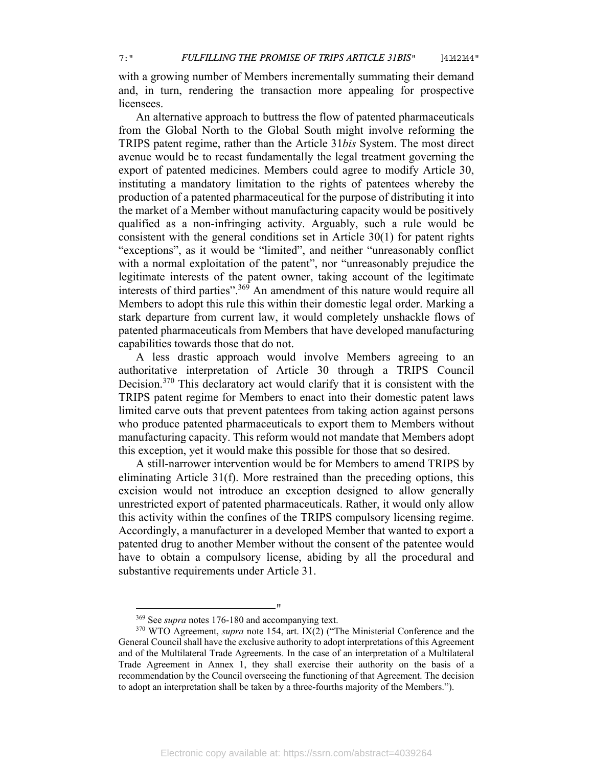*FULFILLING THE PROMISE OF TRIPS ARTICLE 31BIS*

with a growing number of Members incrementally summating their demand and, in turn, rendering the transaction more appealing for prospective licensees.

An alternative approach to buttress the flow of patented pharmaceuticals from the Global North to the Global South might involve reforming the TRIPS patent regime, rather than the Article 31*bis* System. The most direct avenue would be to recast fundamentally the legal treatment governing the export of patented medicines. Members could agree to modify Article 30, instituting a mandatory limitation to the rights of patentees whereby the production of a patented pharmaceutical for the purpose of distributing it into the market of a Member without manufacturing capacity would be positively qualified as a non-infringing activity. Arguably, such a rule would be consistent with the general conditions set in Article 30(1) for patent rights "exceptions", as it would be "limited", and neither "unreasonably conflict with a normal exploitation of the patent", nor "unreasonably prejudice the legitimate interests of the patent owner, taking account of the legitimate interests of third parties".<sup>369</sup> An amendment of this nature would require all Members to adopt this rule this within their domestic legal order. Marking a stark departure from current law, it would completely unshackle flows of patented pharmaceuticals from Members that have developed manufacturing capabilities towards those that do not.

A less drastic approach would involve Members agreeing to an authoritative interpretation of Article 30 through a TRIPS Council Decision.<sup>370</sup> This declaratory act would clarify that it is consistent with the TRIPS patent regime for Members to enact into their domestic patent laws limited carve outs that prevent patentees from taking action against persons who produce patented pharmaceuticals to export them to Members without manufacturing capacity. This reform would not mandate that Members adopt this exception, yet it would make this possible for those that so desired.

A still-narrower intervention would be for Members to amend TRIPS by eliminating Article 31(f). More restrained than the preceding options, this excision would not introduce an exception designed to allow generally unrestricted export of patented pharmaceuticals. Rather, it would only allow this activity within the confines of the TRIPS compulsory licensing regime. Accordingly, a manufacturer in a developed Member that wanted to export a patented drug to another Member without the consent of the patentee would have to obtain a compulsory license, abiding by all the procedural and substantive requirements under Article 31.

Electronic copy available at: https://ssrn.com/abstract=4039264

<sup>369</sup> See *supra* notes 176-180 and accompanying text. 370 WTO Agreement, *supra* note 154, art. IX(2) ("The Ministerial Conference and the General Council shall have the exclusive authority to adopt interpretations of this Agreement and of the Multilateral Trade Agreements. In the case of an interpretation of a Multilateral Trade Agreement in Annex 1, they shall exercise their authority on the basis of a recommendation by the Council overseeing the functioning of that Agreement. The decision to adopt an interpretation shall be taken by a three-fourths majority of the Members.").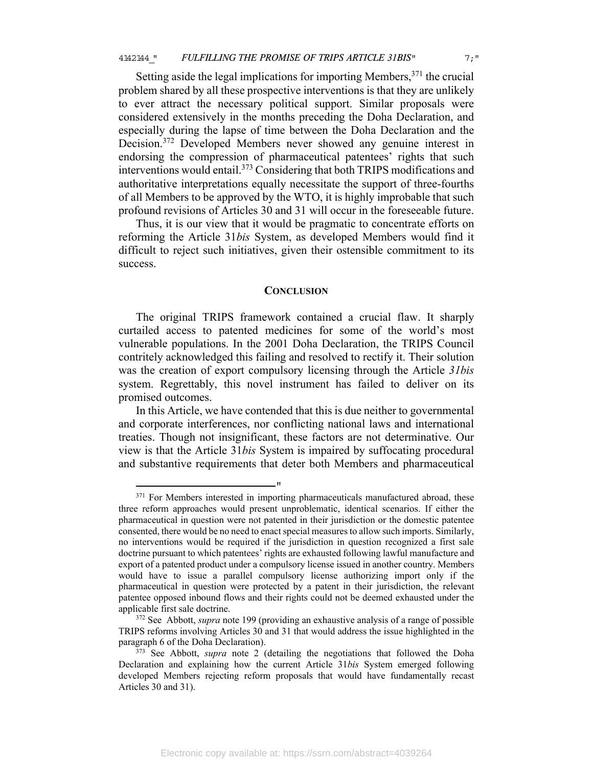Setting aside the legal implications for importing Members,  $371$  the crucial problem shared by all these prospective interventions is that they are unlikely to ever attract the necessary political support. Similar proposals were considered extensively in the months preceding the Doha Declaration, and especially during the lapse of time between the Doha Declaration and the Decision.<sup>372</sup> Developed Members never showed any genuine interest in endorsing the compression of pharmaceutical patentees' rights that such interventions would entail.<sup>373</sup> Considering that both TRIPS modifications and authoritative interpretations equally necessitate the support of three-fourths of all Members to be approved by the WTO, it is highly improbable that such profound revisions of Articles 30 and 31 will occur in the foreseeable future.

Thus, it is our view that it would be pragmatic to concentrate efforts on reforming the Article 31*bis* System, as developed Members would find it difficult to reject such initiatives, given their ostensible commitment to its success.

#### **CONCLUSION**

The original TRIPS framework contained a crucial flaw. It sharply curtailed access to patented medicines for some of the world's most vulnerable populations. In the 2001 Doha Declaration, the TRIPS Council contritely acknowledged this failing and resolved to rectify it. Their solution was the creation of export compulsory licensing through the Article *31bis*  system. Regrettably, this novel instrument has failed to deliver on its promised outcomes.

In this Article, we have contended that this is due neither to governmental and corporate interferences, nor conflicting national laws and international treaties. Though not insignificant, these factors are not determinative. Our view is that the Article 31*bis* System is impaired by suffocating procedural and substantive requirements that deter both Members and pharmaceutical

<sup>&</sup>lt;sup>371</sup> For Members interested in importing pharmaceuticals manufactured abroad, these three reform approaches would present unproblematic, identical scenarios. If either the pharmaceutical in question were not patented in their jurisdiction or the domestic patentee consented, there would be no need to enact special measures to allow such imports. Similarly, no interventions would be required if the jurisdiction in question recognized a first sale doctrine pursuant to which patentees' rights are exhausted following lawful manufacture and export of a patented product under a compulsory license issued in another country. Members would have to issue a parallel compulsory license authorizing import only if the pharmaceutical in question were protected by a patent in their jurisdiction, the relevant patentee opposed inbound flows and their rights could not be deemed exhausted under the applicable first sale doctrine. 372 See Abbott, *supra* note 199 (providing an exhaustive analysis of a range of possible

TRIPS reforms involving Articles 30 and 31 that would address the issue highlighted in the paragraph 6 of the Doha Declaration). 373 See Abbott, *supra* note 2 (detailing the negotiations that followed the Doha

Declaration and explaining how the current Article 31*bis* System emerged following developed Members rejecting reform proposals that would have fundamentally recast Articles 30 and 31).